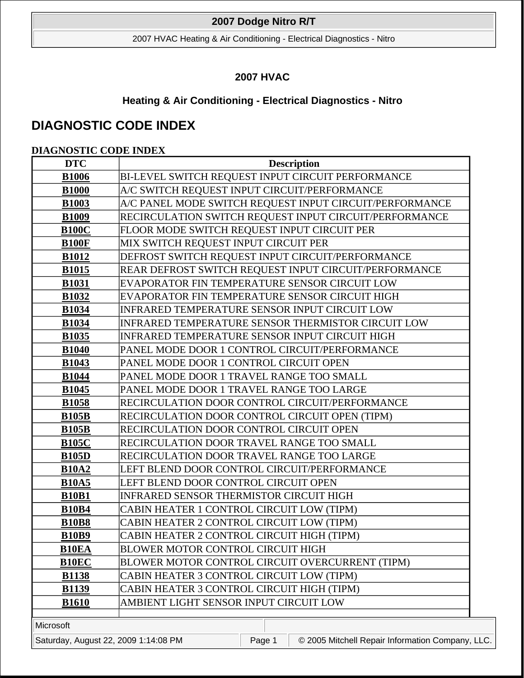2007 HVAC Heating & Air Conditioning - Electrical Diagnostics - Nitro

# **2007 HVAC**

# **Heating & Air Conditioning - Electrical Diagnostics - Nitro**

# **DIAGNOSTIC CODE INDEX**

# **DIAGNOSTIC CODE INDEX**

| <b>DTC</b>   | <b>Description</b>                                        |
|--------------|-----------------------------------------------------------|
| <b>B1006</b> | BI-LEVEL SWITCH REQUEST INPUT CIRCUIT PERFORMANCE         |
| <b>B1000</b> | A/C SWITCH REQUEST INPUT CIRCUIT/PERFORMANCE              |
| <b>B1003</b> | A/C PANEL MODE SWITCH REQUEST INPUT CIRCUIT/PERFORMANCE   |
| <b>B1009</b> | RECIRCULATION SWITCH REQUEST INPUT CIRCUIT/PERFORMANCE    |
| <b>B100C</b> | FLOOR MODE SWITCH REQUEST INPUT CIRCUIT PER               |
| <b>B100F</b> | MIX SWITCH REQUEST INPUT CIRCUIT PER                      |
| <b>B1012</b> | DEFROST SWITCH REQUEST INPUT CIRCUIT/PERFORMANCE          |
| <b>B1015</b> | REAR DEFROST SWITCH REQUEST INPUT CIRCUIT/PERFORMANCE     |
| <b>B1031</b> | EVAPORATOR FIN TEMPERATURE SENSOR CIRCUIT LOW             |
| <b>B1032</b> | EVAPORATOR FIN TEMPERATURE SENSOR CIRCUIT HIGH            |
| <b>B1034</b> | INFRARED TEMPERATURE SENSOR INPUT CIRCUIT LOW             |
| <b>B1034</b> | <b>INFRARED TEMPERATURE SENSOR THERMISTOR CIRCUIT LOW</b> |
| <b>B1035</b> | <b>INFRARED TEMPERATURE SENSOR INPUT CIRCUIT HIGH</b>     |
| <b>B1040</b> | PANEL MODE DOOR 1 CONTROL CIRCUIT/PERFORMANCE             |
| <b>B1043</b> | PANEL MODE DOOR 1 CONTROL CIRCUIT OPEN                    |
| <b>B1044</b> | PANEL MODE DOOR 1 TRAVEL RANGE TOO SMALL                  |
| <b>B1045</b> | PANEL MODE DOOR 1 TRAVEL RANGE TOO LARGE                  |
| <b>B1058</b> | RECIRCULATION DOOR CONTROL CIRCUIT/PERFORMANCE            |
| <b>B105B</b> | RECIRCULATION DOOR CONTROL CIRCUIT OPEN (TIPM)            |
| <b>B105B</b> | RECIRCULATION DOOR CONTROL CIRCUIT OPEN                   |
| <b>B105C</b> | RECIRCULATION DOOR TRAVEL RANGE TOO SMALL                 |
| <b>B105D</b> | RECIRCULATION DOOR TRAVEL RANGE TOO LARGE                 |
| <b>B10A2</b> | LEFT BLEND DOOR CONTROL CIRCUIT/PERFORMANCE               |
| <b>B10A5</b> | LEFT BLEND DOOR CONTROL CIRCUIT OPEN                      |
| <b>B10B1</b> | INFRARED SENSOR THERMISTOR CIRCUIT HIGH                   |
| <b>B10B4</b> | CABIN HEATER 1 CONTROL CIRCUIT LOW (TIPM)                 |
| <b>B10B8</b> | CABIN HEATER 2 CONTROL CIRCUIT LOW (TIPM)                 |
| <b>B10B9</b> | CABIN HEATER 2 CONTROL CIRCUIT HIGH (TIPM)                |
| <b>B10EA</b> | <b>BLOWER MOTOR CONTROL CIRCUIT HIGH</b>                  |
| <b>B10EC</b> | BLOWER MOTOR CONTROL CIRCUIT OVERCURRENT (TIPM)           |
| <b>B1138</b> | CABIN HEATER 3 CONTROL CIRCUIT LOW (TIPM)                 |
| <b>B1139</b> | CABIN HEATER 3 CONTROL CIRCUIT HIGH (TIPM)                |
| <b>B1610</b> | AMBIENT LIGHT SENSOR INPUT CIRCUIT LOW                    |
|              |                                                           |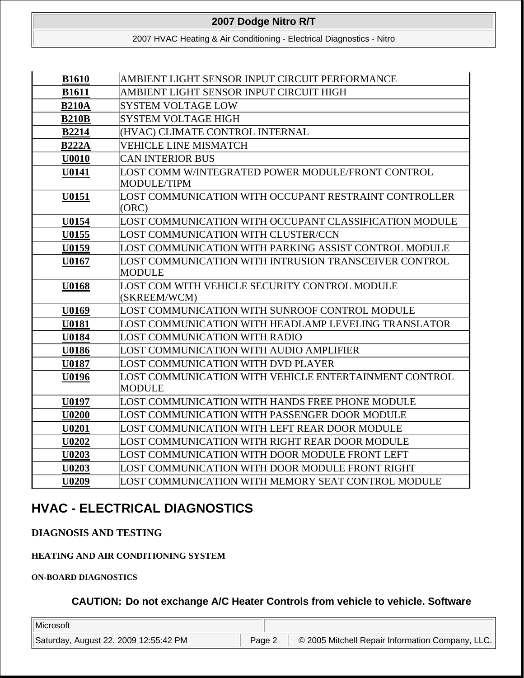2007 HVAC Heating & Air Conditioning - Electrical Diagnostics - Nitro

| <b>B1610</b> | AMBIENT LIGHT SENSOR INPUT CIRCUIT PERFORMANCE         |  |  |
|--------------|--------------------------------------------------------|--|--|
| <b>B1611</b> | AMBIENT LIGHT SENSOR INPUT CIRCUIT HIGH                |  |  |
| <b>B210A</b> | <b>SYSTEM VOLTAGE LOW</b>                              |  |  |
| <b>B210B</b> | <b>SYSTEM VOLTAGE HIGH</b>                             |  |  |
| <b>B2214</b> | (HVAC) CLIMATE CONTROL INTERNAL                        |  |  |
| <b>B222A</b> | <b>VEHICLE LINE MISMATCH</b>                           |  |  |
| U0010        | <b>CAN INTERIOR BUS</b>                                |  |  |
| U0141        | LOST COMM W/INTEGRATED POWER MODULE/FRONT CONTROL      |  |  |
|              | MODULE/TIPM                                            |  |  |
| U0151        | LOST COMMUNICATION WITH OCCUPANT RESTRAINT CONTROLLER  |  |  |
|              | (ORC)                                                  |  |  |
| U0154        | LOST COMMUNICATION WITH OCCUPANT CLASSIFICATION MODULE |  |  |
| U0155        | LOST COMMUNICATION WITH CLUSTER/CCN                    |  |  |
| U0159        | LOST COMMUNICATION WITH PARKING ASSIST CONTROL MODULE  |  |  |
| U0167        | LOST COMMUNICATION WITH INTRUSION TRANSCEIVER CONTROL  |  |  |
|              | MODULE                                                 |  |  |
| U0168        | LOST COM WITH VEHICLE SECURITY CONTROL MODULE          |  |  |
|              | (SKREEM/WCM)                                           |  |  |
| U0169        | LOST COMMUNICATION WITH SUNROOF CONTROL MODULE         |  |  |
| <b>U0181</b> | LOST COMMUNICATION WITH HEADLAMP LEVELING TRANSLATOR   |  |  |
| <b>U0184</b> | LOST COMMUNICATION WITH RADIO                          |  |  |
| U0186        | LOST COMMUNICATION WITH AUDIO AMPLIFIER                |  |  |
| <b>U0187</b> | LOST COMMUNICATION WITH DVD PLAYER                     |  |  |
| U0196        | LOST COMMUNICATION WITH VEHICLE ENTERTAINMENT CONTROL  |  |  |
|              | MODULE                                                 |  |  |
| <b>U0197</b> | LOST COMMUNICATION WITH HANDS FREE PHONE MODULE        |  |  |
| <b>U0200</b> | LOST COMMUNICATION WITH PASSENGER DOOR MODULE          |  |  |
| U0201        | LOST COMMUNICATION WITH LEFT REAR DOOR MODULE          |  |  |
| U0202        | LOST COMMUNICATION WITH RIGHT REAR DOOR MODULE         |  |  |
| <b>U0203</b> | LOST COMMUNICATION WITH DOOR MODULE FRONT LEFT         |  |  |
| U0203        | LOST COMMUNICATION WITH DOOR MODULE FRONT RIGHT        |  |  |
| <b>U0209</b> | LOST COMMUNICATION WITH MEMORY SEAT CONTROL MODULE     |  |  |

# **HVAC - ELECTRICAL DIAGNOSTICS**

**DIAGNOSIS AND TESTING** 

**HEATING AND AIR CONDITIONING SYSTEM** 

**ON-BOARD DIAGNOSTICS** 

**CAUTION: Do not exchange A/C Heater Controls from vehicle to vehicle. Software**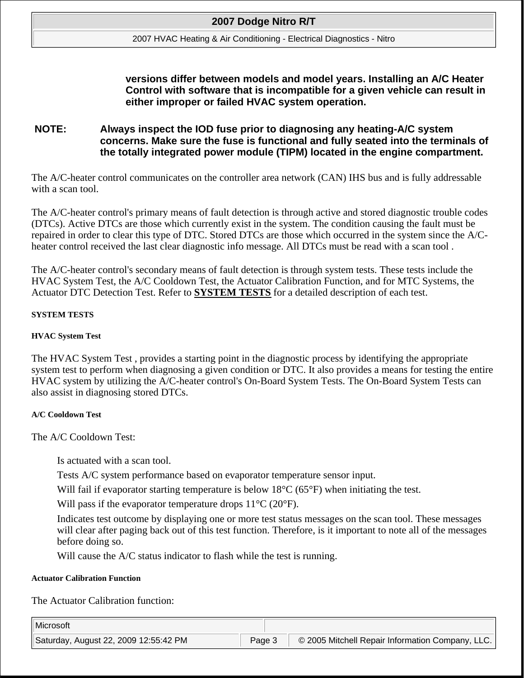#### 2007 HVAC Heating & Air Conditioning - Electrical Diagnostics - Nitro

# **versions differ between models and model years. Installing an A/C Heater Control with software that is incompatible for a given vehicle can result in either improper or failed HVAC system operation.**

# **NOTE: Always inspect the IOD fuse prior to diagnosing any heating-A/C system concerns. Make sure the fuse is functional and fully seated into the terminals of the totally integrated power module (TIPM) located in the engine compartment.**

The A/C-heater control communicates on the controller area network (CAN) IHS bus and is fully addressable with a scan tool.

The A/C-heater control's primary means of fault detection is through active and stored diagnostic trouble codes (DTCs). Active DTCs are those which currently exist in the system. The condition causing the fault must be repaired in order to clear this type of DTC. Stored DTCs are those which occurred in the system since the A/Cheater control received the last clear diagnostic info message. All DTCs must be read with a scan tool .

The A/C-heater control's secondary means of fault detection is through system tests. These tests include the HVAC System Test, the A/C Cooldown Test, the Actuator Calibration Function, and for MTC Systems, the Actuator DTC Detection Test. Refer to **SYSTEM TESTS** for a detailed description of each test.

### **SYSTEM TESTS**

#### **HVAC System Test**

The HVAC System Test , provides a starting point in the diagnostic process by identifying the appropriate system test to perform when diagnosing a given condition or DTC. It also provides a means for testing the entire HVAC system by utilizing the A/C-heater control's On-Board System Tests. The On-Board System Tests can also assist in diagnosing stored DTCs.

#### **A/C Cooldown Test**

The A/C Cooldown Test:

Is actuated with a scan tool.

Tests A/C system performance based on evaporator temperature sensor input.

Will fail if evaporator starting temperature is below 18<sup>o</sup>C (65<sup>o</sup>F) when initiating the test.

Will pass if the evaporator temperature drops  $11^{\circ}C(20^{\circ}F)$ .

Indicates test outcome by displaying one or more test status messages on the scan tool. These messages will clear after paging back out of this test function. Therefore, is it important to note all of the messages before doing so.

Will cause the A/C status indicator to flash while the test is running.

#### **Actuator Calibration Function**

The Actuator Calibration function: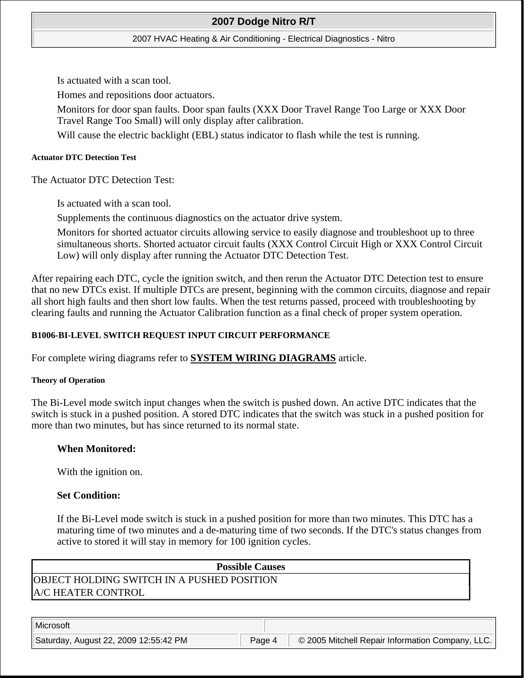### 2007 HVAC Heating & Air Conditioning - Electrical Diagnostics - Nitro

Is actuated with a scan tool.

Homes and repositions door actuators.

Monitors for door span faults. Door span faults (XXX Door Travel Range Too Large or XXX Door Travel Range Too Small) will only display after calibration.

Will cause the electric backlight (EBL) status indicator to flash while the test is running.

### **Actuator DTC Detection Test**

The Actuator DTC Detection Test:

Is actuated with a scan tool.

Supplements the continuous diagnostics on the actuator drive system.

Monitors for shorted actuator circuits allowing service to easily diagnose and troubleshoot up to three simultaneous shorts. Shorted actuator circuit faults (XXX Control Circuit High or XXX Control Circuit Low) will only display after running the Actuator DTC Detection Test.

After repairing each DTC, cycle the ignition switch, and then rerun the Actuator DTC Detection test to ensure that no new DTCs exist. If multiple DTCs are present, beginning with the common circuits, diagnose and repair all short high faults and then short low faults. When the test returns passed, proceed with troubleshooting by clearing faults and running the Actuator Calibration function as a final check of proper system operation.

# **B1006-BI-LEVEL SWITCH REQUEST INPUT CIRCUIT PERFORMANCE**

For complete wiring diagrams refer to **SYSTEM WIRING DIAGRAMS** article.

## **Theory of Operation**

The Bi-Level mode switch input changes when the switch is pushed down. An active DTC indicates that the switch is stuck in a pushed position. A stored DTC indicates that the switch was stuck in a pushed position for more than two minutes, but has since returned to its normal state.

## **When Monitored:**

With the ignition on.

# **Set Condition:**

If the Bi-Level mode switch is stuck in a pushed position for more than two minutes. This DTC has a maturing time of two minutes and a de-maturing time of two seconds. If the DTC's status changes from active to stored it will stay in memory for 100 ignition cycles.

| <b>Possible Causes</b>                      |
|---------------------------------------------|
| IOBJECT HOLDING SWITCH IN A PUSHED POSITION |
| <b>A/C HEATER CONTROL</b>                   |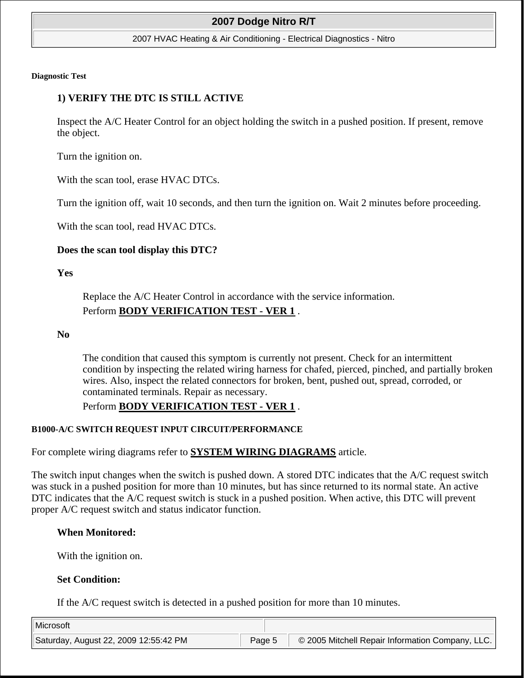#### 2007 HVAC Heating & Air Conditioning - Electrical Diagnostics - Nitro

#### **Diagnostic Test**

### **1) VERIFY THE DTC IS STILL ACTIVE**

Inspect the A/C Heater Control for an object holding the switch in a pushed position. If present, remove the object.

Turn the ignition on.

With the scan tool, erase HVAC DTCs.

Turn the ignition off, wait 10 seconds, and then turn the ignition on. Wait 2 minutes before proceeding.

With the scan tool, read HVAC DTCs.

#### **Does the scan tool display this DTC?**

**Yes**

Replace the A/C Heater Control in accordance with the service information. Perform **BODY VERIFICATION TEST - VER 1** .

#### **No**

The condition that caused this symptom is currently not present. Check for an intermittent condition by inspecting the related wiring harness for chafed, pierced, pinched, and partially broken wires. Also, inspect the related connectors for broken, bent, pushed out, spread, corroded, or contaminated terminals. Repair as necessary.

### Perform **BODY VERIFICATION TEST - VER 1** .

#### **B1000-A/C SWITCH REQUEST INPUT CIRCUIT/PERFORMANCE**

For complete wiring diagrams refer to **SYSTEM WIRING DIAGRAMS** article.

The switch input changes when the switch is pushed down. A stored DTC indicates that the A/C request switch was stuck in a pushed position for more than 10 minutes, but has since returned to its normal state. An active DTC indicates that the A/C request switch is stuck in a pushed position. When active, this DTC will prevent proper A/C request switch and status indicator function.

#### **When Monitored:**

With the ignition on.

#### **Set Condition:**

If the A/C request switch is detected in a pushed position for more than 10 minutes.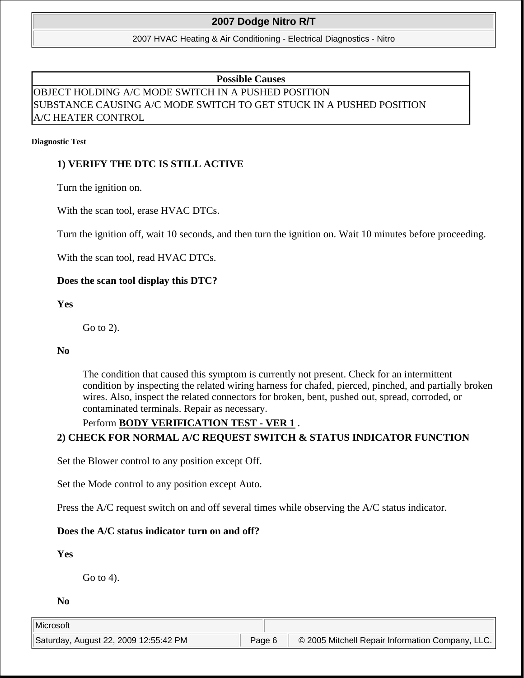2007 HVAC Heating & Air Conditioning - Electrical Diagnostics - Nitro

**Possible Causes** 

# OBJECT HOLDING A/C MODE SWITCH IN A PUSHED POSITION SUBSTANCE CAUSING A/C MODE SWITCH TO GET STUCK IN A PUSHED POSITION A/C HEATER CONTROL

#### **Diagnostic Test**

# **1) VERIFY THE DTC IS STILL ACTIVE**

Turn the ignition on.

With the scan tool, erase HVAC DTCs.

Turn the ignition off, wait 10 seconds, and then turn the ignition on. Wait 10 minutes before proceeding.

With the scan tool, read HVAC DTCs.

### **Does the scan tool display this DTC?**

**Yes**

Go to 2).

### **No**

The condition that caused this symptom is currently not present. Check for an intermittent condition by inspecting the related wiring harness for chafed, pierced, pinched, and partially broken wires. Also, inspect the related connectors for broken, bent, pushed out, spread, corroded, or contaminated terminals. Repair as necessary.

# Perform **BODY VERIFICATION TEST - VER 1** .

# **2) CHECK FOR NORMAL A/C REQUEST SWITCH & STATUS INDICATOR FUNCTION**

Set the Blower control to any position except Off.

Set the Mode control to any position except Auto.

Press the A/C request switch on and off several times while observing the A/C status indicator.

## **Does the A/C status indicator turn on and off?**

## **Yes**

Go to 4).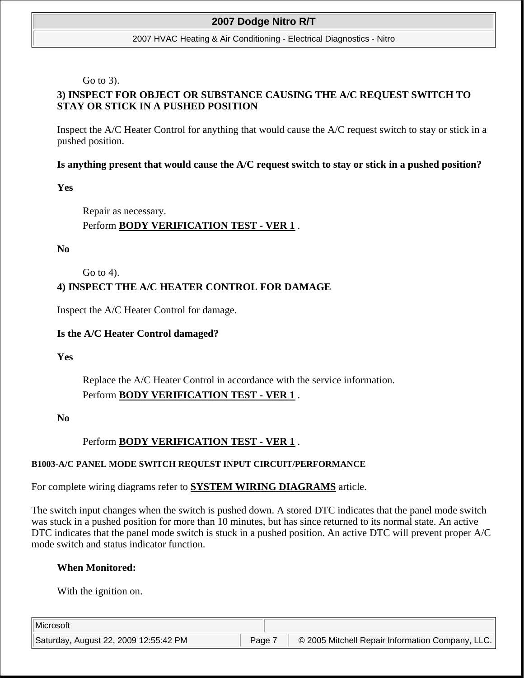#### 2007 HVAC Heating & Air Conditioning - Electrical Diagnostics - Nitro

Go to 3).

# **3) INSPECT FOR OBJECT OR SUBSTANCE CAUSING THE A/C REQUEST SWITCH TO STAY OR STICK IN A PUSHED POSITION**

Inspect the A/C Heater Control for anything that would cause the A/C request switch to stay or stick in a pushed position.

## **Is anything present that would cause the A/C request switch to stay or stick in a pushed position?**

**Yes**

Repair as necessary. Perform **BODY VERIFICATION TEST - VER 1** .

**No**

Go to 4).

# **4) INSPECT THE A/C HEATER CONTROL FOR DAMAGE**

Inspect the A/C Heater Control for damage.

## **Is the A/C Heater Control damaged?**

**Yes**

Replace the A/C Heater Control in accordance with the service information. Perform **BODY VERIFICATION TEST - VER 1** .

**No**

# Perform **BODY VERIFICATION TEST - VER 1** .

## **B1003-A/C PANEL MODE SWITCH REQUEST INPUT CIRCUIT/PERFORMANCE**

For complete wiring diagrams refer to **SYSTEM WIRING DIAGRAMS** article.

The switch input changes when the switch is pushed down. A stored DTC indicates that the panel mode switch was stuck in a pushed position for more than 10 minutes, but has since returned to its normal state. An active DTC indicates that the panel mode switch is stuck in a pushed position. An active DTC will prevent proper A/C mode switch and status indicator function.

## **When Monitored:**

With the ignition on.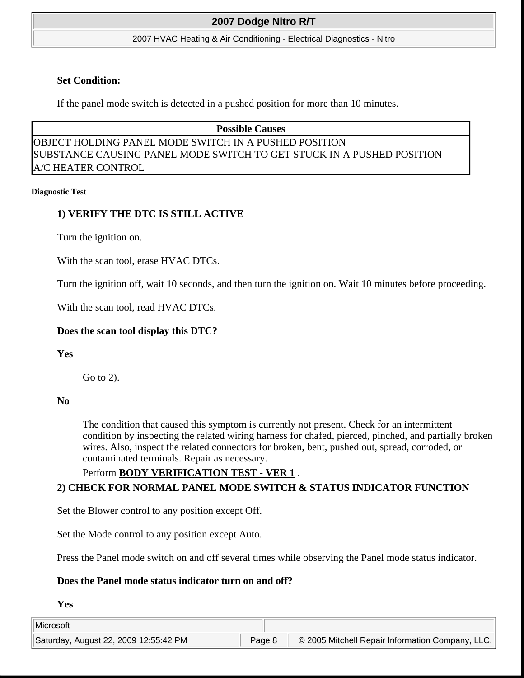#### 2007 HVAC Heating & Air Conditioning - Electrical Diagnostics - Nitro

### **Set Condition:**

If the panel mode switch is detected in a pushed position for more than 10 minutes.

# **Possible Causes**  OBJECT HOLDING PANEL MODE SWITCH IN A PUSHED POSITION SUBSTANCE CAUSING PANEL MODE SWITCH TO GET STUCK IN A PUSHED POSITION A/C HEATER CONTROL

#### **Diagnostic Test**

# **1) VERIFY THE DTC IS STILL ACTIVE**

Turn the ignition on.

With the scan tool, erase HVAC DTCs.

Turn the ignition off, wait 10 seconds, and then turn the ignition on. Wait 10 minutes before proceeding.

With the scan tool, read HVAC DTCs.

## **Does the scan tool display this DTC?**

**Yes**

Go to 2).

### **No**

The condition that caused this symptom is currently not present. Check for an intermittent condition by inspecting the related wiring harness for chafed, pierced, pinched, and partially broken wires. Also, inspect the related connectors for broken, bent, pushed out, spread, corroded, or contaminated terminals. Repair as necessary.

# Perform **BODY VERIFICATION TEST - VER 1** . **2) CHECK FOR NORMAL PANEL MODE SWITCH & STATUS INDICATOR FUNCTION**

Set the Blower control to any position except Off.

Set the Mode control to any position except Auto.

Press the Panel mode switch on and off several times while observing the Panel mode status indicator.

## **Does the Panel mode status indicator turn on and off?**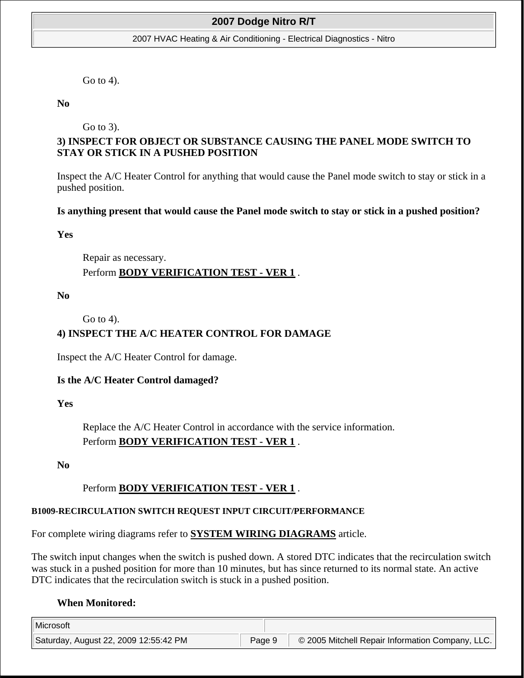#### 2007 HVAC Heating & Air Conditioning - Electrical Diagnostics - Nitro

Go to 4).

**No** 

Go to 3).

# **3) INSPECT FOR OBJECT OR SUBSTANCE CAUSING THE PANEL MODE SWITCH TO STAY OR STICK IN A PUSHED POSITION**

Inspect the A/C Heater Control for anything that would cause the Panel mode switch to stay or stick in a pushed position.

### **Is anything present that would cause the Panel mode switch to stay or stick in a pushed position?**

**Yes**

Repair as necessary. Perform **BODY VERIFICATION TEST - VER 1** .

**No**

Go to 4).

## **4) INSPECT THE A/C HEATER CONTROL FOR DAMAGE**

Inspect the A/C Heater Control for damage.

### **Is the A/C Heater Control damaged?**

**Yes**

Replace the A/C Heater Control in accordance with the service information. Perform **BODY VERIFICATION TEST - VER 1** .

**No**

# Perform **BODY VERIFICATION TEST - VER 1** .

## **B1009-RECIRCULATION SWITCH REQUEST INPUT CIRCUIT/PERFORMANCE**

For complete wiring diagrams refer to **SYSTEM WIRING DIAGRAMS** article.

The switch input changes when the switch is pushed down. A stored DTC indicates that the recirculation switch was stuck in a pushed position for more than 10 minutes, but has since returned to its normal state. An active DTC indicates that the recirculation switch is stuck in a pushed position.

## **When Monitored:**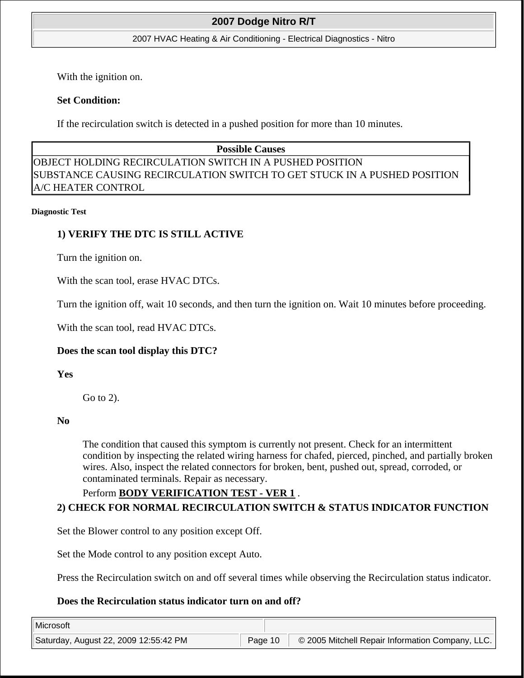#### 2007 HVAC Heating & Air Conditioning - Electrical Diagnostics - Nitro

With the ignition on.

## **Set Condition:**

If the recirculation switch is detected in a pushed position for more than 10 minutes.

# **Possible Causes**  OBJECT HOLDING RECIRCULATION SWITCH IN A PUSHED POSITION SUBSTANCE CAUSING RECIRCULATION SWITCH TO GET STUCK IN A PUSHED POSITION A/C HEATER CONTROL

#### **Diagnostic Test**

# **1) VERIFY THE DTC IS STILL ACTIVE**

Turn the ignition on.

With the scan tool, erase HVAC DTCs.

Turn the ignition off, wait 10 seconds, and then turn the ignition on. Wait 10 minutes before proceeding.

With the scan tool, read HVAC DTCs.

## **Does the scan tool display this DTC?**

**Yes**

Go to 2).

### **No**

The condition that caused this symptom is currently not present. Check for an intermittent condition by inspecting the related wiring harness for chafed, pierced, pinched, and partially broken wires. Also, inspect the related connectors for broken, bent, pushed out, spread, corroded, or contaminated terminals. Repair as necessary.

# Perform **BODY VERIFICATION TEST - VER 1** .

# **2) CHECK FOR NORMAL RECIRCULATION SWITCH & STATUS INDICATOR FUNCTION**

Set the Blower control to any position except Off.

Set the Mode control to any position except Auto.

Press the Recirculation switch on and off several times while observing the Recirculation status indicator.

## **Does the Recirculation status indicator turn on and off?**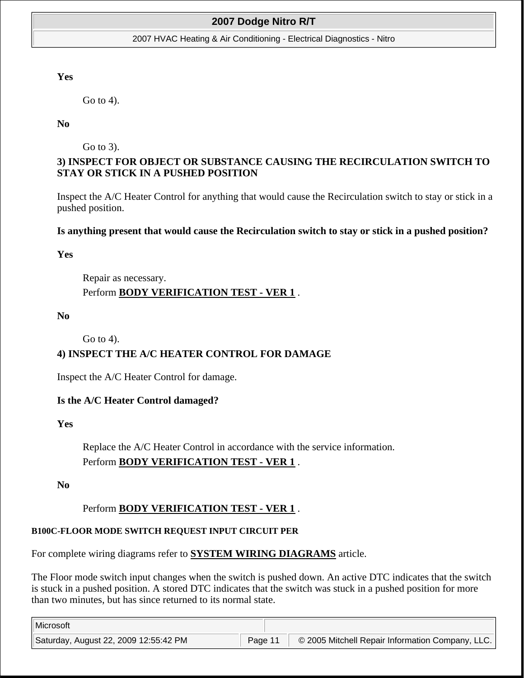#### 2007 HVAC Heating & Air Conditioning - Electrical Diagnostics - Nitro

### **Yes**

Go to 4).

### **No**

Go to 3).

# **3) INSPECT FOR OBJECT OR SUBSTANCE CAUSING THE RECIRCULATION SWITCH TO STAY OR STICK IN A PUSHED POSITION**

Inspect the A/C Heater Control for anything that would cause the Recirculation switch to stay or stick in a pushed position.

### **Is anything present that would cause the Recirculation switch to stay or stick in a pushed position?**

### **Yes**

Repair as necessary. Perform **BODY VERIFICATION TEST - VER 1** .

### **No**

Go to 4).

# **4) INSPECT THE A/C HEATER CONTROL FOR DAMAGE**

Inspect the A/C Heater Control for damage.

## **Is the A/C Heater Control damaged?**

**Yes**

Replace the A/C Heater Control in accordance with the service information. Perform **BODY VERIFICATION TEST - VER 1** .

**No**

# Perform **BODY VERIFICATION TEST - VER 1** .

## **B100C-FLOOR MODE SWITCH REQUEST INPUT CIRCUIT PER**

For complete wiring diagrams refer to **SYSTEM WIRING DIAGRAMS** article.

The Floor mode switch input changes when the switch is pushed down. An active DTC indicates that the switch is stuck in a pushed position. A stored DTC indicates that the switch was stuck in a pushed position for more than two minutes, but has since returned to its normal state.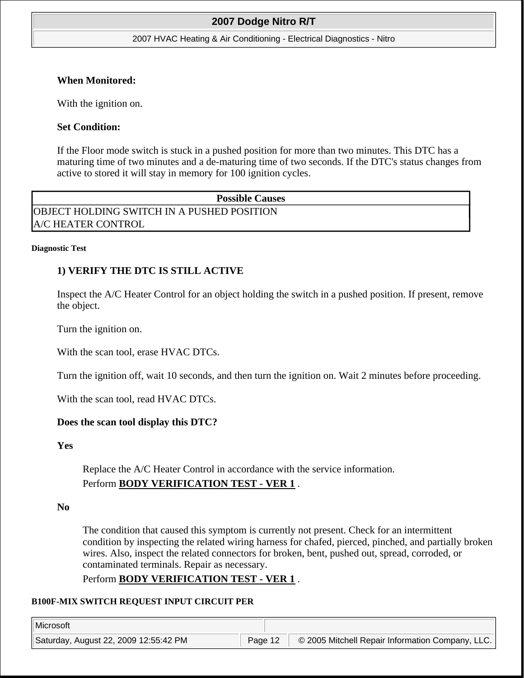#### 2007 HVAC Heating & Air Conditioning - Electrical Diagnostics - Nitro

### **When Monitored:**

With the ignition on.

## **Set Condition:**

If the Floor mode switch is stuck in a pushed position for more than two minutes. This DTC has a maturing time of two minutes and a de-maturing time of two seconds. If the DTC's status changes from active to stored it will stay in memory for 100 ignition cycles.

**Possible Causes**  OBJECT HOLDING SWITCH IN A PUSHED POSITION A/C HEATER CONTROL

#### **Diagnostic Test**

# **1) VERIFY THE DTC IS STILL ACTIVE**

Inspect the A/C Heater Control for an object holding the switch in a pushed position. If present, remove the object.

Turn the ignition on.

With the scan tool, erase HVAC DTCs.

Turn the ignition off, wait 10 seconds, and then turn the ignition on. Wait 2 minutes before proceeding.

With the scan tool, read HVAC DTCs.

## **Does the scan tool display this DTC?**

**Yes**

Replace the A/C Heater Control in accordance with the service information. Perform **BODY VERIFICATION TEST - VER 1** .

**No**

The condition that caused this symptom is currently not present. Check for an intermittent condition by inspecting the related wiring harness for chafed, pierced, pinched, and partially broken wires. Also, inspect the related connectors for broken, bent, pushed out, spread, corroded, or contaminated terminals. Repair as necessary.

Perform **BODY VERIFICATION TEST - VER 1** .

### **B100F-MIX SWITCH REQUEST INPUT CIRCUIT PER**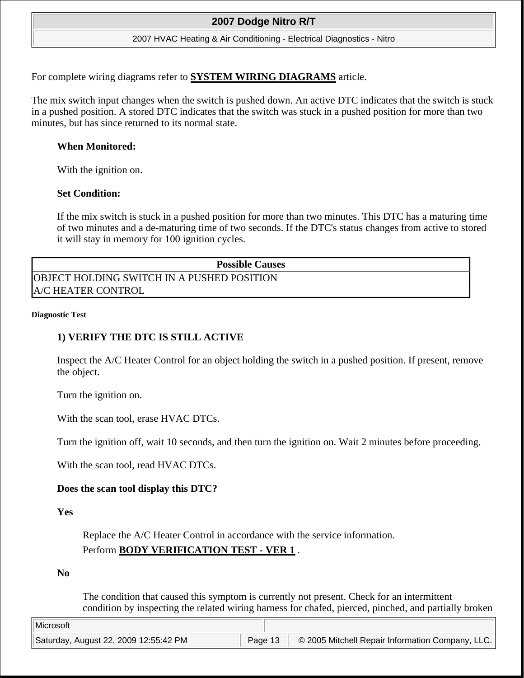#### 2007 HVAC Heating & Air Conditioning - Electrical Diagnostics - Nitro

For complete wiring diagrams refer to **SYSTEM WIRING DIAGRAMS** article.

The mix switch input changes when the switch is pushed down. An active DTC indicates that the switch is stuck in a pushed position. A stored DTC indicates that the switch was stuck in a pushed position for more than two minutes, but has since returned to its normal state.

### **When Monitored:**

With the ignition on.

#### **Set Condition:**

If the mix switch is stuck in a pushed position for more than two minutes. This DTC has a maturing time of two minutes and a de-maturing time of two seconds. If the DTC's status changes from active to stored it will stay in memory for 100 ignition cycles.

#### **Possible Causes**

OBJECT HOLDING SWITCH IN A PUSHED POSITION A/C HEATER CONTROL

#### **Diagnostic Test**

### **1) VERIFY THE DTC IS STILL ACTIVE**

Inspect the A/C Heater Control for an object holding the switch in a pushed position. If present, remove the object.

Turn the ignition on.

With the scan tool, erase HVAC DTCs.

Turn the ignition off, wait 10 seconds, and then turn the ignition on. Wait 2 minutes before proceeding.

With the scan tool, read HVAC DTCs.

### **Does the scan tool display this DTC?**

**Yes**

Replace the A/C Heater Control in accordance with the service information. Perform **BODY VERIFICATION TEST - VER 1** .

**No**

The condition that caused this symptom is currently not present. Check for an intermittent condition by inspecting the related wiring harness for chafed, pierced, pinched, and partially broken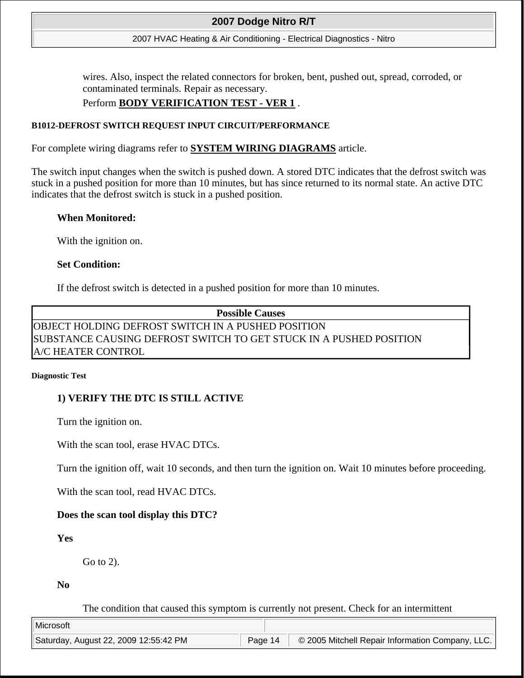#### 2007 HVAC Heating & Air Conditioning - Electrical Diagnostics - Nitro

wires. Also, inspect the related connectors for broken, bent, pushed out, spread, corroded, or contaminated terminals. Repair as necessary.

## Perform **BODY VERIFICATION TEST - VER 1** .

### **B1012-DEFROST SWITCH REQUEST INPUT CIRCUIT/PERFORMANCE**

For complete wiring diagrams refer to **SYSTEM WIRING DIAGRAMS** article.

The switch input changes when the switch is pushed down. A stored DTC indicates that the defrost switch was stuck in a pushed position for more than 10 minutes, but has since returned to its normal state. An active DTC indicates that the defrost switch is stuck in a pushed position.

#### **When Monitored:**

With the ignition on.

#### **Set Condition:**

If the defrost switch is detected in a pushed position for more than 10 minutes.

# **Possible Causes**  OBJECT HOLDING DEFROST SWITCH IN A PUSHED POSITION SUBSTANCE CAUSING DEFROST SWITCH TO GET STUCK IN A PUSHED POSITION A/C HEATER CONTROL

#### **Diagnostic Test**

## **1) VERIFY THE DTC IS STILL ACTIVE**

Turn the ignition on.

With the scan tool, erase HVAC DTCs.

Turn the ignition off, wait 10 seconds, and then turn the ignition on. Wait 10 minutes before proceeding.

With the scan tool, read HVAC DTCs.

### **Does the scan tool display this DTC?**

## **Yes**

Go to 2).

**No**

The condition that caused this symptom is currently not present. Check for an intermittent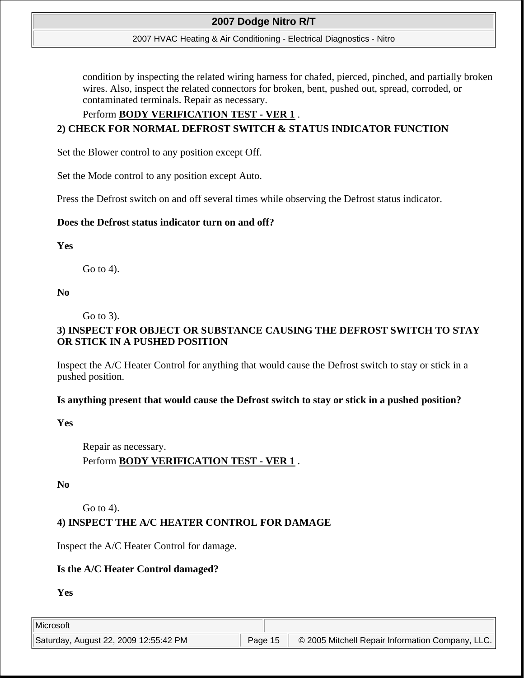#### 2007 HVAC Heating & Air Conditioning - Electrical Diagnostics - Nitro

condition by inspecting the related wiring harness for chafed, pierced, pinched, and partially broken wires. Also, inspect the related connectors for broken, bent, pushed out, spread, corroded, or contaminated terminals. Repair as necessary.

## Perform **BODY VERIFICATION TEST - VER 1** .

# **2) CHECK FOR NORMAL DEFROST SWITCH & STATUS INDICATOR FUNCTION**

Set the Blower control to any position except Off.

Set the Mode control to any position except Auto.

Press the Defrost switch on and off several times while observing the Defrost status indicator.

### **Does the Defrost status indicator turn on and off?**

# **Yes**

Go to 4).

## **No**

Go to 3).

# **3) INSPECT FOR OBJECT OR SUBSTANCE CAUSING THE DEFROST SWITCH TO STAY OR STICK IN A PUSHED POSITION**

Inspect the A/C Heater Control for anything that would cause the Defrost switch to stay or stick in a pushed position.

## **Is anything present that would cause the Defrost switch to stay or stick in a pushed position?**

## **Yes**

Repair as necessary. Perform **BODY VERIFICATION TEST - VER 1** .

## **No**

Go to 4).

# **4) INSPECT THE A/C HEATER CONTROL FOR DAMAGE**

Inspect the A/C Heater Control for damage.

## **Is the A/C Heater Control damaged?**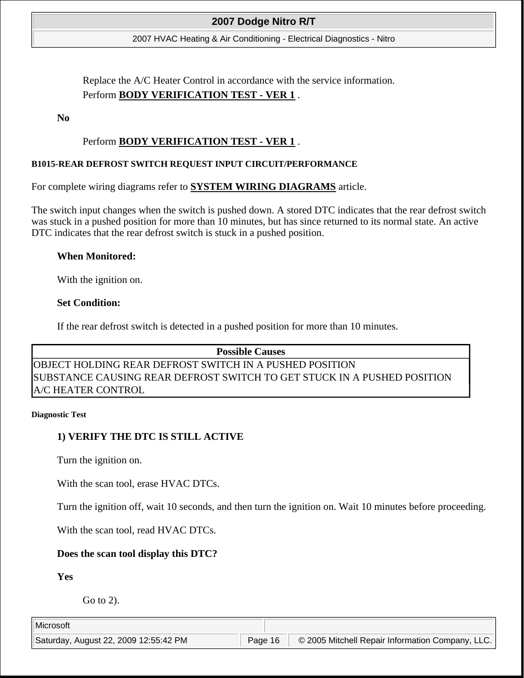2007 HVAC Heating & Air Conditioning - Electrical Diagnostics - Nitro

Replace the A/C Heater Control in accordance with the service information. Perform **BODY VERIFICATION TEST - VER 1** .

**No**

## Perform **BODY VERIFICATION TEST - VER 1** .

### **B1015-REAR DEFROST SWITCH REQUEST INPUT CIRCUIT/PERFORMANCE**

For complete wiring diagrams refer to **SYSTEM WIRING DIAGRAMS** article.

The switch input changes when the switch is pushed down. A stored DTC indicates that the rear defrost switch was stuck in a pushed position for more than 10 minutes, but has since returned to its normal state. An active DTC indicates that the rear defrost switch is stuck in a pushed position.

### **When Monitored:**

With the ignition on.

### **Set Condition:**

If the rear defrost switch is detected in a pushed position for more than 10 minutes.

### **Possible Causes**

OBJECT HOLDING REAR DEFROST SWITCH IN A PUSHED POSITION SUBSTANCE CAUSING REAR DEFROST SWITCH TO GET STUCK IN A PUSHED POSITION A/C HEATER CONTROL

#### **Diagnostic Test**

## **1) VERIFY THE DTC IS STILL ACTIVE**

Turn the ignition on.

With the scan tool, erase HVAC DTCs.

Turn the ignition off, wait 10 seconds, and then turn the ignition on. Wait 10 minutes before proceeding.

With the scan tool, read HVAC DTCs.

## **Does the scan tool display this DTC?**

**Yes**

Go to 2).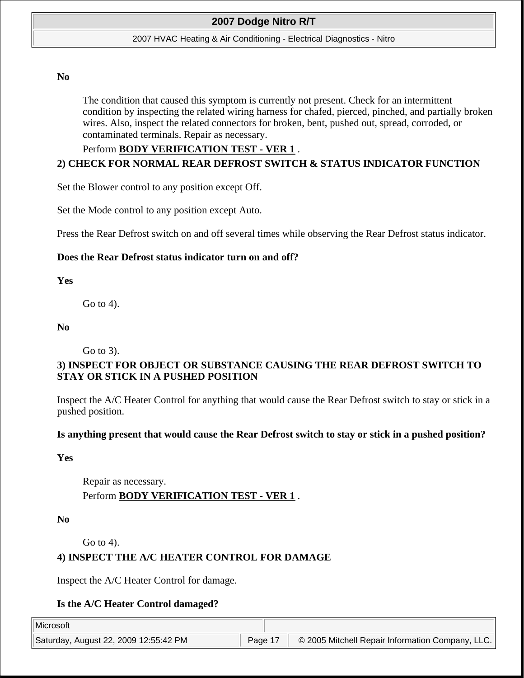#### 2007 HVAC Heating & Air Conditioning - Electrical Diagnostics - Nitro

#### **No**

The condition that caused this symptom is currently not present. Check for an intermittent condition by inspecting the related wiring harness for chafed, pierced, pinched, and partially broken wires. Also, inspect the related connectors for broken, bent, pushed out, spread, corroded, or contaminated terminals. Repair as necessary.

## Perform **BODY VERIFICATION TEST - VER 1** . **2) CHECK FOR NORMAL REAR DEFROST SWITCH & STATUS INDICATOR FUNCTION**

Set the Blower control to any position except Off.

Set the Mode control to any position except Auto.

Press the Rear Defrost switch on and off several times while observing the Rear Defrost status indicator.

### **Does the Rear Defrost status indicator turn on and off?**

**Yes** 

Go to 4).

### **No**

Go to 3).

# **3) INSPECT FOR OBJECT OR SUBSTANCE CAUSING THE REAR DEFROST SWITCH TO STAY OR STICK IN A PUSHED POSITION**

Inspect the A/C Heater Control for anything that would cause the Rear Defrost switch to stay or stick in a pushed position.

### **Is anything present that would cause the Rear Defrost switch to stay or stick in a pushed position?**

**Yes**

Repair as necessary. Perform **BODY VERIFICATION TEST - VER 1** .

**No**

Go to 4).

## **4) INSPECT THE A/C HEATER CONTROL FOR DAMAGE**

Inspect the A/C Heater Control for damage.

## **Is the A/C Heater Control damaged?**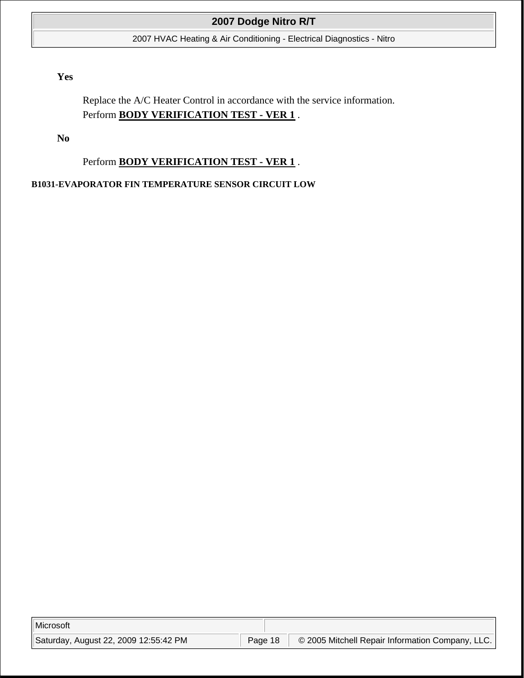2007 HVAC Heating & Air Conditioning - Electrical Diagnostics - Nitro

# **Yes**

Replace the A/C Heater Control in accordance with the service information. Perform **BODY VERIFICATION TEST - VER 1** .

**No**

Perform **BODY VERIFICATION TEST - VER 1** .

## **B1031-EVAPORATOR FIN TEMPERATURE SENSOR CIRCUIT LOW**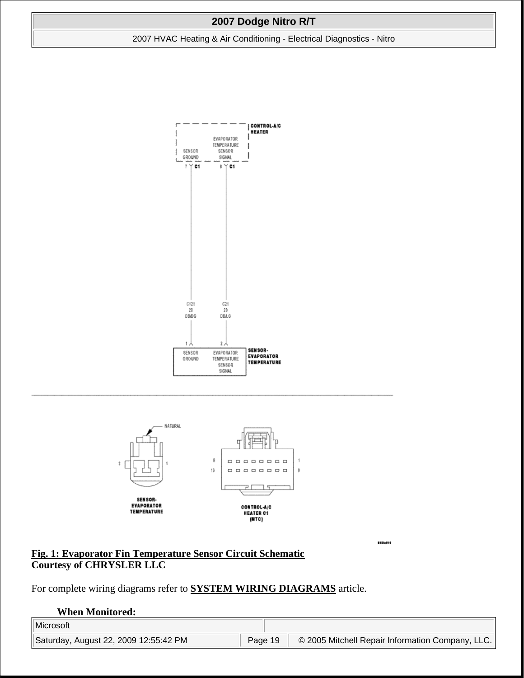2007 HVAC Heating & Air Conditioning - Electrical Diagnostics - Nitro





81504016

**Fig. 1: Evaporator Fin Temperature Sensor Circuit Schematic Courtesy of CHRYSLER LLC**

For complete wiring diagrams refer to **SYSTEM WIRING DIAGRAMS** article.

#### **When Monitored:**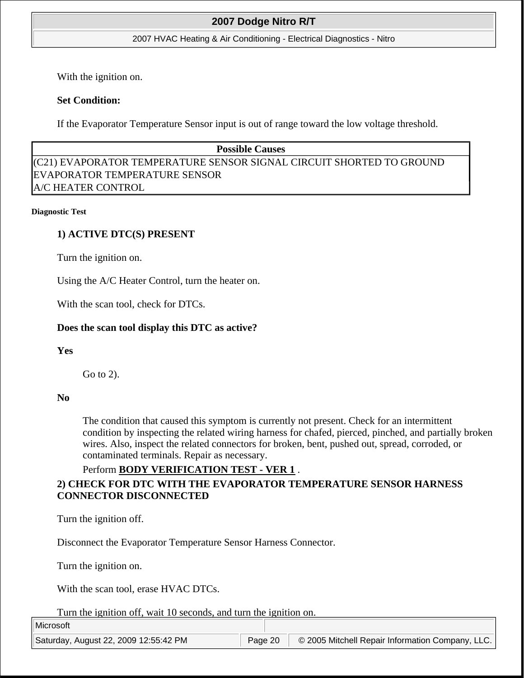#### 2007 HVAC Heating & Air Conditioning - Electrical Diagnostics - Nitro

With the ignition on.

## **Set Condition:**

If the Evaporator Temperature Sensor input is out of range toward the low voltage threshold.

# **Possible Causes**

(C21) EVAPORATOR TEMPERATURE SENSOR SIGNAL CIRCUIT SHORTED TO GROUND EVAPORATOR TEMPERATURE SENSOR A/C HEATER CONTROL

#### **Diagnostic Test**

## **1) ACTIVE DTC(S) PRESENT**

Turn the ignition on.

Using the A/C Heater Control, turn the heater on.

With the scan tool, check for DTCs.

### **Does the scan tool display this DTC as active?**

### **Yes**

Go to 2).

### **No**

The condition that caused this symptom is currently not present. Check for an intermittent condition by inspecting the related wiring harness for chafed, pierced, pinched, and partially broken wires. Also, inspect the related connectors for broken, bent, pushed out, spread, corroded, or contaminated terminals. Repair as necessary.

### Perform **BODY VERIFICATION TEST - VER 1** .

# **2) CHECK FOR DTC WITH THE EVAPORATOR TEMPERATURE SENSOR HARNESS CONNECTOR DISCONNECTED**

Turn the ignition off.

Disconnect the Evaporator Temperature Sensor Harness Connector.

Turn the ignition on.

With the scan tool, erase HVAC DTCs.

Turn the ignition off, wait 10 seconds, and turn the ignition on.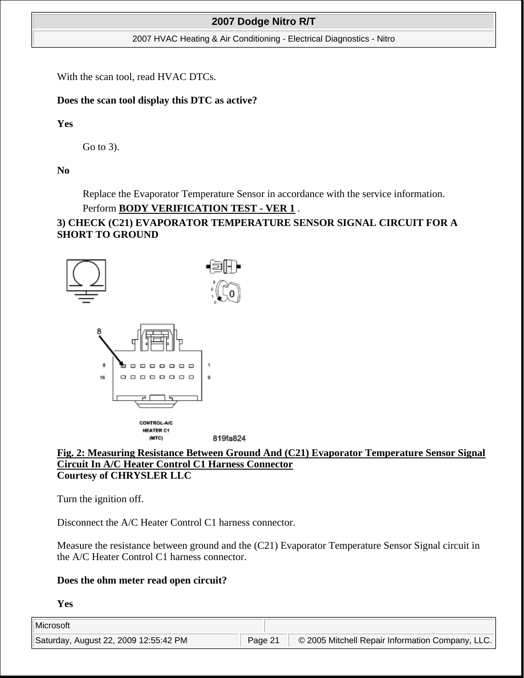2007 HVAC Heating & Air Conditioning - Electrical Diagnostics - Nitro

With the scan tool, read HVAC DTCs.

# **Does the scan tool display this DTC as active?**

**Yes**

Go to 3).

**No**

Replace the Evaporator Temperature Sensor in accordance with the service information.

# Perform **BODY VERIFICATION TEST - VER 1** .

# **3) CHECK (C21) EVAPORATOR TEMPERATURE SENSOR SIGNAL CIRCUIT FOR A SHORT TO GROUND**



## **Fig. 2: Measuring Resistance Between Ground And (C21) Evaporator Temperature Sensor Signal Circuit In A/C Heater Control C1 Harness Connector Courtesy of CHRYSLER LLC**

Turn the ignition off.

Disconnect the A/C Heater Control C1 harness connector.

Measure the resistance between ground and the (C21) Evaporator Temperature Sensor Signal circuit in the A/C Heater Control C1 harness connector.

# **Does the ohm meter read open circuit?**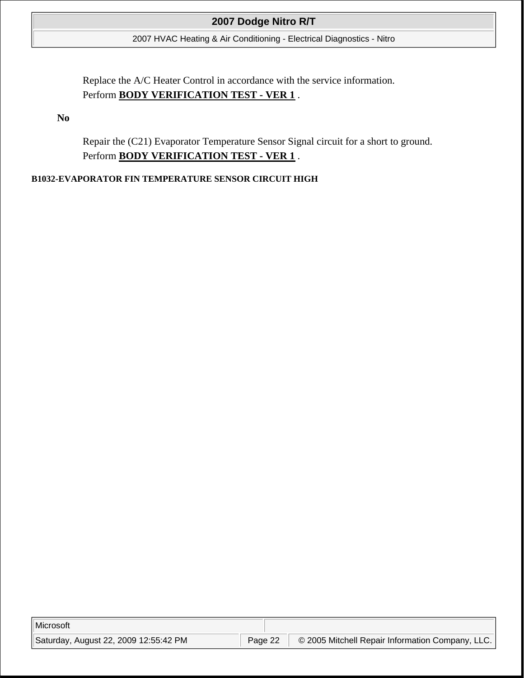2007 HVAC Heating & Air Conditioning - Electrical Diagnostics - Nitro

Replace the A/C Heater Control in accordance with the service information. Perform **BODY VERIFICATION TEST - VER 1** .

**No**

Repair the (C21) Evaporator Temperature Sensor Signal circuit for a short to ground. Perform **BODY VERIFICATION TEST - VER 1** .

## **B1032-EVAPORATOR FIN TEMPERATURE SENSOR CIRCUIT HIGH**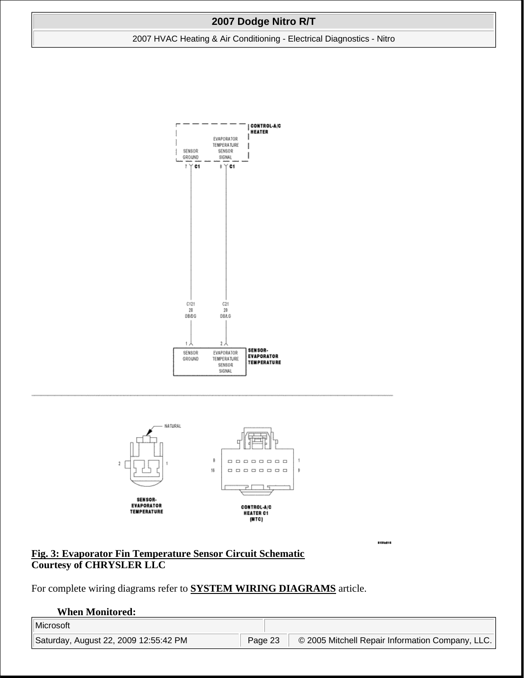2007 HVAC Heating & Air Conditioning - Electrical Diagnostics - Nitro





81504016

**Fig. 3: Evaporator Fin Temperature Sensor Circuit Schematic Courtesy of CHRYSLER LLC**

For complete wiring diagrams refer to **SYSTEM WIRING DIAGRAMS** article.

#### **When Monitored:**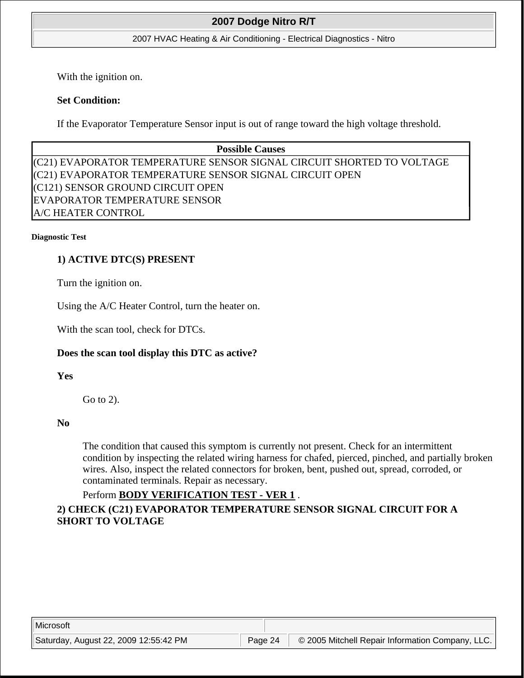### 2007 HVAC Heating & Air Conditioning - Electrical Diagnostics - Nitro

With the ignition on.

# **Set Condition:**

If the Evaporator Temperature Sensor input is out of range toward the high voltage threshold.

# **Possible Causes**  (C21) EVAPORATOR TEMPERATURE SENSOR SIGNAL CIRCUIT SHORTED TO VOLTAGE (C21) EVAPORATOR TEMPERATURE SENSOR SIGNAL CIRCUIT OPEN (C121) SENSOR GROUND CIRCUIT OPEN EVAPORATOR TEMPERATURE SENSOR A/C HEATER CONTROL

#### **Diagnostic Test**

# **1) ACTIVE DTC(S) PRESENT**

Turn the ignition on.

Using the A/C Heater Control, turn the heater on.

With the scan tool, check for DTCs.

## **Does the scan tool display this DTC as active?**

**Yes**

Go to 2).

**No**

The condition that caused this symptom is currently not present. Check for an intermittent condition by inspecting the related wiring harness for chafed, pierced, pinched, and partially broken wires. Also, inspect the related connectors for broken, bent, pushed out, spread, corroded, or contaminated terminals. Repair as necessary.

# Perform **BODY VERIFICATION TEST - VER 1** .

# **2) CHECK (C21) EVAPORATOR TEMPERATURE SENSOR SIGNAL CIRCUIT FOR A SHORT TO VOLTAGE**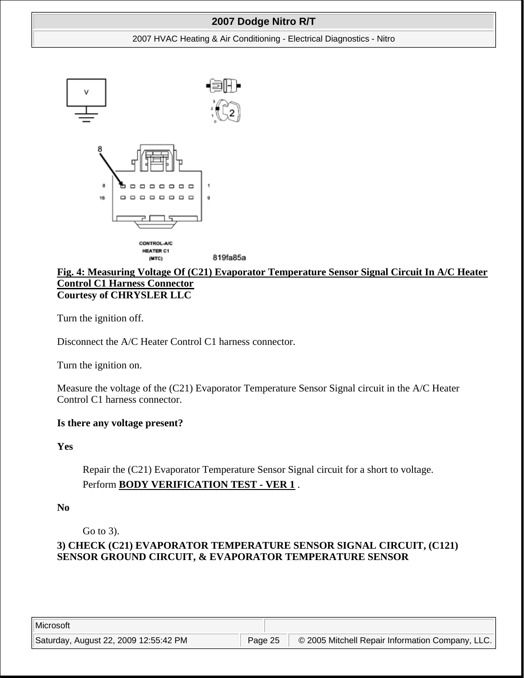#### 2007 HVAC Heating & Air Conditioning - Electrical Diagnostics - Nitro



### **Fig. 4: Measuring Voltage Of (C21) Evaporator Temperature Sensor Signal Circuit In A/C Heater Control C1 Harness Connector Courtesy of CHRYSLER LLC**

Turn the ignition off.

Disconnect the A/C Heater Control C1 harness connector.

Turn the ignition on.

Measure the voltage of the (C21) Evaporator Temperature Sensor Signal circuit in the A/C Heater Control C1 harness connector.

## **Is there any voltage present?**

**Yes**

Repair the (C21) Evaporator Temperature Sensor Signal circuit for a short to voltage. Perform **BODY VERIFICATION TEST - VER 1** .

**No**

Go to 3).

# **3) CHECK (C21) EVAPORATOR TEMPERATURE SENSOR SIGNAL CIRCUIT, (C121) SENSOR GROUND CIRCUIT, & EVAPORATOR TEMPERATURE SENSOR**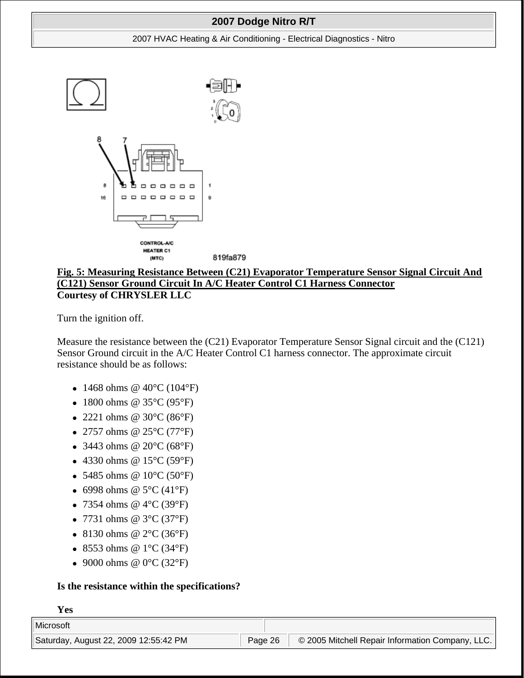#### 2007 HVAC Heating & Air Conditioning - Electrical Diagnostics - Nitro



# **Fig. 5: Measuring Resistance Between (C21) Evaporator Temperature Sensor Signal Circuit And (C121) Sensor Ground Circuit In A/C Heater Control C1 Harness Connector Courtesy of CHRYSLER LLC**

Turn the ignition off.

Measure the resistance between the (C21) Evaporator Temperature Sensor Signal circuit and the (C121) Sensor Ground circuit in the A/C Heater Control C1 harness connector. The approximate circuit resistance should be as follows:

- 1468 ohms @  $40^{\circ}$ C (104°F)
- 1800 ohms @  $35^{\circ}$ C (95°F)
- 2221 ohms @  $30^{\circ}$ C (86 $^{\circ}$ F)
- 2757 ohms @  $25^{\circ}$ C (77°F)
- 3443 ohms @  $20^{\circ}C (68^{\circ}F)$
- 4330 ohms @  $15^{\circ}$ C (59 $^{\circ}$ F)
- 5485 ohms @  $10^{\circ}C(50^{\circ}F)$
- 6998 ohms @  $5^{\circ}$ C (41°F)
- 7354 ohms @  $4^{\circ}$ C (39 $^{\circ}$ F)
- 7731 ohms  $@3°C(37°F)$
- 8130 ohms @  $2^{\circ}C(36^{\circ}F)$
- 8553 ohms @  $1^{\circ}$ C (34 $^{\circ}$ F)
- 9000 ohms  $@ 0°C (32°F)$

## **Is the resistance within the specifications?**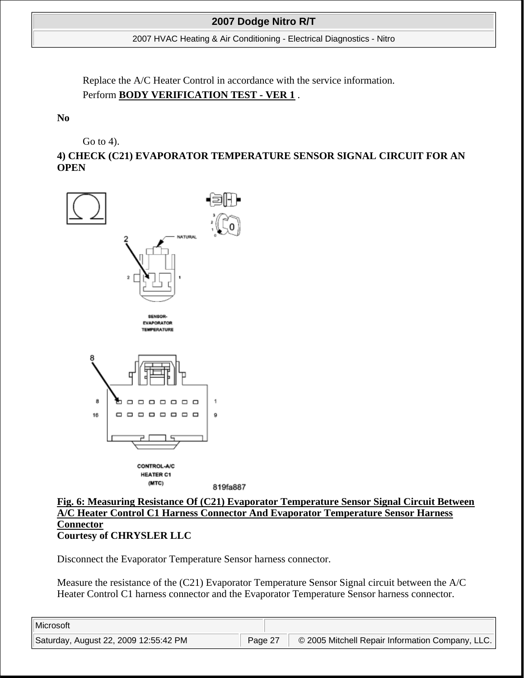2007 HVAC Heating & Air Conditioning - Electrical Diagnostics - Nitro

Replace the A/C Heater Control in accordance with the service information. Perform **BODY VERIFICATION TEST - VER 1** .

**No**

Go to 4).

**4) CHECK (C21) EVAPORATOR TEMPERATURE SENSOR SIGNAL CIRCUIT FOR AN OPEN**



**Fig. 6: Measuring Resistance Of (C21) Evaporator Temperature Sensor Signal Circuit Between A/C Heater Control C1 Harness Connector And Evaporator Temperature Sensor Harness Connector Courtesy of CHRYSLER LLC**

Disconnect the Evaporator Temperature Sensor harness connector.

Measure the resistance of the (C21) Evaporator Temperature Sensor Signal circuit between the A/C Heater Control C1 harness connector and the Evaporator Temperature Sensor harness connector.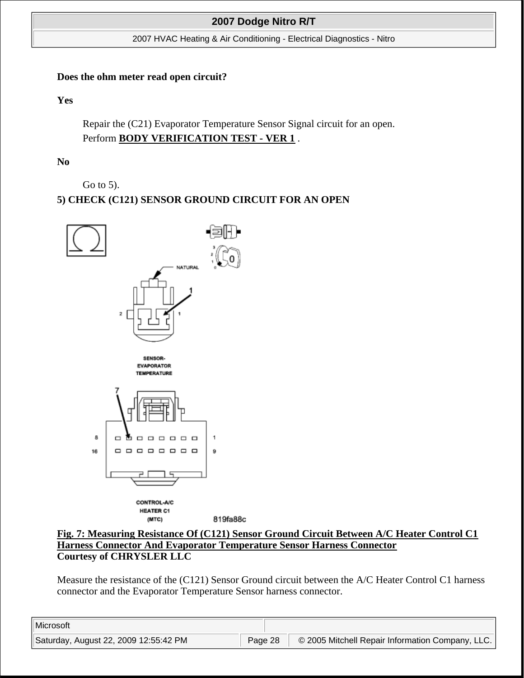2007 HVAC Heating & Air Conditioning - Electrical Diagnostics - Nitro

### **Does the ohm meter read open circuit?**

**Yes**

Repair the (C21) Evaporator Temperature Sensor Signal circuit for an open. Perform **BODY VERIFICATION TEST - VER 1** .

**No**

Go to 5).

# **5) CHECK (C121) SENSOR GROUND CIRCUIT FOR AN OPEN**



## **Fig. 7: Measuring Resistance Of (C121) Sensor Ground Circuit Between A/C Heater Control C1 Harness Connector And Evaporator Temperature Sensor Harness Connector Courtesy of CHRYSLER LLC**

Measure the resistance of the (C121) Sensor Ground circuit between the A/C Heater Control C1 harness connector and the Evaporator Temperature Sensor harness connector.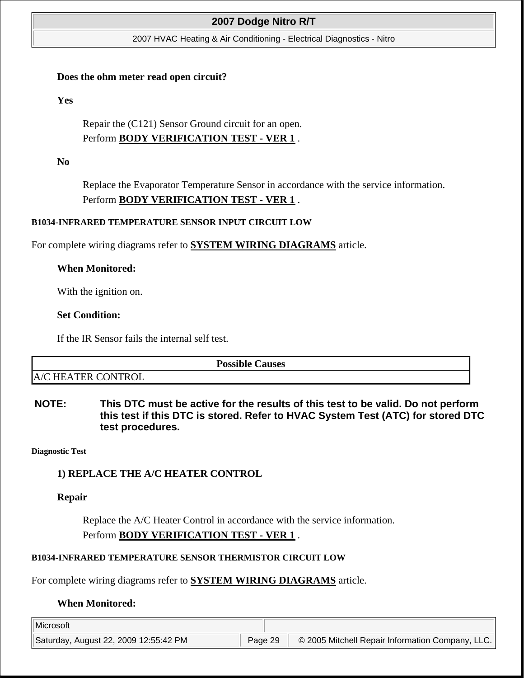#### 2007 HVAC Heating & Air Conditioning - Electrical Diagnostics - Nitro

#### **Does the ohm meter read open circuit?**

**Yes**

Repair the (C121) Sensor Ground circuit for an open. Perform **BODY VERIFICATION TEST - VER 1** .

**No**

Replace the Evaporator Temperature Sensor in accordance with the service information. Perform **BODY VERIFICATION TEST - VER 1** .

#### **B1034-INFRARED TEMPERATURE SENSOR INPUT CIRCUIT LOW**

For complete wiring diagrams refer to **SYSTEM WIRING DIAGRAMS** article.

### **When Monitored:**

With the ignition on.

### **Set Condition:**

If the IR Sensor fails the internal self test.

|                              | <b>Possible</b><br><b>Causes</b> |
|------------------------------|----------------------------------|
| <b>HEATER CONTROL</b><br>A/C |                                  |

**NOTE: This DTC must be active for the results of this test to be valid. Do not perform this test if this DTC is stored. Refer to HVAC System Test (ATC) for stored DTC test procedures.**

**Diagnostic Test** 

### **1) REPLACE THE A/C HEATER CONTROL**

**Repair**

Replace the A/C Heater Control in accordance with the service information. Perform **BODY VERIFICATION TEST - VER 1** .

### **B1034-INFRARED TEMPERATURE SENSOR THERMISTOR CIRCUIT LOW**

For complete wiring diagrams refer to **SYSTEM WIRING DIAGRAMS** article.

### **When Monitored:**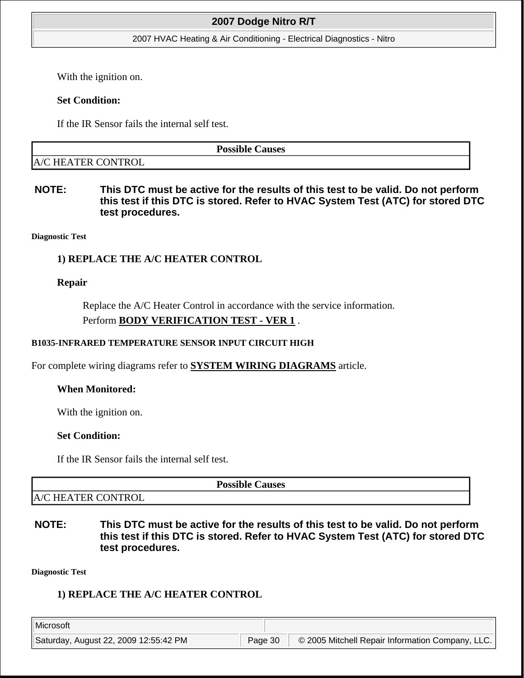#### 2007 HVAC Heating & Air Conditioning - Electrical Diagnostics - Nitro

With the ignition on.

### **Set Condition:**

If the IR Sensor fails the internal self test.

**Possible Causes** 

A/C HEATER CONTROL

**NOTE: This DTC must be active for the results of this test to be valid. Do not perform this test if this DTC is stored. Refer to HVAC System Test (ATC) for stored DTC test procedures.**

**Diagnostic Test** 

## **1) REPLACE THE A/C HEATER CONTROL**

### **Repair**

Replace the A/C Heater Control in accordance with the service information. Perform **BODY VERIFICATION TEST - VER 1** .

### **B1035-INFRARED TEMPERATURE SENSOR INPUT CIRCUIT HIGH**

For complete wiring diagrams refer to **SYSTEM WIRING DIAGRAMS** article.

## **When Monitored:**

With the ignition on.

## **Set Condition:**

If the IR Sensor fails the internal self test.

**Possible Causes** 

A/C HEATER CONTROL

**NOTE: This DTC must be active for the results of this test to be valid. Do not perform this test if this DTC is stored. Refer to HVAC System Test (ATC) for stored DTC test procedures.**

**Diagnostic Test** 

# **1) REPLACE THE A/C HEATER CONTROL**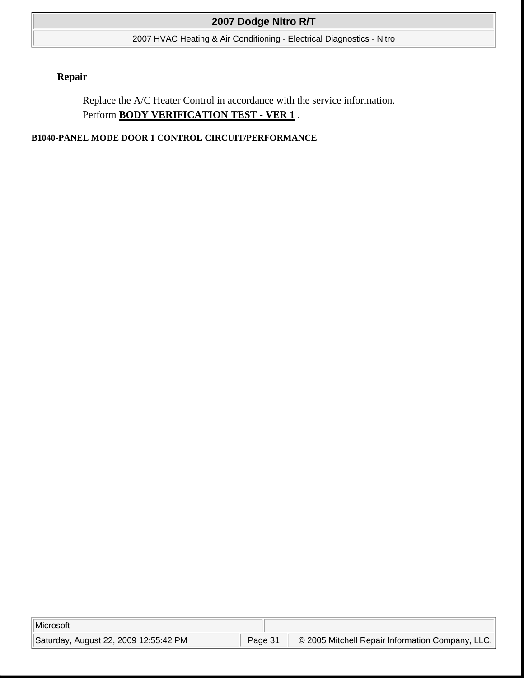2007 HVAC Heating & Air Conditioning - Electrical Diagnostics - Nitro

# **Repair**

Replace the A/C Heater Control in accordance with the service information. Perform **BODY VERIFICATION TEST - VER 1** .

**B1040-PANEL MODE DOOR 1 CONTROL CIRCUIT/PERFORMANCE**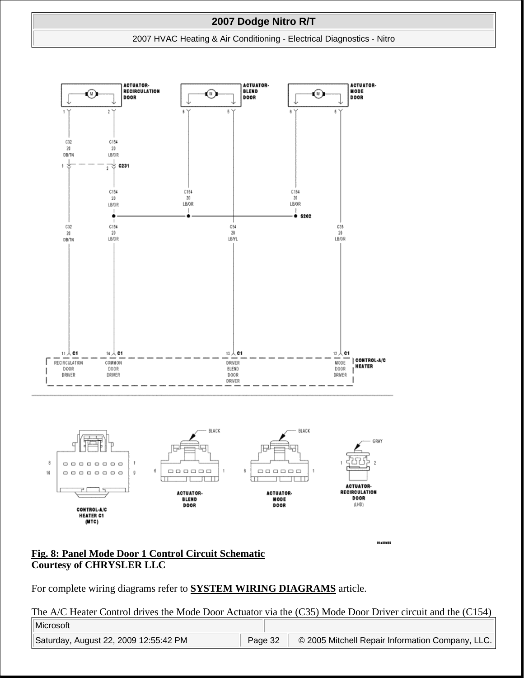#### 2007 HVAC Heating & Air Conditioning - Electrical Diagnostics - Nitro



### **Fig. 8: Panel Mode Door 1 Control Circuit Schematic Courtesy of CHRYSLER LLC**

For complete wiring diagrams refer to **SYSTEM WIRING DIAGRAMS** article.

The A/C Heater Control drives the Mode Door Actuator via the (C35) Mode Door Driver circuit and the (C154)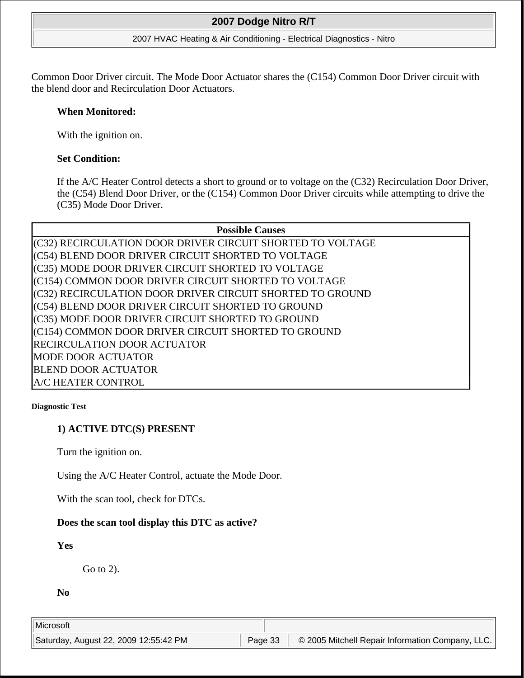#### 2007 HVAC Heating & Air Conditioning - Electrical Diagnostics - Nitro

Common Door Driver circuit. The Mode Door Actuator shares the (C154) Common Door Driver circuit with the blend door and Recirculation Door Actuators.

### **When Monitored:**

With the ignition on.

## **Set Condition:**

If the A/C Heater Control detects a short to ground or to voltage on the (C32) Recirculation Door Driver, the (C54) Blend Door Driver, or the (C154) Common Door Driver circuits while attempting to drive the (C35) Mode Door Driver.

# **Possible Causes**

(C32) RECIRCULATION DOOR DRIVER CIRCUIT SHORTED TO VOLTAGE (C54) BLEND DOOR DRIVER CIRCUIT SHORTED TO VOLTAGE (C35) MODE DOOR DRIVER CIRCUIT SHORTED TO VOLTAGE (C154) COMMON DOOR DRIVER CIRCUIT SHORTED TO VOLTAGE (C32) RECIRCULATION DOOR DRIVER CIRCUIT SHORTED TO GROUND (C54) BLEND DOOR DRIVER CIRCUIT SHORTED TO GROUND (C35) MODE DOOR DRIVER CIRCUIT SHORTED TO GROUND (C154) COMMON DOOR DRIVER CIRCUIT SHORTED TO GROUND RECIRCULATION DOOR ACTUATOR MODE DOOR ACTUATOR BLEND DOOR ACTUATOR A/C HEATER CONTROL

#### **Diagnostic Test**

# **1) ACTIVE DTC(S) PRESENT**

Turn the ignition on.

Using the A/C Heater Control, actuate the Mode Door.

With the scan tool, check for DTCs.

## **Does the scan tool display this DTC as active?**

# **Yes**

Go to 2).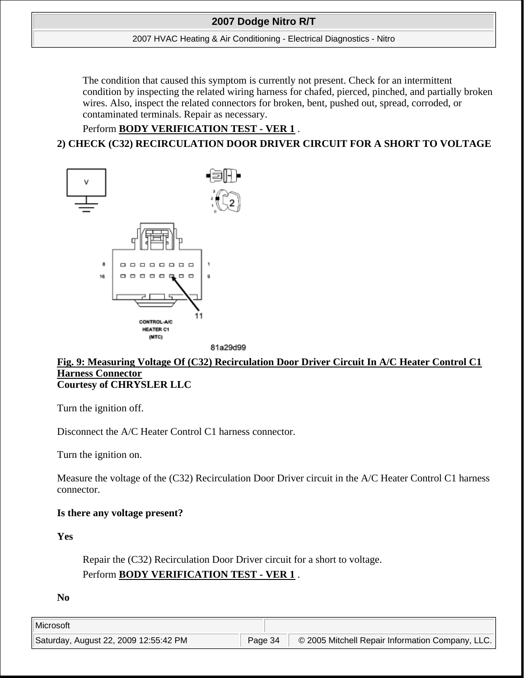#### 2007 HVAC Heating & Air Conditioning - Electrical Diagnostics - Nitro

The condition that caused this symptom is currently not present. Check for an intermittent condition by inspecting the related wiring harness for chafed, pierced, pinched, and partially broken wires. Also, inspect the related connectors for broken, bent, pushed out, spread, corroded, or contaminated terminals. Repair as necessary.

# Perform **BODY VERIFICATION TEST - VER 1** . **2) CHECK (C32) RECIRCULATION DOOR DRIVER CIRCUIT FOR A SHORT TO VOLTAGE**



81a29d99

### **Fig. 9: Measuring Voltage Of (C32) Recirculation Door Driver Circuit In A/C Heater Control C1 Harness Connector Courtesy of CHRYSLER LLC**

Turn the ignition off.

Disconnect the A/C Heater Control C1 harness connector.

Turn the ignition on.

Measure the voltage of the (C32) Recirculation Door Driver circuit in the A/C Heater Control C1 harness connector.

## **Is there any voltage present?**

**Yes**

Repair the (C32) Recirculation Door Driver circuit for a short to voltage. Perform **BODY VERIFICATION TEST - VER 1** .

**No**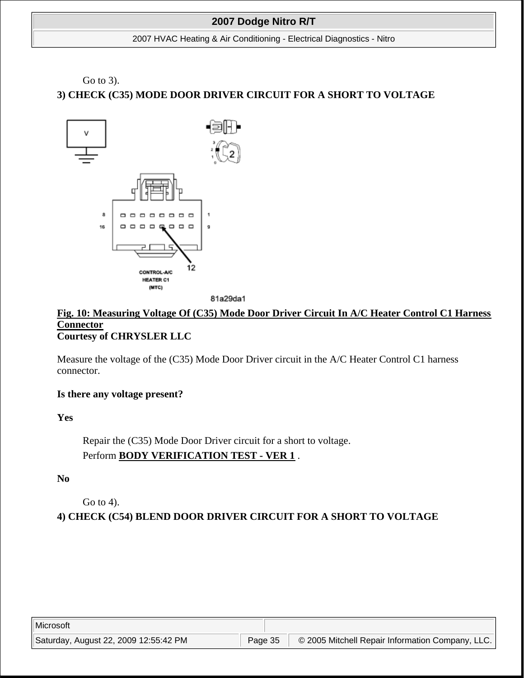#### 2007 HVAC Heating & Air Conditioning - Electrical Diagnostics - Nitro

# Go to 3). **3) CHECK (C35) MODE DOOR DRIVER CIRCUIT FOR A SHORT TO VOLTAGE**



81a29da1

### **Fig. 10: Measuring Voltage Of (C35) Mode Door Driver Circuit In A/C Heater Control C1 Harness Connector Courtesy of CHRYSLER LLC**

Measure the voltage of the (C35) Mode Door Driver circuit in the A/C Heater Control C1 harness connector.

### **Is there any voltage present?**

## **Yes**

Repair the (C35) Mode Door Driver circuit for a short to voltage. Perform **BODY VERIFICATION TEST - VER 1** .

## **No**

Go to 4).

**4) CHECK (C54) BLEND DOOR DRIVER CIRCUIT FOR A SHORT TO VOLTAGE**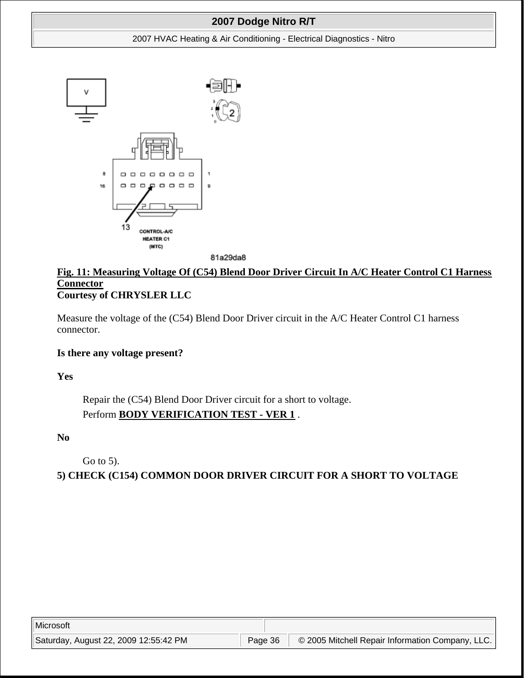#### 2007 HVAC Heating & Air Conditioning - Electrical Diagnostics - Nitro



81a29da8

# **Fig. 11: Measuring Voltage Of (C54) Blend Door Driver Circuit In A/C Heater Control C1 Harness Connector Courtesy of CHRYSLER LLC**

Measure the voltage of the (C54) Blend Door Driver circuit in the A/C Heater Control C1 harness connector.

### **Is there any voltage present?**

**Yes**

Repair the (C54) Blend Door Driver circuit for a short to voltage. Perform **BODY VERIFICATION TEST - VER 1** .

**No**

Go to 5).

**5) CHECK (C154) COMMON DOOR DRIVER CIRCUIT FOR A SHORT TO VOLTAGE**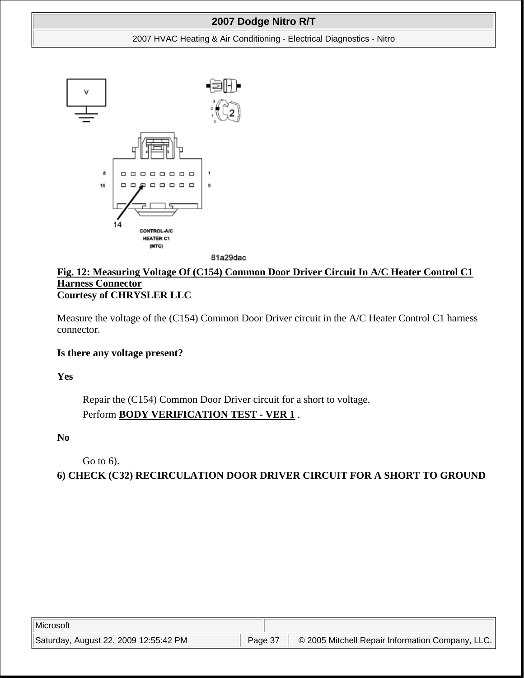#### 2007 HVAC Heating & Air Conditioning - Electrical Diagnostics - Nitro



81a29dac

### **Fig. 12: Measuring Voltage Of (C154) Common Door Driver Circuit In A/C Heater Control C1 Harness Connector Courtesy of CHRYSLER LLC**

Measure the voltage of the (C154) Common Door Driver circuit in the A/C Heater Control C1 harness connector.

### **Is there any voltage present?**

**Yes**

Repair the (C154) Common Door Driver circuit for a short to voltage. Perform **BODY VERIFICATION TEST - VER 1** .

**No**

Go to 6).

**6) CHECK (C32) RECIRCULATION DOOR DRIVER CIRCUIT FOR A SHORT TO GROUND**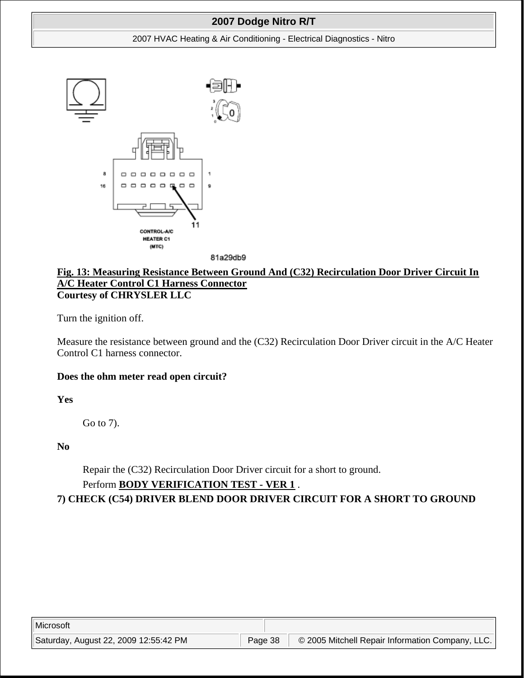#### 2007 HVAC Heating & Air Conditioning - Electrical Diagnostics - Nitro





### **Fig. 13: Measuring Resistance Between Ground And (C32) Recirculation Door Driver Circuit In A/C Heater Control C1 Harness Connector Courtesy of CHRYSLER LLC**

Turn the ignition off.

Measure the resistance between ground and the (C32) Recirculation Door Driver circuit in the A/C Heater Control C1 harness connector.

### **Does the ohm meter read open circuit?**

**Yes**

Go to 7).

**No**

Repair the (C32) Recirculation Door Driver circuit for a short to ground.

## Perform **BODY VERIFICATION TEST - VER 1** .

**7) CHECK (C54) DRIVER BLEND DOOR DRIVER CIRCUIT FOR A SHORT TO GROUND**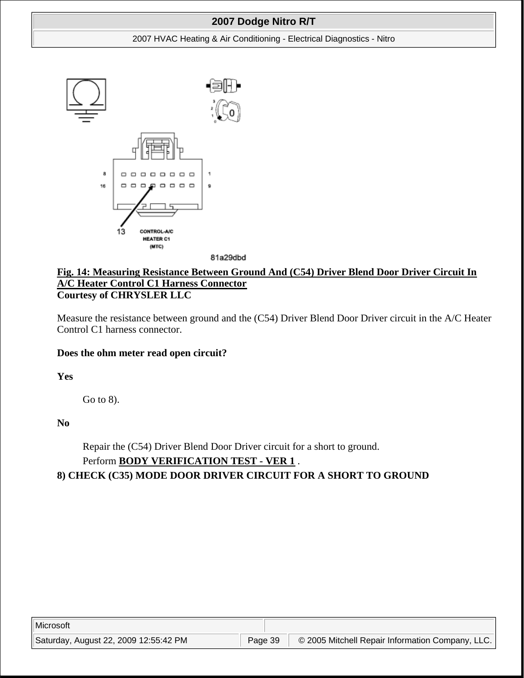#### 2007 HVAC Heating & Air Conditioning - Electrical Diagnostics - Nitro



81a29dbd

### **Fig. 14: Measuring Resistance Between Ground And (C54) Driver Blend Door Driver Circuit In A/C Heater Control C1 Harness Connector Courtesy of CHRYSLER LLC**

Measure the resistance between ground and the (C54) Driver Blend Door Driver circuit in the A/C Heater Control C1 harness connector.

### **Does the ohm meter read open circuit?**

**Yes**

Go to 8).

**No**

Repair the (C54) Driver Blend Door Driver circuit for a short to ground. Perform **BODY VERIFICATION TEST - VER 1** .

## **8) CHECK (C35) MODE DOOR DRIVER CIRCUIT FOR A SHORT TO GROUND**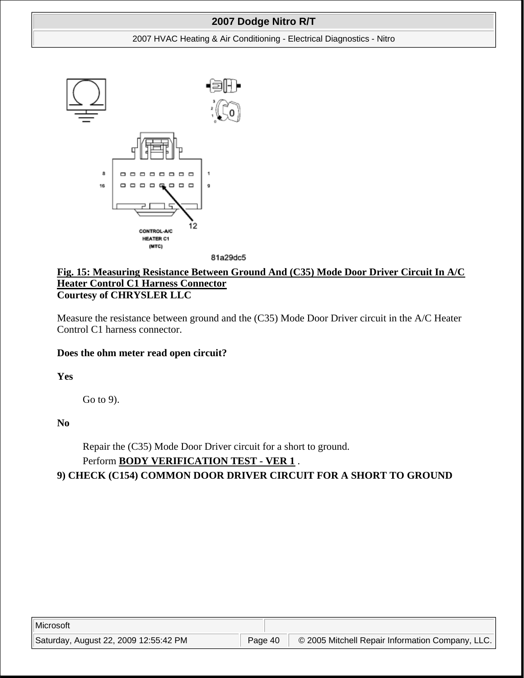#### 2007 HVAC Heating & Air Conditioning - Electrical Diagnostics - Nitro





### **Fig. 15: Measuring Resistance Between Ground And (C35) Mode Door Driver Circuit In A/C Heater Control C1 Harness Connector Courtesy of CHRYSLER LLC**

Measure the resistance between ground and the (C35) Mode Door Driver circuit in the A/C Heater Control C1 harness connector.

### **Does the ohm meter read open circuit?**

**Yes**

Go to 9).

**No**

Repair the (C35) Mode Door Driver circuit for a short to ground. Perform **BODY VERIFICATION TEST - VER 1** .

**9) CHECK (C154) COMMON DOOR DRIVER CIRCUIT FOR A SHORT TO GROUND**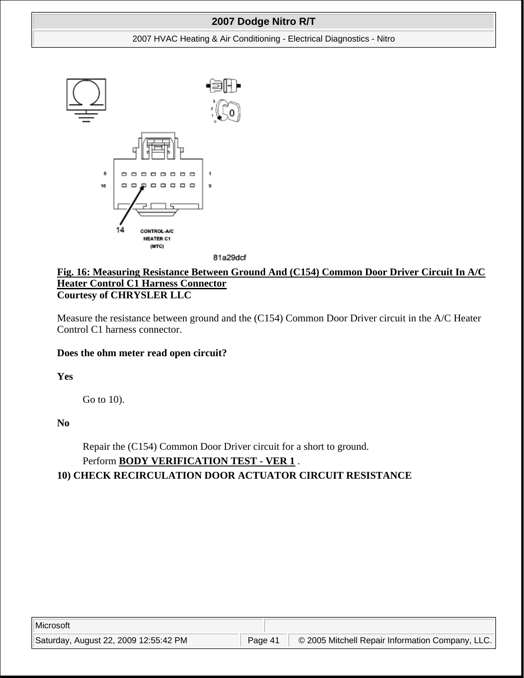#### 2007 HVAC Heating & Air Conditioning - Electrical Diagnostics - Nitro



81a29dcf

## **Fig. 16: Measuring Resistance Between Ground And (C154) Common Door Driver Circuit In A/C Heater Control C1 Harness Connector Courtesy of CHRYSLER LLC**

Measure the resistance between ground and the (C154) Common Door Driver circuit in the A/C Heater Control C1 harness connector.

#### **Does the ohm meter read open circuit?**

**Yes**

Go to 10).

**No**

Repair the (C154) Common Door Driver circuit for a short to ground. Perform **BODY VERIFICATION TEST - VER 1** .

### **10) CHECK RECIRCULATION DOOR ACTUATOR CIRCUIT RESISTANCE**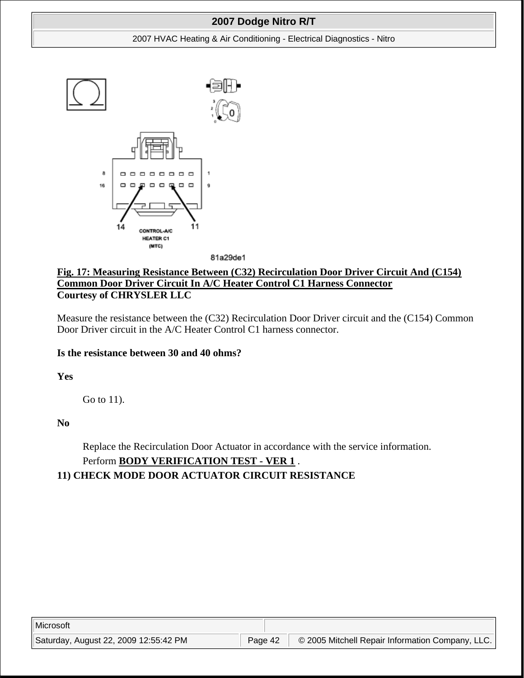#### 2007 HVAC Heating & Air Conditioning - Electrical Diagnostics - Nitro



81a29de1

## **Fig. 17: Measuring Resistance Between (C32) Recirculation Door Driver Circuit And (C154) Common Door Driver Circuit In A/C Heater Control C1 Harness Connector Courtesy of CHRYSLER LLC**

Measure the resistance between the (C32) Recirculation Door Driver circuit and the (C154) Common Door Driver circuit in the A/C Heater Control C1 harness connector.

### **Is the resistance between 30 and 40 ohms?**

**Yes**

Go to 11).

**No**

Replace the Recirculation Door Actuator in accordance with the service information. Perform **BODY VERIFICATION TEST - VER 1** .

## **11) CHECK MODE DOOR ACTUATOR CIRCUIT RESISTANCE**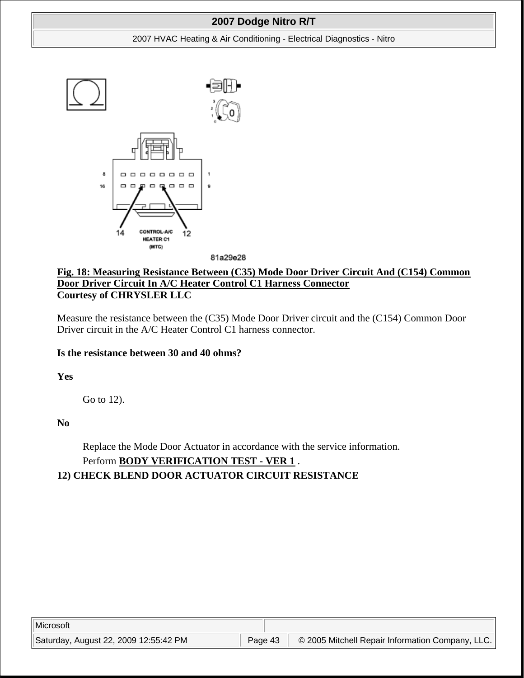#### 2007 HVAC Heating & Air Conditioning - Electrical Diagnostics - Nitro



81a29e28

## **Fig. 18: Measuring Resistance Between (C35) Mode Door Driver Circuit And (C154) Common Door Driver Circuit In A/C Heater Control C1 Harness Connector Courtesy of CHRYSLER LLC**

Measure the resistance between the (C35) Mode Door Driver circuit and the (C154) Common Door Driver circuit in the A/C Heater Control C1 harness connector.

### **Is the resistance between 30 and 40 ohms?**

**Yes**

Go to 12).

**No**

Replace the Mode Door Actuator in accordance with the service information. Perform **BODY VERIFICATION TEST - VER 1** .

## **12) CHECK BLEND DOOR ACTUATOR CIRCUIT RESISTANCE**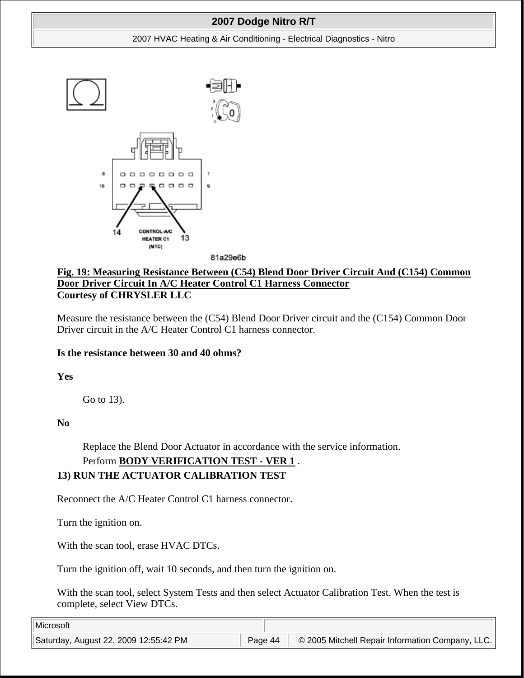#### 2007 HVAC Heating & Air Conditioning - Electrical Diagnostics - Nitro



81a29e6b

## **Fig. 19: Measuring Resistance Between (C54) Blend Door Driver Circuit And (C154) Common Door Driver Circuit In A/C Heater Control C1 Harness Connector Courtesy of CHRYSLER LLC**

Measure the resistance between the (C54) Blend Door Driver circuit and the (C154) Common Door Driver circuit in the A/C Heater Control C1 harness connector.

### **Is the resistance between 30 and 40 ohms?**

**Yes**

Go to 13).

**No**

Replace the Blend Door Actuator in accordance with the service information.

# Perform **BODY VERIFICATION TEST - VER 1** .

## **13) RUN THE ACTUATOR CALIBRATION TEST**

Reconnect the A/C Heater Control C1 harness connector.

Turn the ignition on.

With the scan tool, erase HVAC DTCs.

Turn the ignition off, wait 10 seconds, and then turn the ignition on.

With the scan tool, select System Tests and then select Actuator Calibration Test. When the test is complete, select View DTCs.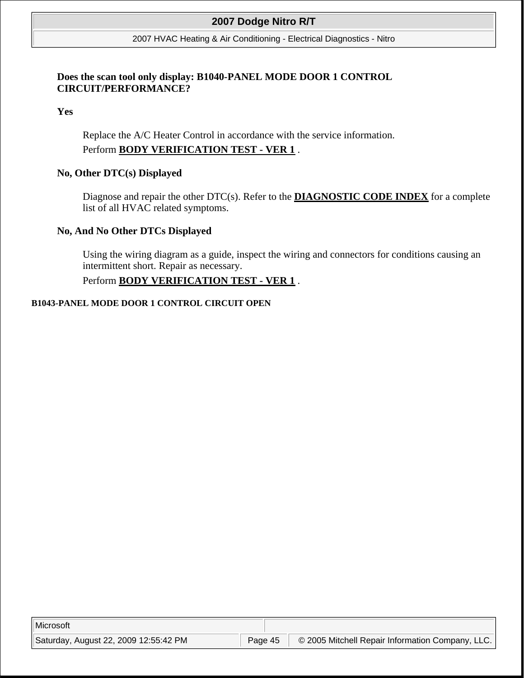#### 2007 HVAC Heating & Air Conditioning - Electrical Diagnostics - Nitro

### **Does the scan tool only display: B1040-PANEL MODE DOOR 1 CONTROL CIRCUIT/PERFORMANCE?**

**Yes**

Replace the A/C Heater Control in accordance with the service information. Perform **BODY VERIFICATION TEST - VER 1** .

### **No, Other DTC(s) Displayed**

Diagnose and repair the other DTC(s). Refer to the **DIAGNOSTIC CODE INDEX** for a complete list of all HVAC related symptoms.

#### **No, And No Other DTCs Displayed**

Using the wiring diagram as a guide, inspect the wiring and connectors for conditions causing an intermittent short. Repair as necessary.

## Perform **BODY VERIFICATION TEST - VER 1** .

#### **B1043-PANEL MODE DOOR 1 CONTROL CIRCUIT OPEN**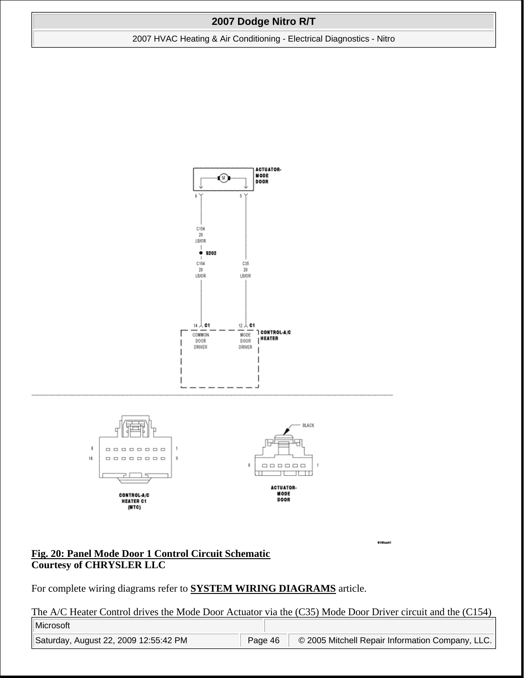2007 HVAC Heating & Air Conditioning - Electrical Diagnostics - Nitro



#### **Fig. 20: Panel Mode Door 1 Control Circuit Schematic Courtesy of CHRYSLER LLC**

For complete wiring diagrams refer to **SYSTEM WIRING DIAGRAMS** article.

The A/C Heater Control drives the Mode Door Actuator via the (C35) Mode Door Driver circuit and the (C154)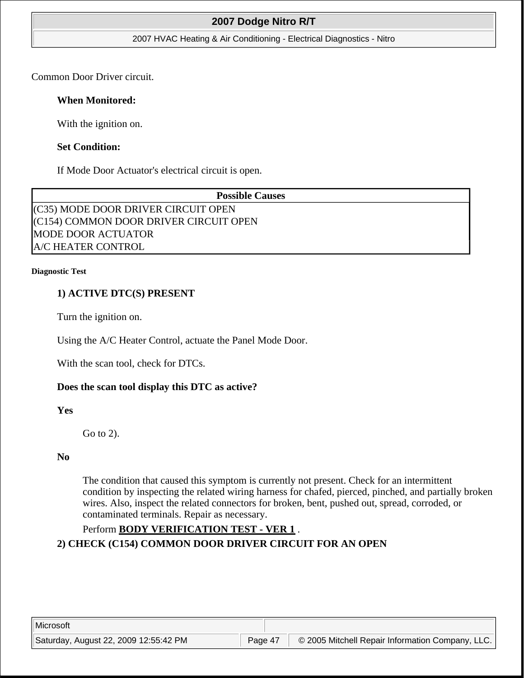#### 2007 HVAC Heating & Air Conditioning - Electrical Diagnostics - Nitro

Common Door Driver circuit.

### **When Monitored:**

With the ignition on.

### **Set Condition:**

If Mode Door Actuator's electrical circuit is open.

**Possible Causes**  (C35) MODE DOOR DRIVER CIRCUIT OPEN (C154) COMMON DOOR DRIVER CIRCUIT OPEN MODE DOOR ACTUATOR A/C HEATER CONTROL

#### **Diagnostic Test**

### **1) ACTIVE DTC(S) PRESENT**

Turn the ignition on.

Using the A/C Heater Control, actuate the Panel Mode Door.

With the scan tool, check for DTCs.

### **Does the scan tool display this DTC as active?**

**Yes**

Go to 2).

#### **No**

The condition that caused this symptom is currently not present. Check for an intermittent condition by inspecting the related wiring harness for chafed, pierced, pinched, and partially broken wires. Also, inspect the related connectors for broken, bent, pushed out, spread, corroded, or contaminated terminals. Repair as necessary.

## Perform **BODY VERIFICATION TEST - VER 1** .

**2) CHECK (C154) COMMON DOOR DRIVER CIRCUIT FOR AN OPEN**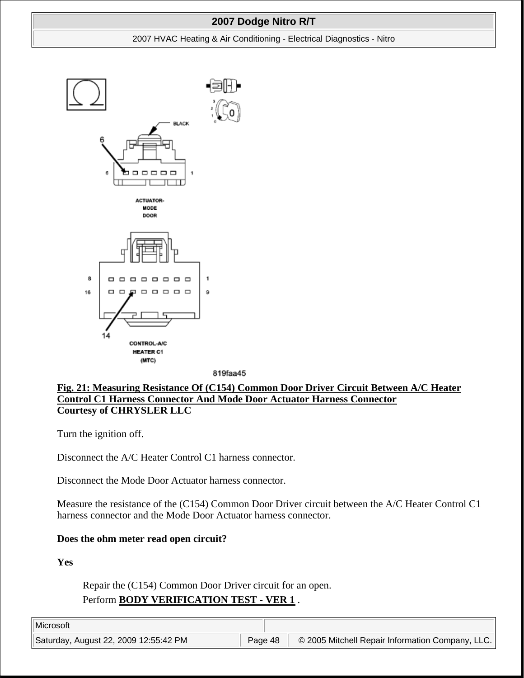#### 2007 HVAC Heating & Air Conditioning - Electrical Diagnostics - Nitro



819faa45

## **Fig. 21: Measuring Resistance Of (C154) Common Door Driver Circuit Between A/C Heater Control C1 Harness Connector And Mode Door Actuator Harness Connector Courtesy of CHRYSLER LLC**

Turn the ignition off.

Disconnect the A/C Heater Control C1 harness connector.

Disconnect the Mode Door Actuator harness connector.

Measure the resistance of the (C154) Common Door Driver circuit between the A/C Heater Control C1 harness connector and the Mode Door Actuator harness connector.

### **Does the ohm meter read open circuit?**

**Yes**

Repair the (C154) Common Door Driver circuit for an open. Perform **BODY VERIFICATION TEST - VER 1** .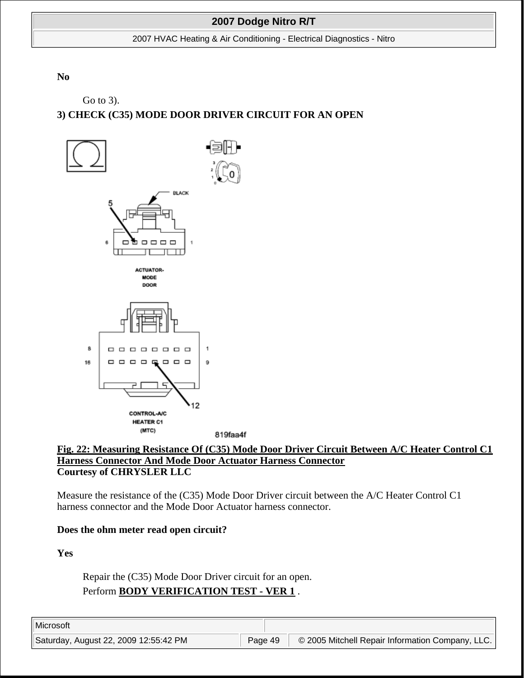2007 HVAC Heating & Air Conditioning - Electrical Diagnostics - Nitro

**No**

Go to 3).

# **3) CHECK (C35) MODE DOOR DRIVER CIRCUIT FOR AN OPEN**



#### **Fig. 22: Measuring Resistance Of (C35) Mode Door Driver Circuit Between A/C Heater Control C1 Harness Connector And Mode Door Actuator Harness Connector Courtesy of CHRYSLER LLC**

Measure the resistance of the (C35) Mode Door Driver circuit between the A/C Heater Control C1 harness connector and the Mode Door Actuator harness connector.

### **Does the ohm meter read open circuit?**

**Yes**

Repair the (C35) Mode Door Driver circuit for an open. Perform **BODY VERIFICATION TEST - VER 1** .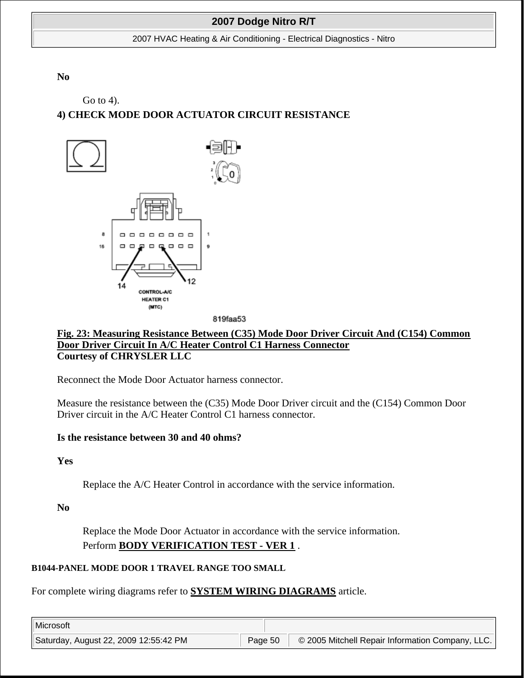2007 HVAC Heating & Air Conditioning - Electrical Diagnostics - Nitro

**No**

Go to 4).

# **4) CHECK MODE DOOR ACTUATOR CIRCUIT RESISTANCE**



819faa53

### **Fig. 23: Measuring Resistance Between (C35) Mode Door Driver Circuit And (C154) Common Door Driver Circuit In A/C Heater Control C1 Harness Connector Courtesy of CHRYSLER LLC**

Reconnect the Mode Door Actuator harness connector.

Measure the resistance between the (C35) Mode Door Driver circuit and the (C154) Common Door Driver circuit in the A/C Heater Control C1 harness connector.

#### **Is the resistance between 30 and 40 ohms?**

**Yes**

Replace the A/C Heater Control in accordance with the service information.

**No**

Replace the Mode Door Actuator in accordance with the service information. Perform **BODY VERIFICATION TEST - VER 1** .

### **B1044-PANEL MODE DOOR 1 TRAVEL RANGE TOO SMALL**

For complete wiring diagrams refer to **SYSTEM WIRING DIAGRAMS** article.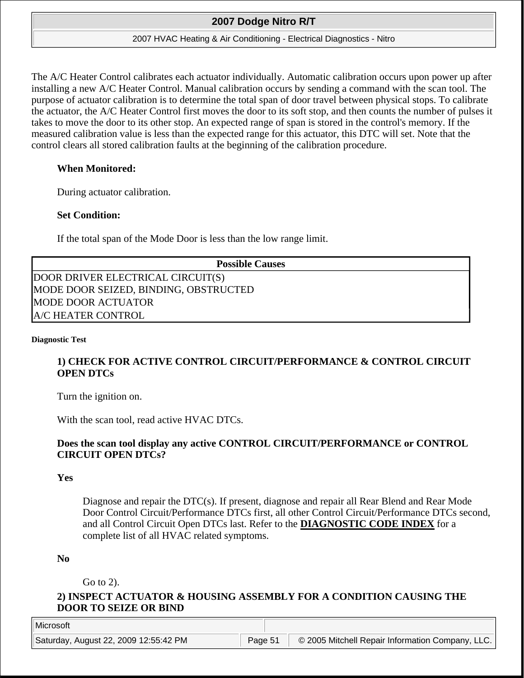#### 2007 HVAC Heating & Air Conditioning - Electrical Diagnostics - Nitro

The A/C Heater Control calibrates each actuator individually. Automatic calibration occurs upon power up after installing a new A/C Heater Control. Manual calibration occurs by sending a command with the scan tool. The purpose of actuator calibration is to determine the total span of door travel between physical stops. To calibrate the actuator, the A/C Heater Control first moves the door to its soft stop, and then counts the number of pulses it takes to move the door to its other stop. An expected range of span is stored in the control's memory. If the measured calibration value is less than the expected range for this actuator, this DTC will set. Note that the control clears all stored calibration faults at the beginning of the calibration procedure.

### **When Monitored:**

During actuator calibration.

### **Set Condition:**

If the total span of the Mode Door is less than the low range limit.

**Possible Causes** 

DOOR DRIVER ELECTRICAL CIRCUIT(S) MODE DOOR SEIZED, BINDING, OBSTRUCTED MODE DOOR ACTUATOR A/C HEATER CONTROL

#### **Diagnostic Test**

## **1) CHECK FOR ACTIVE CONTROL CIRCUIT/PERFORMANCE & CONTROL CIRCUIT OPEN DTCs**

Turn the ignition on.

With the scan tool, read active HVAC DTCs.

### **Does the scan tool display any active CONTROL CIRCUIT/PERFORMANCE or CONTROL CIRCUIT OPEN DTCs?**

#### **Yes**

Diagnose and repair the DTC(s). If present, diagnose and repair all Rear Blend and Rear Mode Door Control Circuit/Performance DTCs first, all other Control Circuit/Performance DTCs second, and all Control Circuit Open DTCs last. Refer to the **DIAGNOSTIC CODE INDEX** for a complete list of all HVAC related symptoms.

#### **No**

Go to 2).

### **2) INSPECT ACTUATOR & HOUSING ASSEMBLY FOR A CONDITION CAUSING THE DOOR TO SEIZE OR BIND**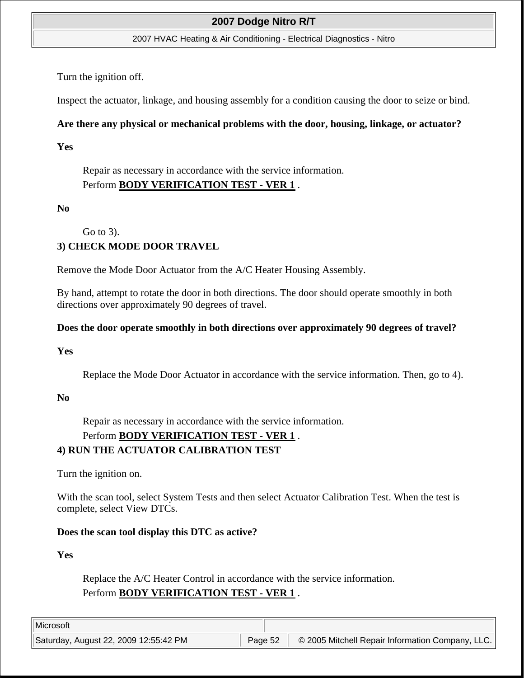#### 2007 HVAC Heating & Air Conditioning - Electrical Diagnostics - Nitro

Turn the ignition off.

Inspect the actuator, linkage, and housing assembly for a condition causing the door to seize or bind.

## **Are there any physical or mechanical problems with the door, housing, linkage, or actuator?**

**Yes**

Repair as necessary in accordance with the service information. Perform **BODY VERIFICATION TEST - VER 1** .

### **No**

Go to 3).

## **3) CHECK MODE DOOR TRAVEL**

Remove the Mode Door Actuator from the A/C Heater Housing Assembly.

By hand, attempt to rotate the door in both directions. The door should operate smoothly in both directions over approximately 90 degrees of travel.

### **Does the door operate smoothly in both directions over approximately 90 degrees of travel?**

### **Yes**

Replace the Mode Door Actuator in accordance with the service information. Then, go to 4).

### **No**

Repair as necessary in accordance with the service information.

## Perform **BODY VERIFICATION TEST - VER 1** .

## **4) RUN THE ACTUATOR CALIBRATION TEST**

Turn the ignition on.

With the scan tool, select System Tests and then select Actuator Calibration Test. When the test is complete, select View DTCs.

### **Does the scan tool display this DTC as active?**

**Yes**

Replace the A/C Heater Control in accordance with the service information. Perform **BODY VERIFICATION TEST - VER 1** .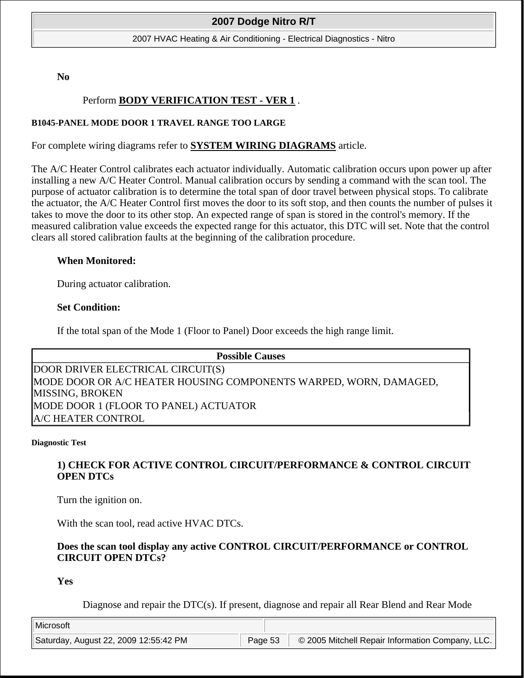2007 HVAC Heating & Air Conditioning - Electrical Diagnostics - Nitro

**No**

### Perform **BODY VERIFICATION TEST - VER 1** .

#### **B1045-PANEL MODE DOOR 1 TRAVEL RANGE TOO LARGE**

For complete wiring diagrams refer to **SYSTEM WIRING DIAGRAMS** article.

The A/C Heater Control calibrates each actuator individually. Automatic calibration occurs upon power up after installing a new A/C Heater Control. Manual calibration occurs by sending a command with the scan tool. The purpose of actuator calibration is to determine the total span of door travel between physical stops. To calibrate the actuator, the A/C Heater Control first moves the door to its soft stop, and then counts the number of pulses it takes to move the door to its other stop. An expected range of span is stored in the control's memory. If the measured calibration value exceeds the expected range for this actuator, this DTC will set. Note that the control clears all stored calibration faults at the beginning of the calibration procedure.

#### **When Monitored:**

During actuator calibration.

#### **Set Condition:**

If the total span of the Mode 1 (Floor to Panel) Door exceeds the high range limit.

| <b>Possible Causes</b>                                            |  |
|-------------------------------------------------------------------|--|
| DOOR DRIVER ELECTRICAL CIRCUIT(S)                                 |  |
| MODE DOOR OR A/C HEATER HOUSING COMPONENTS WARPED, WORN, DAMAGED, |  |
| MISSING, BROKEN                                                   |  |
| MODE DOOR 1 (FLOOR TO PANEL) ACTUATOR                             |  |
| <b>A/C HEATER CONTROL</b>                                         |  |

#### **Diagnostic Test**

### **1) CHECK FOR ACTIVE CONTROL CIRCUIT/PERFORMANCE & CONTROL CIRCUIT OPEN DTCs**

Turn the ignition on.

With the scan tool, read active HVAC DTCs.

### **Does the scan tool display any active CONTROL CIRCUIT/PERFORMANCE or CONTROL CIRCUIT OPEN DTCs?**

**Yes**

Diagnose and repair the DTC(s). If present, diagnose and repair all Rear Blend and Rear Mode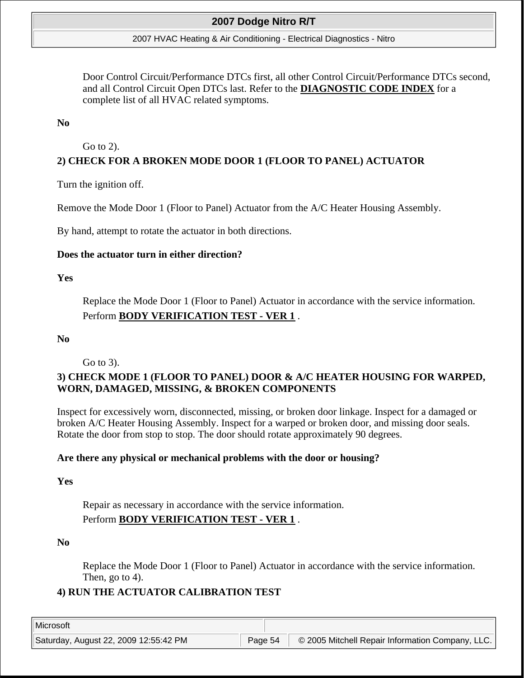#### 2007 HVAC Heating & Air Conditioning - Electrical Diagnostics - Nitro

Door Control Circuit/Performance DTCs first, all other Control Circuit/Performance DTCs second, and all Control Circuit Open DTCs last. Refer to the **DIAGNOSTIC CODE INDEX** for a complete list of all HVAC related symptoms.

#### **No**

### Go to 2).

## **2) CHECK FOR A BROKEN MODE DOOR 1 (FLOOR TO PANEL) ACTUATOR**

Turn the ignition off.

Remove the Mode Door 1 (Floor to Panel) Actuator from the A/C Heater Housing Assembly.

By hand, attempt to rotate the actuator in both directions.

#### **Does the actuator turn in either direction?**

### **Yes**

Replace the Mode Door 1 (Floor to Panel) Actuator in accordance with the service information. Perform **BODY VERIFICATION TEST - VER 1** .

#### **No**

Go to 3).

## **3) CHECK MODE 1 (FLOOR TO PANEL) DOOR & A/C HEATER HOUSING FOR WARPED, WORN, DAMAGED, MISSING, & BROKEN COMPONENTS**

Inspect for excessively worn, disconnected, missing, or broken door linkage. Inspect for a damaged or broken A/C Heater Housing Assembly. Inspect for a warped or broken door, and missing door seals. Rotate the door from stop to stop. The door should rotate approximately 90 degrees.

### **Are there any physical or mechanical problems with the door or housing?**

#### **Yes**

Repair as necessary in accordance with the service information.

## Perform **BODY VERIFICATION TEST - VER 1** .

### **No**

Replace the Mode Door 1 (Floor to Panel) Actuator in accordance with the service information. Then, go to 4).

## **4) RUN THE ACTUATOR CALIBRATION TEST**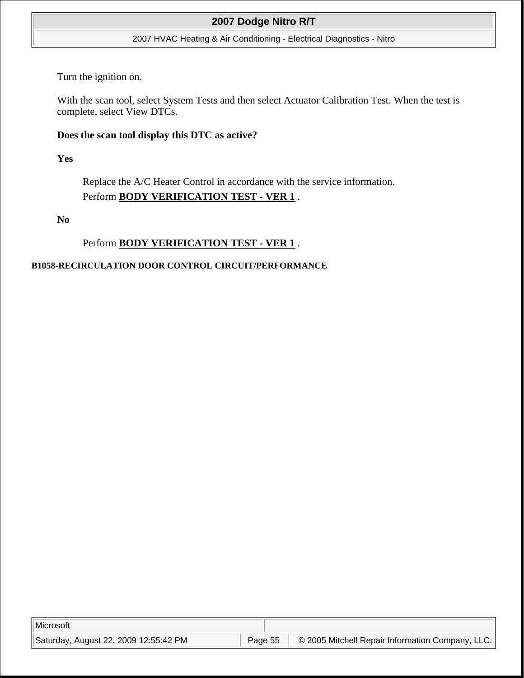#### 2007 HVAC Heating & Air Conditioning - Electrical Diagnostics - Nitro

Turn the ignition on.

With the scan tool, select System Tests and then select Actuator Calibration Test. When the test is complete, select View DTCs.

#### **Does the scan tool display this DTC as active?**

**Yes**

Replace the A/C Heater Control in accordance with the service information. Perform **BODY VERIFICATION TEST - VER 1** .

**No**

### Perform **BODY VERIFICATION TEST - VER 1** .

#### **B1058-RECIRCULATION DOOR CONTROL CIRCUIT/PERFORMANCE**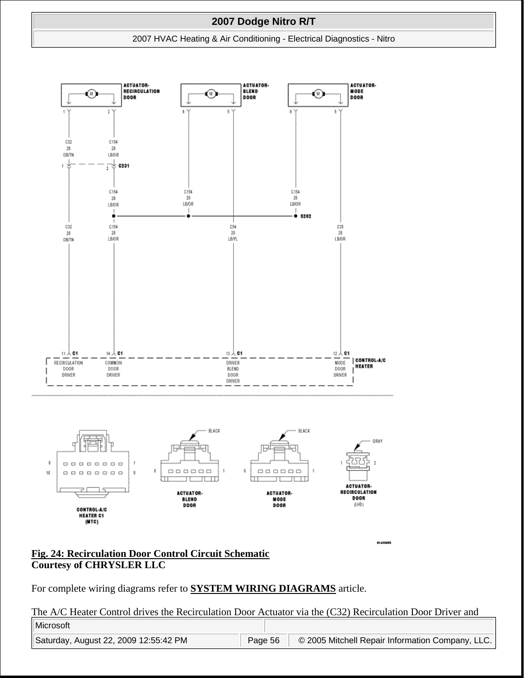#### 2007 HVAC Heating & Air Conditioning - Electrical Diagnostics - Nitro



#### **Fig. 24: Recirculation Door Control Circuit Schematic Courtesy of CHRYSLER LLC**

For complete wiring diagrams refer to **SYSTEM WIRING DIAGRAMS** article.

The A/C Heater Control drives the Recirculation Door Actuator via the (C32) Recirculation Door Driver and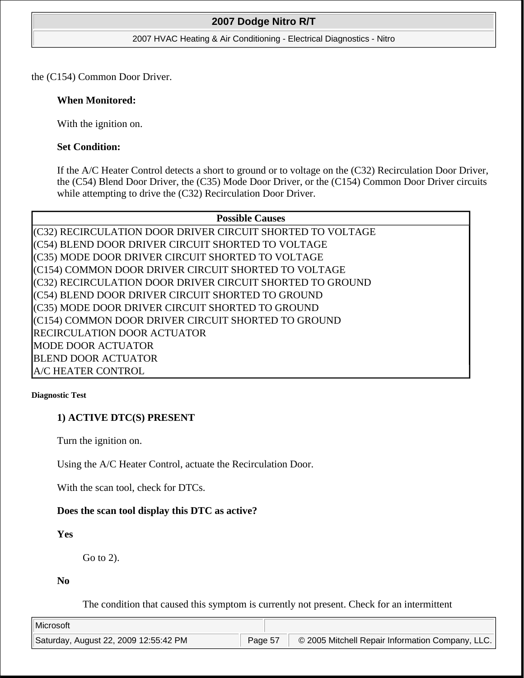#### 2007 HVAC Heating & Air Conditioning - Electrical Diagnostics - Nitro

the (C154) Common Door Driver.

#### **When Monitored:**

With the ignition on.

### **Set Condition:**

If the A/C Heater Control detects a short to ground or to voltage on the (C32) Recirculation Door Driver, the (C54) Blend Door Driver, the (C35) Mode Door Driver, or the (C154) Common Door Driver circuits while attempting to drive the (C32) Recirculation Door Driver.

#### **Possible Causes**

(C32) RECIRCULATION DOOR DRIVER CIRCUIT SHORTED TO VOLTAGE (C54) BLEND DOOR DRIVER CIRCUIT SHORTED TO VOLTAGE (C35) MODE DOOR DRIVER CIRCUIT SHORTED TO VOLTAGE (C154) COMMON DOOR DRIVER CIRCUIT SHORTED TO VOLTAGE (C32) RECIRCULATION DOOR DRIVER CIRCUIT SHORTED TO GROUND (C54) BLEND DOOR DRIVER CIRCUIT SHORTED TO GROUND (C35) MODE DOOR DRIVER CIRCUIT SHORTED TO GROUND (C154) COMMON DOOR DRIVER CIRCUIT SHORTED TO GROUND RECIRCULATION DOOR ACTUATOR MODE DOOR ACTUATOR BLEND DOOR ACTUATOR A/C HEATER CONTROL

#### **Diagnostic Test**

### **1) ACTIVE DTC(S) PRESENT**

Turn the ignition on.

Using the A/C Heater Control, actuate the Recirculation Door.

With the scan tool, check for DTCs.

### **Does the scan tool display this DTC as active?**

**Yes**

Go to 2).

**No**

The condition that caused this symptom is currently not present. Check for an intermittent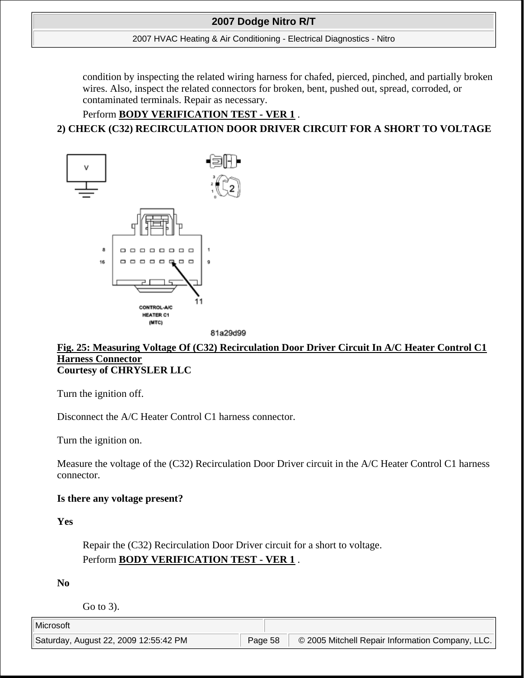#### 2007 HVAC Heating & Air Conditioning - Electrical Diagnostics - Nitro

condition by inspecting the related wiring harness for chafed, pierced, pinched, and partially broken wires. Also, inspect the related connectors for broken, bent, pushed out, spread, corroded, or contaminated terminals. Repair as necessary.

### Perform **BODY VERIFICATION TEST - VER 1** .

## **2) CHECK (C32) RECIRCULATION DOOR DRIVER CIRCUIT FOR A SHORT TO VOLTAGE**



### **Fig. 25: Measuring Voltage Of (C32) Recirculation Door Driver Circuit In A/C Heater Control C1 Harness Connector Courtesy of CHRYSLER LLC**

Turn the ignition off.

Disconnect the A/C Heater Control C1 harness connector.

Turn the ignition on.

Measure the voltage of the (C32) Recirculation Door Driver circuit in the A/C Heater Control C1 harness connector.

#### **Is there any voltage present?**

**Yes**

Repair the (C32) Recirculation Door Driver circuit for a short to voltage. Perform **BODY VERIFICATION TEST - VER 1** .

**No**

Go to 3).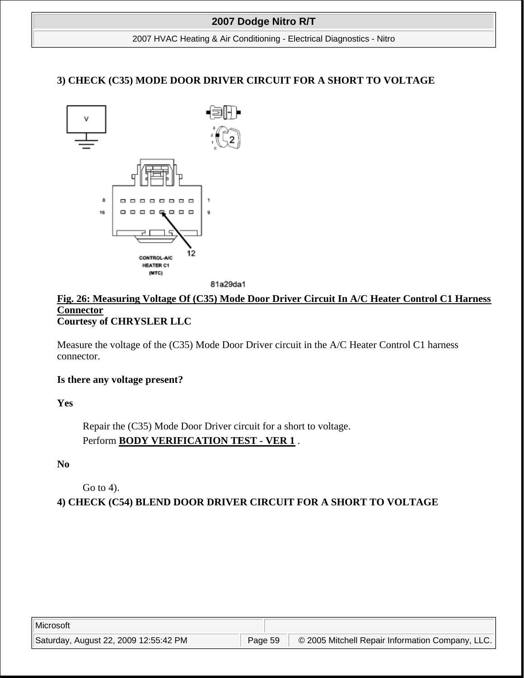2007 HVAC Heating & Air Conditioning - Electrical Diagnostics - Nitro

## **3) CHECK (C35) MODE DOOR DRIVER CIRCUIT FOR A SHORT TO VOLTAGE**



81a29da1

### **Fig. 26: Measuring Voltage Of (C35) Mode Door Driver Circuit In A/C Heater Control C1 Harness Connector Courtesy of CHRYSLER LLC**

Measure the voltage of the (C35) Mode Door Driver circuit in the A/C Heater Control C1 harness connector.

#### **Is there any voltage present?**

**Yes**

Repair the (C35) Mode Door Driver circuit for a short to voltage. Perform **BODY VERIFICATION TEST - VER 1** .

#### **No**

Go to 4).

**4) CHECK (C54) BLEND DOOR DRIVER CIRCUIT FOR A SHORT TO VOLTAGE**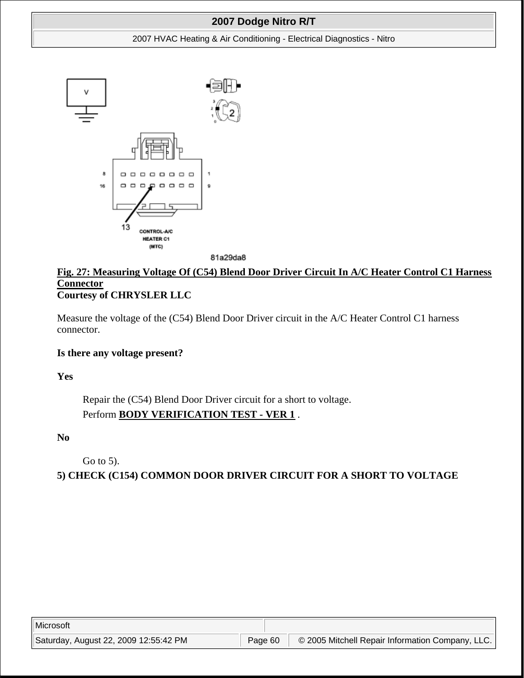#### 2007 HVAC Heating & Air Conditioning - Electrical Diagnostics - Nitro



81a29da8

## **Fig. 27: Measuring Voltage Of (C54) Blend Door Driver Circuit In A/C Heater Control C1 Harness Connector Courtesy of CHRYSLER LLC**

Measure the voltage of the (C54) Blend Door Driver circuit in the A/C Heater Control C1 harness connector.

### **Is there any voltage present?**

**Yes**

Repair the (C54) Blend Door Driver circuit for a short to voltage. Perform **BODY VERIFICATION TEST - VER 1** .

**No**

Go to 5).

**5) CHECK (C154) COMMON DOOR DRIVER CIRCUIT FOR A SHORT TO VOLTAGE**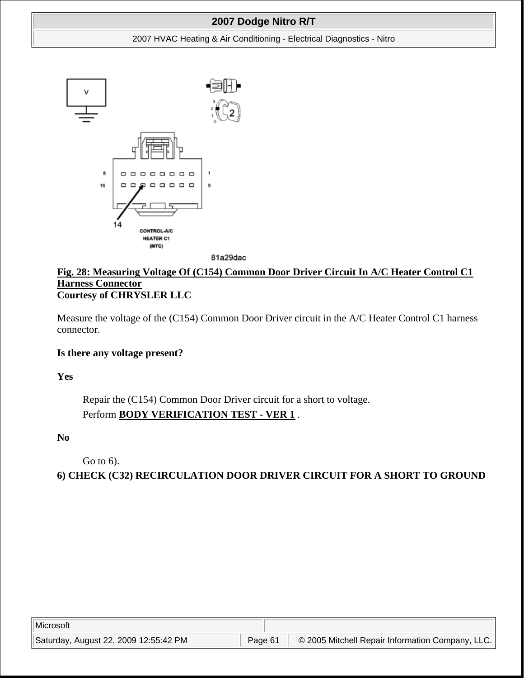#### 2007 HVAC Heating & Air Conditioning - Electrical Diagnostics - Nitro



81a29dac

## **Fig. 28: Measuring Voltage Of (C154) Common Door Driver Circuit In A/C Heater Control C1 Harness Connector Courtesy of CHRYSLER LLC**

Measure the voltage of the (C154) Common Door Driver circuit in the A/C Heater Control C1 harness connector.

### **Is there any voltage present?**

**Yes**

Repair the (C154) Common Door Driver circuit for a short to voltage. Perform **BODY VERIFICATION TEST - VER 1** .

### **No**

Go to 6).

**6) CHECK (C32) RECIRCULATION DOOR DRIVER CIRCUIT FOR A SHORT TO GROUND**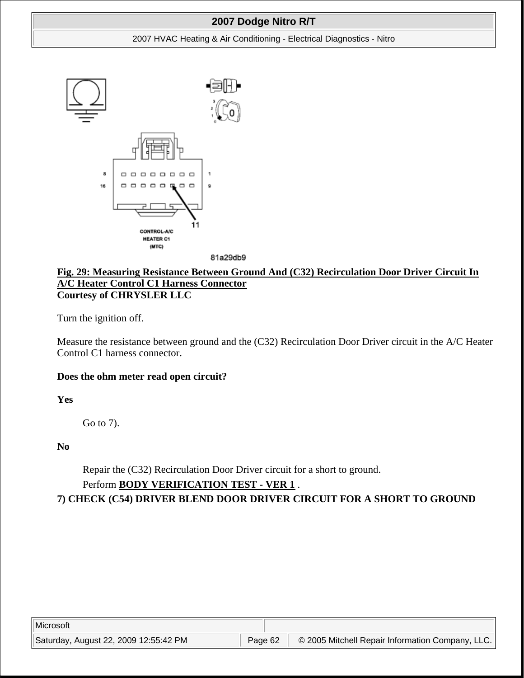#### 2007 HVAC Heating & Air Conditioning - Electrical Diagnostics - Nitro





### **Fig. 29: Measuring Resistance Between Ground And (C32) Recirculation Door Driver Circuit In A/C Heater Control C1 Harness Connector Courtesy of CHRYSLER LLC**

Turn the ignition off.

Measure the resistance between ground and the (C32) Recirculation Door Driver circuit in the A/C Heater Control C1 harness connector.

### **Does the ohm meter read open circuit?**

**Yes**

Go to 7).

**No**

Repair the (C32) Recirculation Door Driver circuit for a short to ground.

## Perform **BODY VERIFICATION TEST - VER 1** .

**7) CHECK (C54) DRIVER BLEND DOOR DRIVER CIRCUIT FOR A SHORT TO GROUND**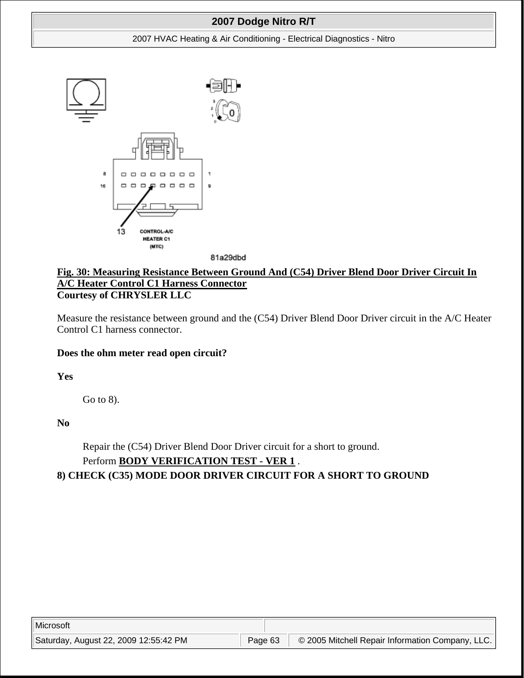#### 2007 HVAC Heating & Air Conditioning - Electrical Diagnostics - Nitro



81a29dbd

### **Fig. 30: Measuring Resistance Between Ground And (C54) Driver Blend Door Driver Circuit In A/C Heater Control C1 Harness Connector Courtesy of CHRYSLER LLC**

Measure the resistance between ground and the (C54) Driver Blend Door Driver circuit in the A/C Heater Control C1 harness connector.

### **Does the ohm meter read open circuit?**

**Yes**

Go to 8).

**No**

Repair the (C54) Driver Blend Door Driver circuit for a short to ground. Perform **BODY VERIFICATION TEST - VER 1** .

## **8) CHECK (C35) MODE DOOR DRIVER CIRCUIT FOR A SHORT TO GROUND**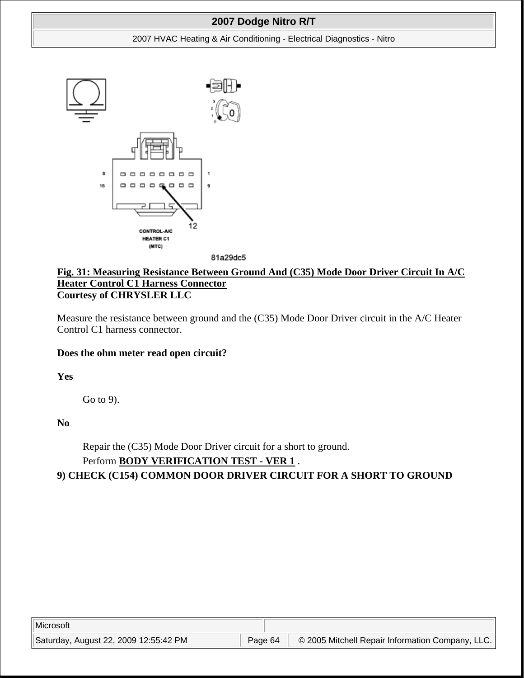#### 2007 HVAC Heating & Air Conditioning - Electrical Diagnostics - Nitro





### **Fig. 31: Measuring Resistance Between Ground And (C35) Mode Door Driver Circuit In A/C Heater Control C1 Harness Connector Courtesy of CHRYSLER LLC**

Measure the resistance between ground and the (C35) Mode Door Driver circuit in the A/C Heater Control C1 harness connector.

### **Does the ohm meter read open circuit?**

**Yes**

Go to 9).

**No**

Repair the (C35) Mode Door Driver circuit for a short to ground. Perform **BODY VERIFICATION TEST - VER 1** .

**9) CHECK (C154) COMMON DOOR DRIVER CIRCUIT FOR A SHORT TO GROUND**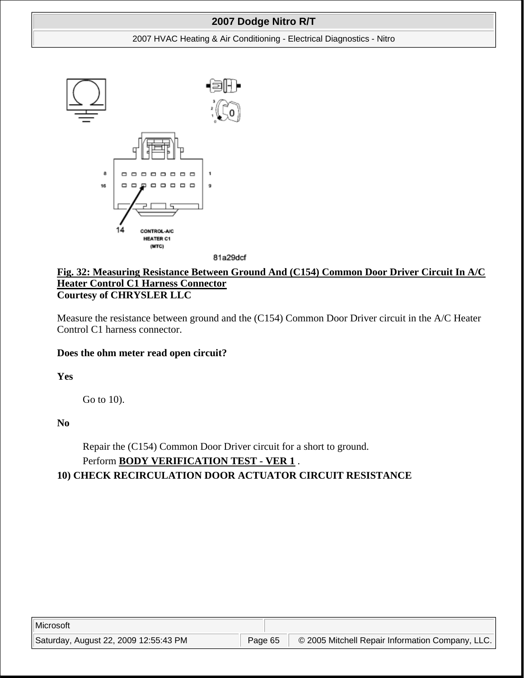#### 2007 HVAC Heating & Air Conditioning - Electrical Diagnostics - Nitro



81a29dcf

## **Fig. 32: Measuring Resistance Between Ground And (C154) Common Door Driver Circuit In A/C Heater Control C1 Harness Connector Courtesy of CHRYSLER LLC**

Measure the resistance between ground and the (C154) Common Door Driver circuit in the A/C Heater Control C1 harness connector.

### **Does the ohm meter read open circuit?**

**Yes**

Go to 10).

**No**

Repair the (C154) Common Door Driver circuit for a short to ground. Perform **BODY VERIFICATION TEST - VER 1** .

### **10) CHECK RECIRCULATION DOOR ACTUATOR CIRCUIT RESISTANCE**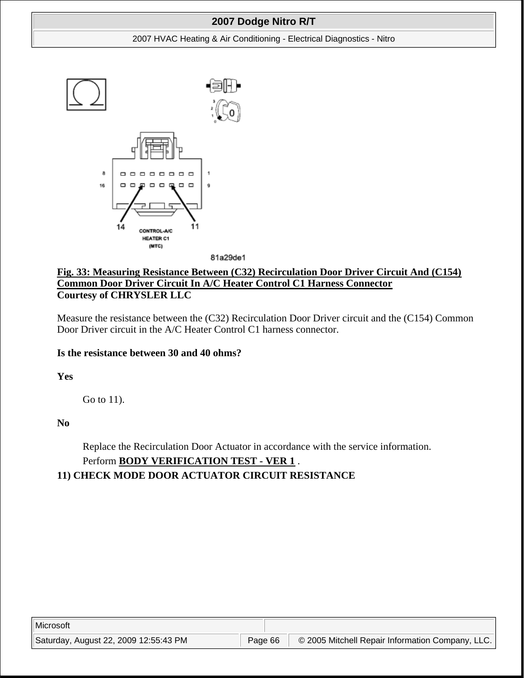#### 2007 HVAC Heating & Air Conditioning - Electrical Diagnostics - Nitro



81a29de1

## **Fig. 33: Measuring Resistance Between (C32) Recirculation Door Driver Circuit And (C154) Common Door Driver Circuit In A/C Heater Control C1 Harness Connector Courtesy of CHRYSLER LLC**

Measure the resistance between the (C32) Recirculation Door Driver circuit and the (C154) Common Door Driver circuit in the A/C Heater Control C1 harness connector.

### **Is the resistance between 30 and 40 ohms?**

**Yes**

Go to 11).

**No**

Replace the Recirculation Door Actuator in accordance with the service information. Perform **BODY VERIFICATION TEST - VER 1** .

## **11) CHECK MODE DOOR ACTUATOR CIRCUIT RESISTANCE**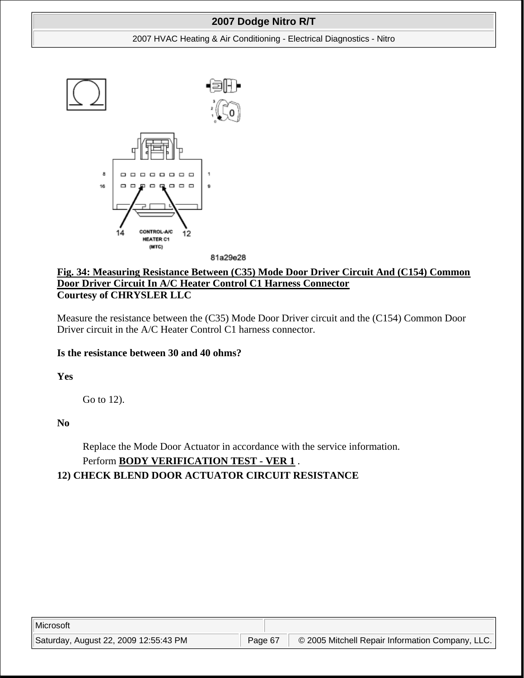#### 2007 HVAC Heating & Air Conditioning - Electrical Diagnostics - Nitro



81a29e28

## **Fig. 34: Measuring Resistance Between (C35) Mode Door Driver Circuit And (C154) Common Door Driver Circuit In A/C Heater Control C1 Harness Connector Courtesy of CHRYSLER LLC**

Measure the resistance between the (C35) Mode Door Driver circuit and the (C154) Common Door Driver circuit in the A/C Heater Control C1 harness connector.

### **Is the resistance between 30 and 40 ohms?**

**Yes**

Go to 12).

**No**

Replace the Mode Door Actuator in accordance with the service information. Perform **BODY VERIFICATION TEST - VER 1** .

## **12) CHECK BLEND DOOR ACTUATOR CIRCUIT RESISTANCE**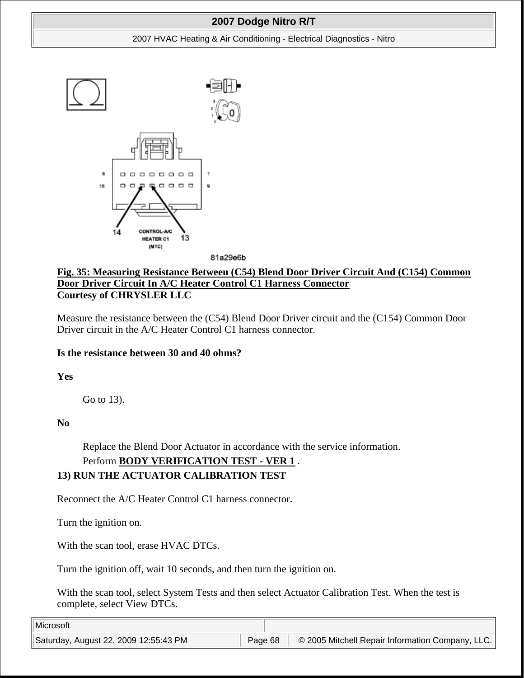#### 2007 HVAC Heating & Air Conditioning - Electrical Diagnostics - Nitro



81a29e6b

## **Fig. 35: Measuring Resistance Between (C54) Blend Door Driver Circuit And (C154) Common Door Driver Circuit In A/C Heater Control C1 Harness Connector Courtesy of CHRYSLER LLC**

Measure the resistance between the (C54) Blend Door Driver circuit and the (C154) Common Door Driver circuit in the A/C Heater Control C1 harness connector.

### **Is the resistance between 30 and 40 ohms?**

**Yes**

Go to 13).

**No**

Replace the Blend Door Actuator in accordance with the service information.

# Perform **BODY VERIFICATION TEST - VER 1** .

## **13) RUN THE ACTUATOR CALIBRATION TEST**

Reconnect the A/C Heater Control C1 harness connector.

Turn the ignition on.

With the scan tool, erase HVAC DTCs.

Turn the ignition off, wait 10 seconds, and then turn the ignition on.

With the scan tool, select System Tests and then select Actuator Calibration Test. When the test is complete, select View DTCs.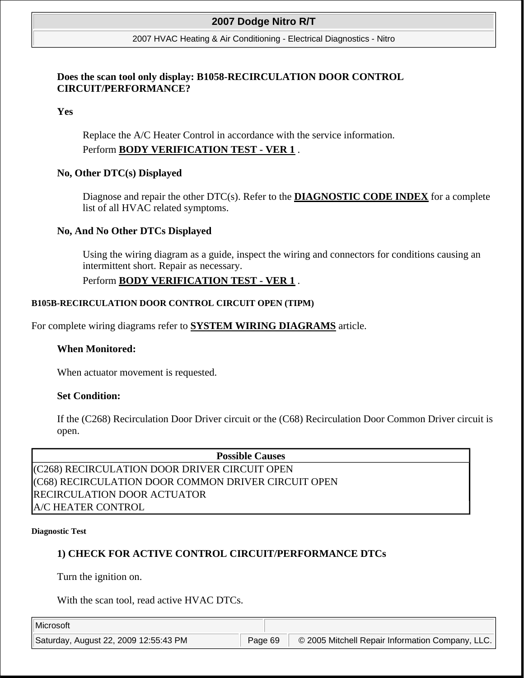#### 2007 HVAC Heating & Air Conditioning - Electrical Diagnostics - Nitro

### **Does the scan tool only display: B1058-RECIRCULATION DOOR CONTROL CIRCUIT/PERFORMANCE?**

### **Yes**

Replace the A/C Heater Control in accordance with the service information. Perform **BODY VERIFICATION TEST - VER 1** .

### **No, Other DTC(s) Displayed**

Diagnose and repair the other DTC(s). Refer to the **DIAGNOSTIC CODE INDEX** for a complete list of all HVAC related symptoms.

#### **No, And No Other DTCs Displayed**

Using the wiring diagram as a guide, inspect the wiring and connectors for conditions causing an intermittent short. Repair as necessary.

### Perform **BODY VERIFICATION TEST - VER 1** .

#### **B105B-RECIRCULATION DOOR CONTROL CIRCUIT OPEN (TIPM)**

For complete wiring diagrams refer to **SYSTEM WIRING DIAGRAMS** article.

#### **When Monitored:**

When actuator movement is requested.

#### **Set Condition:**

If the (C268) Recirculation Door Driver circuit or the (C68) Recirculation Door Common Driver circuit is open.

#### **Possible Causes**

(C268) RECIRCULATION DOOR DRIVER CIRCUIT OPEN (C68) RECIRCULATION DOOR COMMON DRIVER CIRCUIT OPEN RECIRCULATION DOOR ACTUATOR A/C HEATER CONTROL

#### **Diagnostic Test**

### **1) CHECK FOR ACTIVE CONTROL CIRCUIT/PERFORMANCE DTCs**

Turn the ignition on.

With the scan tool, read active HVAC DTCs.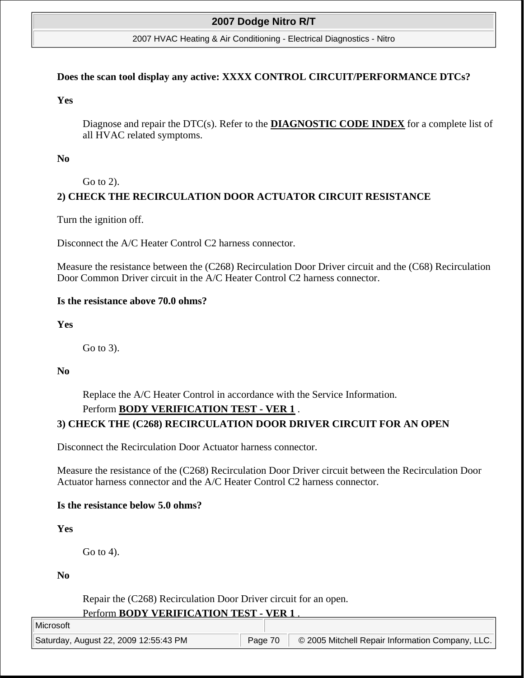#### 2007 HVAC Heating & Air Conditioning - Electrical Diagnostics - Nitro

#### **Does the scan tool display any active: XXXX CONTROL CIRCUIT/PERFORMANCE DTCs?**

**Yes**

Diagnose and repair the DTC(s). Refer to the **DIAGNOSTIC CODE INDEX** for a complete list of all HVAC related symptoms.

#### **No**

Go to 2).

## **2) CHECK THE RECIRCULATION DOOR ACTUATOR CIRCUIT RESISTANCE**

Turn the ignition off.

Disconnect the A/C Heater Control C2 harness connector.

Measure the resistance between the (C268) Recirculation Door Driver circuit and the (C68) Recirculation Door Common Driver circuit in the A/C Heater Control C2 harness connector.

#### **Is the resistance above 70.0 ohms?**

**Yes**

Go to 3).

**No**

Replace the A/C Heater Control in accordance with the Service Information.

# Perform **BODY VERIFICATION TEST - VER 1** . **3) CHECK THE (C268) RECIRCULATION DOOR DRIVER CIRCUIT FOR AN OPEN**

Disconnect the Recirculation Door Actuator harness connector.

Measure the resistance of the (C268) Recirculation Door Driver circuit between the Recirculation Door Actuator harness connector and the A/C Heater Control C2 harness connector.

#### **Is the resistance below 5.0 ohms?**

**Yes**

Go to 4).

**No**

Repair the (C268) Recirculation Door Driver circuit for an open. Perform **BODY VERIFICATION TEST - VER 1** .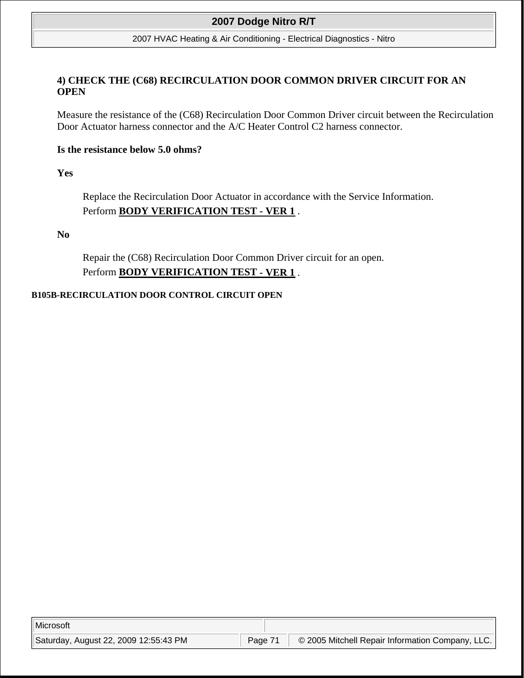#### 2007 HVAC Heating & Air Conditioning - Electrical Diagnostics - Nitro

### **4) CHECK THE (C68) RECIRCULATION DOOR COMMON DRIVER CIRCUIT FOR AN OPEN**

Measure the resistance of the (C68) Recirculation Door Common Driver circuit between the Recirculation Door Actuator harness connector and the A/C Heater Control C2 harness connector.

### **Is the resistance below 5.0 ohms?**

**Yes**

Replace the Recirculation Door Actuator in accordance with the Service Information. Perform **BODY VERIFICATION TEST - VER 1** .

**No**

Repair the (C68) Recirculation Door Common Driver circuit for an open. Perform **BODY VERIFICATION TEST - VER 1** .

#### **B105B-RECIRCULATION DOOR CONTROL CIRCUIT OPEN**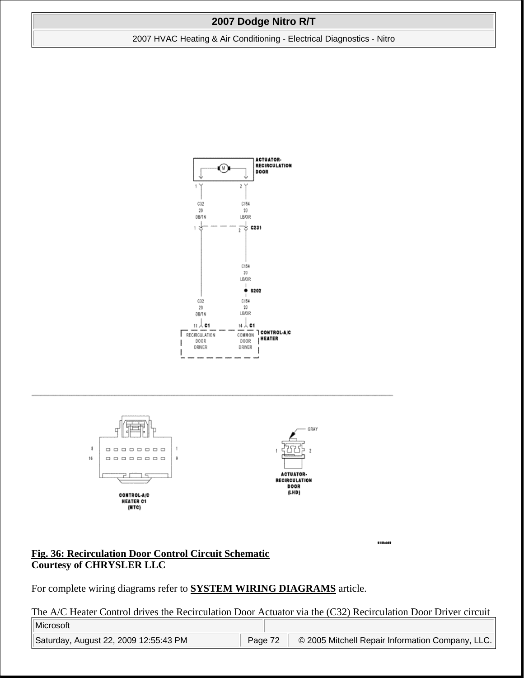2007 HVAC Heating & Air Conditioning - Electrical Diagnostics - Nitro





#### **Fig. 36: Recirculation Door Control Circuit Schematic Courtesy of CHRYSLER LLC**

For complete wiring diagrams refer to **SYSTEM WIRING DIAGRAMS** article.

The A/C Heater Control drives the Recirculation Door Actuator via the (C32) Recirculation Door Driver circuit

81914958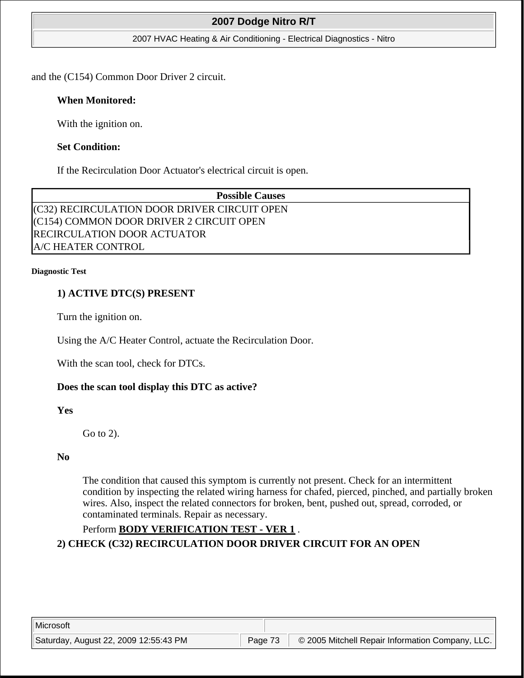#### 2007 HVAC Heating & Air Conditioning - Electrical Diagnostics - Nitro

and the (C154) Common Door Driver 2 circuit.

### **When Monitored:**

With the ignition on.

### **Set Condition:**

If the Recirculation Door Actuator's electrical circuit is open.

**Possible Causes**  (C32) RECIRCULATION DOOR DRIVER CIRCUIT OPEN (C154) COMMON DOOR DRIVER 2 CIRCUIT OPEN RECIRCULATION DOOR ACTUATOR A/C HEATER CONTROL

#### **Diagnostic Test**

### **1) ACTIVE DTC(S) PRESENT**

Turn the ignition on.

Using the A/C Heater Control, actuate the Recirculation Door.

With the scan tool, check for DTCs.

### **Does the scan tool display this DTC as active?**

**Yes**

Go to 2).

#### **No**

The condition that caused this symptom is currently not present. Check for an intermittent condition by inspecting the related wiring harness for chafed, pierced, pinched, and partially broken wires. Also, inspect the related connectors for broken, bent, pushed out, spread, corroded, or contaminated terminals. Repair as necessary.

## Perform **BODY VERIFICATION TEST - VER 1** .

**2) CHECK (C32) RECIRCULATION DOOR DRIVER CIRCUIT FOR AN OPEN**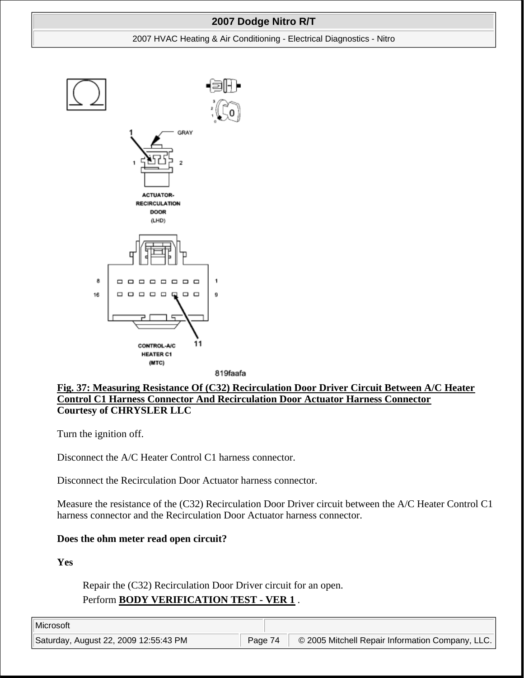#### 2007 HVAC Heating & Air Conditioning - Electrical Diagnostics - Nitro



819faafa

## **Fig. 37: Measuring Resistance Of (C32) Recirculation Door Driver Circuit Between A/C Heater Control C1 Harness Connector And Recirculation Door Actuator Harness Connector Courtesy of CHRYSLER LLC**

Turn the ignition off.

Disconnect the A/C Heater Control C1 harness connector.

Disconnect the Recirculation Door Actuator harness connector.

Measure the resistance of the (C32) Recirculation Door Driver circuit between the A/C Heater Control C1 harness connector and the Recirculation Door Actuator harness connector.

### **Does the ohm meter read open circuit?**

**Yes**

Repair the (C32) Recirculation Door Driver circuit for an open. Perform **BODY VERIFICATION TEST - VER 1** .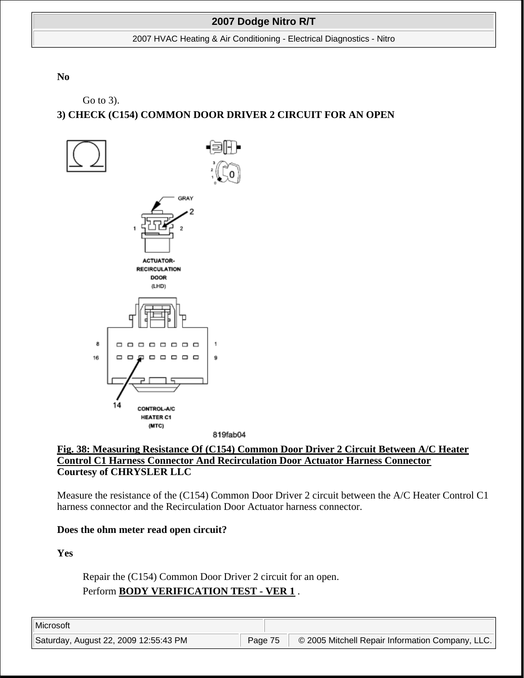2007 HVAC Heating & Air Conditioning - Electrical Diagnostics - Nitro

**No**

Go to 3).

# **3) CHECK (C154) COMMON DOOR DRIVER 2 CIRCUIT FOR AN OPEN**





Measure the resistance of the (C154) Common Door Driver 2 circuit between the A/C Heater Control C1 harness connector and the Recirculation Door Actuator harness connector.

### **Does the ohm meter read open circuit?**

**Yes**

Repair the (C154) Common Door Driver 2 circuit for an open. Perform **BODY VERIFICATION TEST - VER 1** .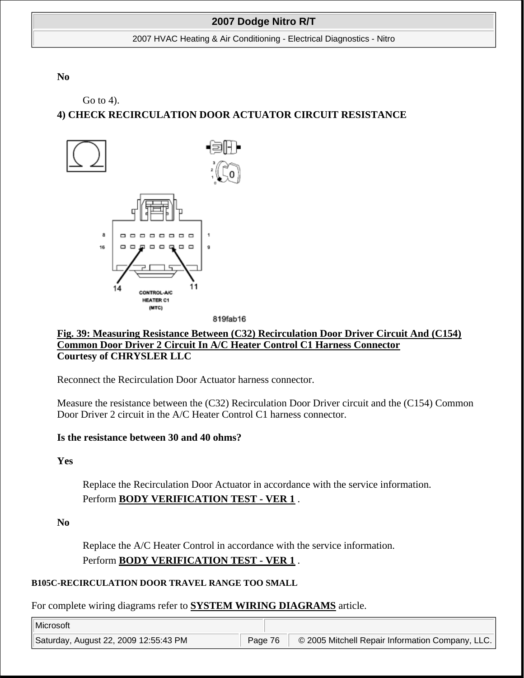2007 HVAC Heating & Air Conditioning - Electrical Diagnostics - Nitro

**No**

Go to 4).

# **4) CHECK RECIRCULATION DOOR ACTUATOR CIRCUIT RESISTANCE**



**Fig. 39: Measuring Resistance Between (C32) Recirculation Door Driver Circuit And (C154) Common Door Driver 2 Circuit In A/C Heater Control C1 Harness Connector Courtesy of CHRYSLER LLC**

Reconnect the Recirculation Door Actuator harness connector.

Measure the resistance between the (C32) Recirculation Door Driver circuit and the (C154) Common Door Driver 2 circuit in the A/C Heater Control C1 harness connector.

## **Is the resistance between 30 and 40 ohms?**

**Yes**

Replace the Recirculation Door Actuator in accordance with the service information. Perform **BODY VERIFICATION TEST - VER 1** .

**No**

Replace the A/C Heater Control in accordance with the service information. Perform **BODY VERIFICATION TEST - VER 1** .

## **B105C-RECIRCULATION DOOR TRAVEL RANGE TOO SMALL**

For complete wiring diagrams refer to **SYSTEM WIRING DIAGRAMS** article.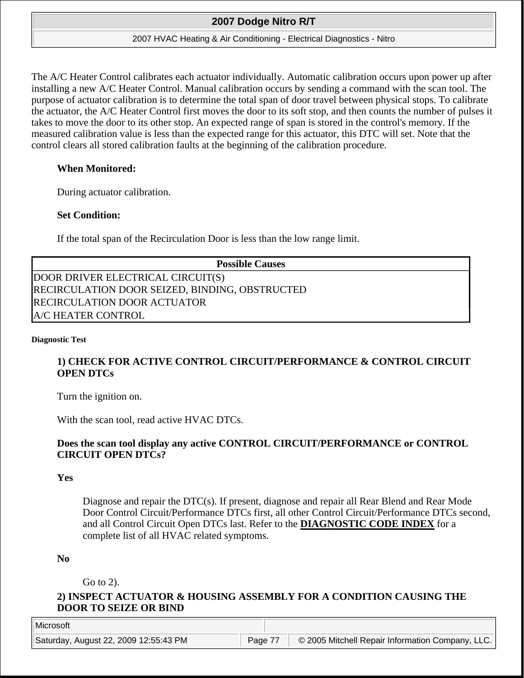#### 2007 HVAC Heating & Air Conditioning - Electrical Diagnostics - Nitro

The A/C Heater Control calibrates each actuator individually. Automatic calibration occurs upon power up after installing a new A/C Heater Control. Manual calibration occurs by sending a command with the scan tool. The purpose of actuator calibration is to determine the total span of door travel between physical stops. To calibrate the actuator, the A/C Heater Control first moves the door to its soft stop, and then counts the number of pulses it takes to move the door to its other stop. An expected range of span is stored in the control's memory. If the measured calibration value is less than the expected range for this actuator, this DTC will set. Note that the control clears all stored calibration faults at the beginning of the calibration procedure.

### **When Monitored:**

During actuator calibration.

### **Set Condition:**

If the total span of the Recirculation Door is less than the low range limit.

| <b>Possible Causes</b>                         |
|------------------------------------------------|
| DOOR DRIVER ELECTRICAL CIRCUIT(S)              |
| RECIRCULATION DOOR SEIZED, BINDING, OBSTRUCTED |
| RECIRCULATION DOOR ACTUATOR                    |
| A/C HEATER CONTROL                             |

#### **Diagnostic Test**

## **1) CHECK FOR ACTIVE CONTROL CIRCUIT/PERFORMANCE & CONTROL CIRCUIT OPEN DTCs**

Turn the ignition on.

With the scan tool, read active HVAC DTCs.

## **Does the scan tool display any active CONTROL CIRCUIT/PERFORMANCE or CONTROL CIRCUIT OPEN DTCs?**

### **Yes**

Diagnose and repair the DTC(s). If present, diagnose and repair all Rear Blend and Rear Mode Door Control Circuit/Performance DTCs first, all other Control Circuit/Performance DTCs second, and all Control Circuit Open DTCs last. Refer to the **DIAGNOSTIC CODE INDEX** for a complete list of all HVAC related symptoms.

### **No**

Go to 2).

## **2) INSPECT ACTUATOR & HOUSING ASSEMBLY FOR A CONDITION CAUSING THE DOOR TO SEIZE OR BIND**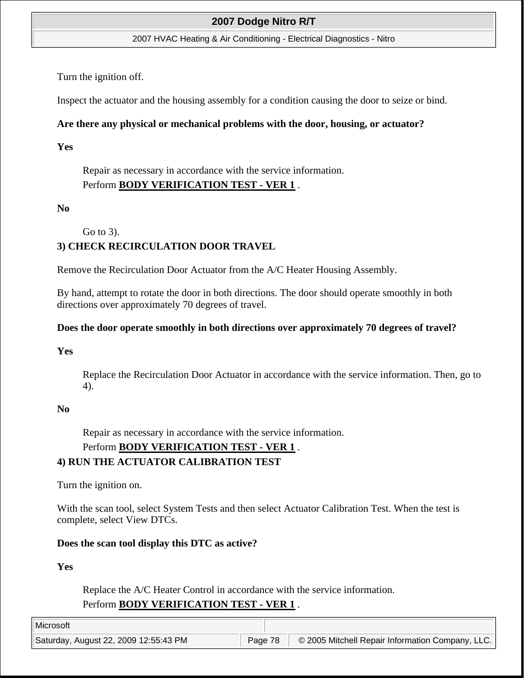#### 2007 HVAC Heating & Air Conditioning - Electrical Diagnostics - Nitro

Turn the ignition off.

Inspect the actuator and the housing assembly for a condition causing the door to seize or bind.

## **Are there any physical or mechanical problems with the door, housing, or actuator?**

**Yes**

Repair as necessary in accordance with the service information. Perform **BODY VERIFICATION TEST - VER 1** .

## **No**

Go to 3).

# **3) CHECK RECIRCULATION DOOR TRAVEL**

Remove the Recirculation Door Actuator from the A/C Heater Housing Assembly.

By hand, attempt to rotate the door in both directions. The door should operate smoothly in both directions over approximately 70 degrees of travel.

## **Does the door operate smoothly in both directions over approximately 70 degrees of travel?**

## **Yes**

Replace the Recirculation Door Actuator in accordance with the service information. Then, go to 4).

## **No**

Repair as necessary in accordance with the service information.

## Perform **BODY VERIFICATION TEST - VER 1** .

## **4) RUN THE ACTUATOR CALIBRATION TEST**

Turn the ignition on.

With the scan tool, select System Tests and then select Actuator Calibration Test. When the test is complete, select View DTCs.

## **Does the scan tool display this DTC as active?**

**Yes**

Replace the A/C Heater Control in accordance with the service information. Perform **BODY VERIFICATION TEST - VER 1** .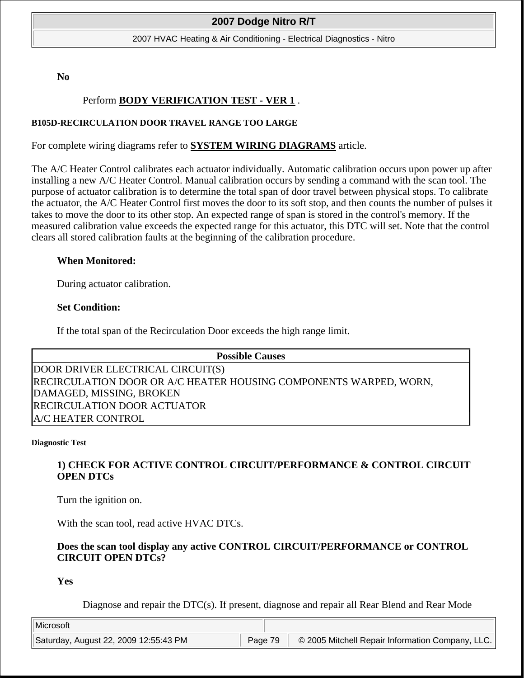#### 2007 HVAC Heating & Air Conditioning - Electrical Diagnostics - Nitro

**No**

## Perform **BODY VERIFICATION TEST - VER 1** .

#### **B105D-RECIRCULATION DOOR TRAVEL RANGE TOO LARGE**

For complete wiring diagrams refer to **SYSTEM WIRING DIAGRAMS** article.

The A/C Heater Control calibrates each actuator individually. Automatic calibration occurs upon power up after installing a new A/C Heater Control. Manual calibration occurs by sending a command with the scan tool. The purpose of actuator calibration is to determine the total span of door travel between physical stops. To calibrate the actuator, the A/C Heater Control first moves the door to its soft stop, and then counts the number of pulses it takes to move the door to its other stop. An expected range of span is stored in the control's memory. If the measured calibration value exceeds the expected range for this actuator, this DTC will set. Note that the control clears all stored calibration faults at the beginning of the calibration procedure.

### **When Monitored:**

During actuator calibration.

#### **Set Condition:**

If the total span of the Recirculation Door exceeds the high range limit.

| <b>Possible Causes</b>                                            |  |
|-------------------------------------------------------------------|--|
| DOOR DRIVER ELECTRICAL CIRCUIT(S)                                 |  |
| RECIRCULATION DOOR OR A/C HEATER HOUSING COMPONENTS WARPED, WORN, |  |
| DAMAGED, MISSING, BROKEN                                          |  |
| RECIRCULATION DOOR ACTUATOR                                       |  |
| A/C HEATER CONTROL                                                |  |

#### **Diagnostic Test**

## **1) CHECK FOR ACTIVE CONTROL CIRCUIT/PERFORMANCE & CONTROL CIRCUIT OPEN DTCs**

Turn the ignition on.

With the scan tool, read active HVAC DTCs.

### **Does the scan tool display any active CONTROL CIRCUIT/PERFORMANCE or CONTROL CIRCUIT OPEN DTCs?**

**Yes**

Diagnose and repair the DTC(s). If present, diagnose and repair all Rear Blend and Rear Mode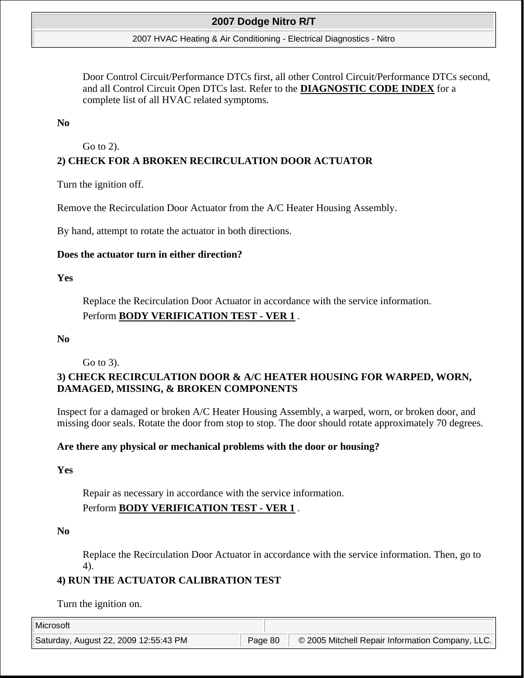#### 2007 HVAC Heating & Air Conditioning - Electrical Diagnostics - Nitro

Door Control Circuit/Performance DTCs first, all other Control Circuit/Performance DTCs second, and all Control Circuit Open DTCs last. Refer to the **DIAGNOSTIC CODE INDEX** for a complete list of all HVAC related symptoms.

#### **No**

Go to 2).

## **2) CHECK FOR A BROKEN RECIRCULATION DOOR ACTUATOR**

Turn the ignition off.

Remove the Recirculation Door Actuator from the A/C Heater Housing Assembly.

By hand, attempt to rotate the actuator in both directions.

#### **Does the actuator turn in either direction?**

#### **Yes**

Replace the Recirculation Door Actuator in accordance with the service information. Perform **BODY VERIFICATION TEST - VER 1** .

#### **No**

Go to 3).

## **3) CHECK RECIRCULATION DOOR & A/C HEATER HOUSING FOR WARPED, WORN, DAMAGED, MISSING, & BROKEN COMPONENTS**

Inspect for a damaged or broken A/C Heater Housing Assembly, a warped, worn, or broken door, and missing door seals. Rotate the door from stop to stop. The door should rotate approximately 70 degrees.

### **Are there any physical or mechanical problems with the door or housing?**

#### **Yes**

Repair as necessary in accordance with the service information. Perform **BODY VERIFICATION TEST - VER 1** .

**No**

Replace the Recirculation Door Actuator in accordance with the service information. Then, go to 4).

## **4) RUN THE ACTUATOR CALIBRATION TEST**

Turn the ignition on.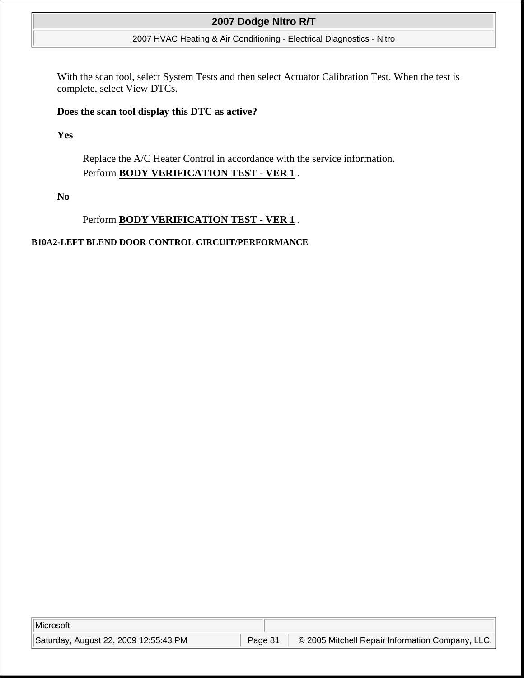### 2007 HVAC Heating & Air Conditioning - Electrical Diagnostics - Nitro

With the scan tool, select System Tests and then select Actuator Calibration Test. When the test is complete, select View DTCs.

### **Does the scan tool display this DTC as active?**

**Yes**

Replace the A/C Heater Control in accordance with the service information. Perform **BODY VERIFICATION TEST - VER 1** .

**No**

## Perform **BODY VERIFICATION TEST - VER 1** .

### **B10A2-LEFT BLEND DOOR CONTROL CIRCUIT/PERFORMANCE**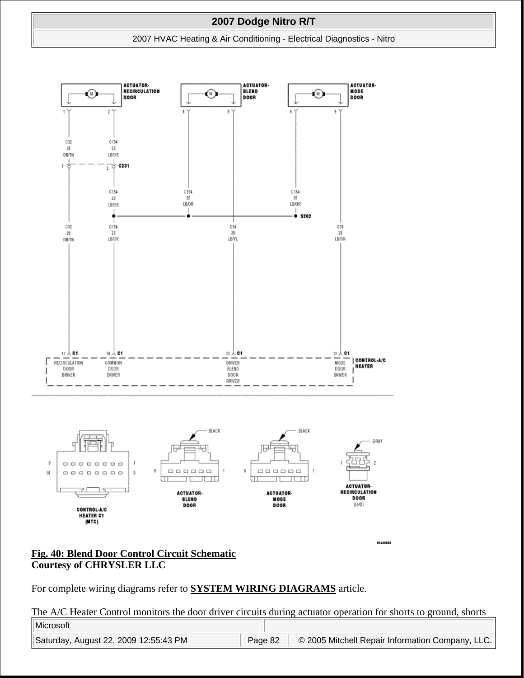#### 2007 HVAC Heating & Air Conditioning - Electrical Diagnostics - Nitro



### **Fig. 40: Blend Door Control Circuit Schematic Courtesy of CHRYSLER LLC**

For complete wiring diagrams refer to **SYSTEM WIRING DIAGRAMS** article.

The A/C Heater Control monitors the door driver circuits during actuator operation for shorts to ground, shorts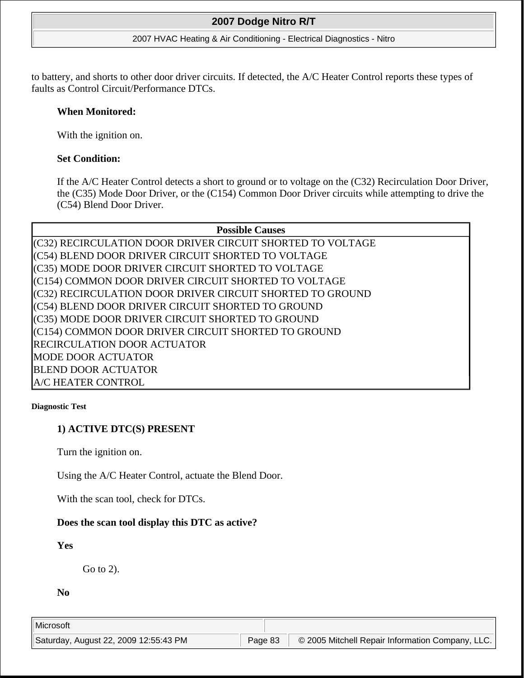#### 2007 HVAC Heating & Air Conditioning - Electrical Diagnostics - Nitro

to battery, and shorts to other door driver circuits. If detected, the A/C Heater Control reports these types of faults as Control Circuit/Performance DTCs.

### **When Monitored:**

With the ignition on.

## **Set Condition:**

If the A/C Heater Control detects a short to ground or to voltage on the (C32) Recirculation Door Driver, the (C35) Mode Door Driver, or the (C154) Common Door Driver circuits while attempting to drive the (C54) Blend Door Driver.

## **Possible Causes**

(C32) RECIRCULATION DOOR DRIVER CIRCUIT SHORTED TO VOLTAGE (C54) BLEND DOOR DRIVER CIRCUIT SHORTED TO VOLTAGE (C35) MODE DOOR DRIVER CIRCUIT SHORTED TO VOLTAGE (C154) COMMON DOOR DRIVER CIRCUIT SHORTED TO VOLTAGE (C32) RECIRCULATION DOOR DRIVER CIRCUIT SHORTED TO GROUND (C54) BLEND DOOR DRIVER CIRCUIT SHORTED TO GROUND (C35) MODE DOOR DRIVER CIRCUIT SHORTED TO GROUND (C154) COMMON DOOR DRIVER CIRCUIT SHORTED TO GROUND RECIRCULATION DOOR ACTUATOR MODE DOOR ACTUATOR BLEND DOOR ACTUATOR A/C HEATER CONTROL

#### **Diagnostic Test**

## **1) ACTIVE DTC(S) PRESENT**

Turn the ignition on.

Using the A/C Heater Control, actuate the Blend Door.

With the scan tool, check for DTCs.

## **Does the scan tool display this DTC as active?**

## **Yes**

Go to 2).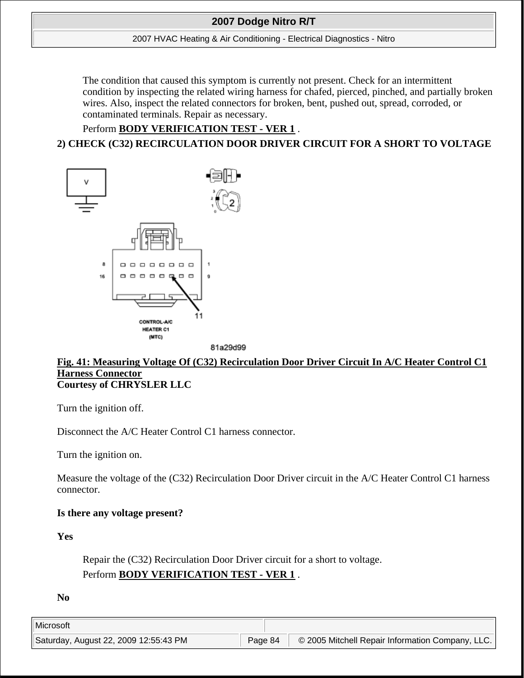#### 2007 HVAC Heating & Air Conditioning - Electrical Diagnostics - Nitro

The condition that caused this symptom is currently not present. Check for an intermittent condition by inspecting the related wiring harness for chafed, pierced, pinched, and partially broken wires. Also, inspect the related connectors for broken, bent, pushed out, spread, corroded, or contaminated terminals. Repair as necessary.

# Perform **BODY VERIFICATION TEST - VER 1** . **2) CHECK (C32) RECIRCULATION DOOR DRIVER CIRCUIT FOR A SHORT TO VOLTAGE**



81a29d99

### **Fig. 41: Measuring Voltage Of (C32) Recirculation Door Driver Circuit In A/C Heater Control C1 Harness Connector Courtesy of CHRYSLER LLC**

Turn the ignition off.

Disconnect the A/C Heater Control C1 harness connector.

Turn the ignition on.

Measure the voltage of the (C32) Recirculation Door Driver circuit in the A/C Heater Control C1 harness connector.

## **Is there any voltage present?**

**Yes**

Repair the (C32) Recirculation Door Driver circuit for a short to voltage. Perform **BODY VERIFICATION TEST - VER 1** .

**No**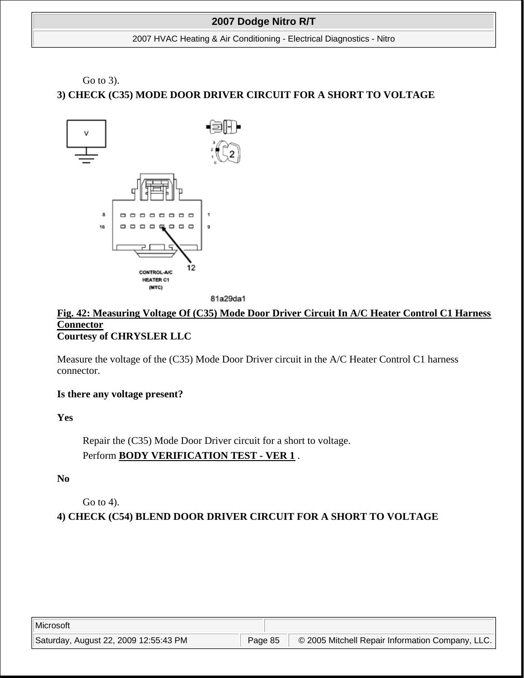#### 2007 HVAC Heating & Air Conditioning - Electrical Diagnostics - Nitro

# Go to 3). **3) CHECK (C35) MODE DOOR DRIVER CIRCUIT FOR A SHORT TO VOLTAGE**



81a29da1

### **Fig. 42: Measuring Voltage Of (C35) Mode Door Driver Circuit In A/C Heater Control C1 Harness Connector Courtesy of CHRYSLER LLC**

Measure the voltage of the (C35) Mode Door Driver circuit in the A/C Heater Control C1 harness connector.

## **Is there any voltage present?**

**Yes**

Repair the (C35) Mode Door Driver circuit for a short to voltage. Perform **BODY VERIFICATION TEST - VER 1** .

**No**

Go to 4).

**4) CHECK (C54) BLEND DOOR DRIVER CIRCUIT FOR A SHORT TO VOLTAGE**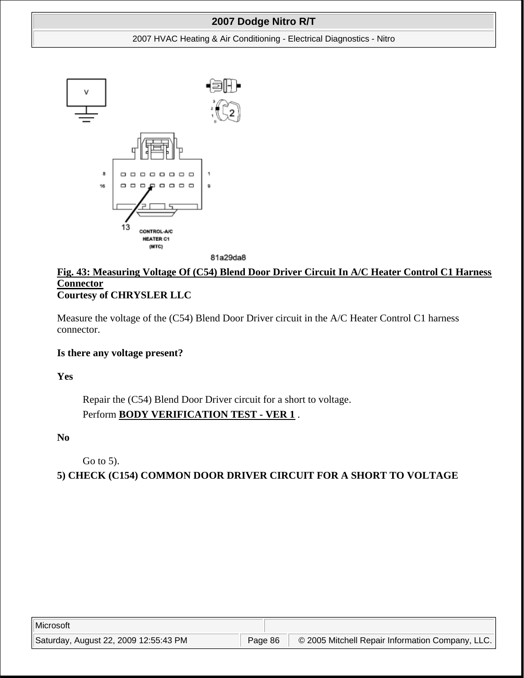#### 2007 HVAC Heating & Air Conditioning - Electrical Diagnostics - Nitro



81a29da8

## **Fig. 43: Measuring Voltage Of (C54) Blend Door Driver Circuit In A/C Heater Control C1 Harness Connector Courtesy of CHRYSLER LLC**

Measure the voltage of the (C54) Blend Door Driver circuit in the A/C Heater Control C1 harness connector.

### **Is there any voltage present?**

**Yes**

Repair the (C54) Blend Door Driver circuit for a short to voltage. Perform **BODY VERIFICATION TEST - VER 1** .

**No**

Go to 5).

**5) CHECK (C154) COMMON DOOR DRIVER CIRCUIT FOR A SHORT TO VOLTAGE**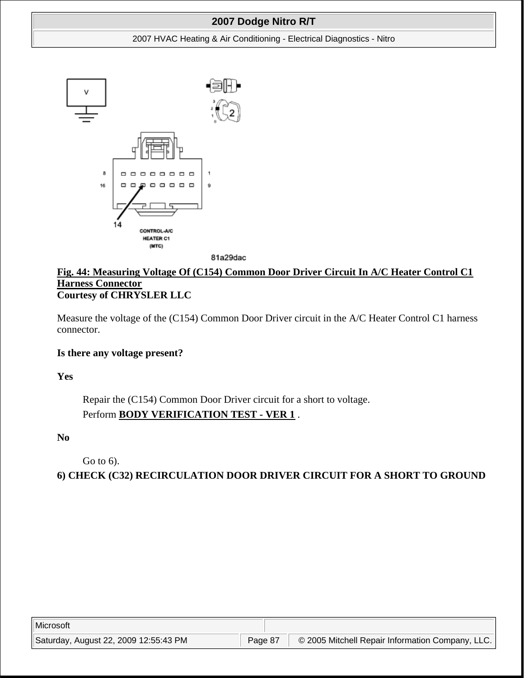#### 2007 HVAC Heating & Air Conditioning - Electrical Diagnostics - Nitro



81a29dac

## **Fig. 44: Measuring Voltage Of (C154) Common Door Driver Circuit In A/C Heater Control C1 Harness Connector Courtesy of CHRYSLER LLC**

Measure the voltage of the (C154) Common Door Driver circuit in the A/C Heater Control C1 harness connector.

### **Is there any voltage present?**

**Yes**

Repair the (C154) Common Door Driver circuit for a short to voltage. Perform **BODY VERIFICATION TEST - VER 1** .

**No**

Go to 6).

**6) CHECK (C32) RECIRCULATION DOOR DRIVER CIRCUIT FOR A SHORT TO GROUND**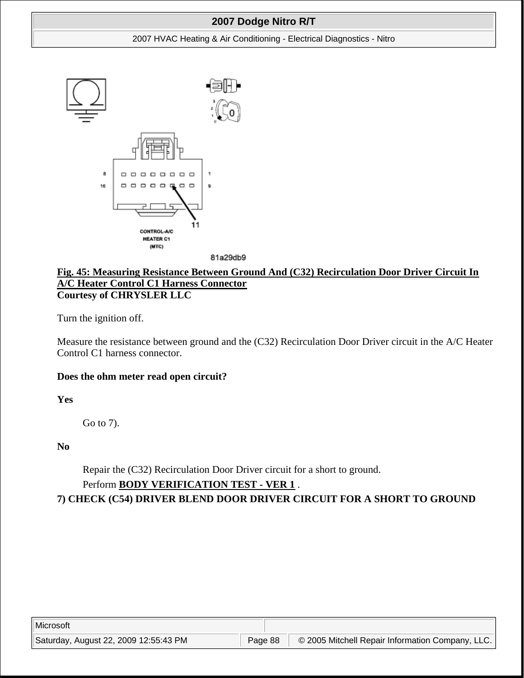#### 2007 HVAC Heating & Air Conditioning - Electrical Diagnostics - Nitro





### **Fig. 45: Measuring Resistance Between Ground And (C32) Recirculation Door Driver Circuit In A/C Heater Control C1 Harness Connector Courtesy of CHRYSLER LLC**

Turn the ignition off.

Measure the resistance between ground and the (C32) Recirculation Door Driver circuit in the A/C Heater Control C1 harness connector.

### **Does the ohm meter read open circuit?**

**Yes**

Go to 7).

**No**

Repair the (C32) Recirculation Door Driver circuit for a short to ground.

## Perform **BODY VERIFICATION TEST - VER 1** .

**7) CHECK (C54) DRIVER BLEND DOOR DRIVER CIRCUIT FOR A SHORT TO GROUND**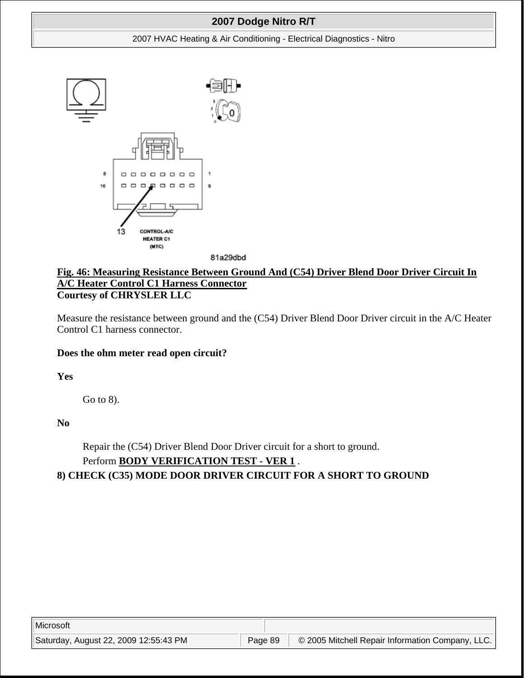#### 2007 HVAC Heating & Air Conditioning - Electrical Diagnostics - Nitro



81a29dbd

### **Fig. 46: Measuring Resistance Between Ground And (C54) Driver Blend Door Driver Circuit In A/C Heater Control C1 Harness Connector Courtesy of CHRYSLER LLC**

Measure the resistance between ground and the (C54) Driver Blend Door Driver circuit in the A/C Heater Control C1 harness connector.

## **Does the ohm meter read open circuit?**

**Yes**

Go to 8).

**No**

Repair the (C54) Driver Blend Door Driver circuit for a short to ground. Perform **BODY VERIFICATION TEST - VER 1** .

## **8) CHECK (C35) MODE DOOR DRIVER CIRCUIT FOR A SHORT TO GROUND**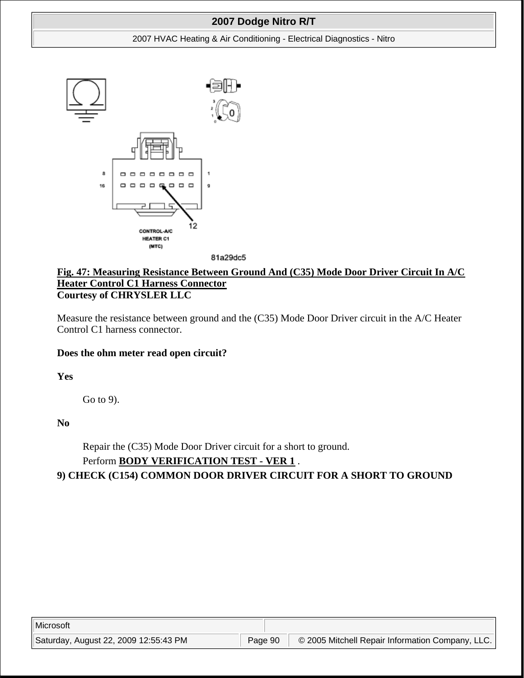#### 2007 HVAC Heating & Air Conditioning - Electrical Diagnostics - Nitro





## **Fig. 47: Measuring Resistance Between Ground And (C35) Mode Door Driver Circuit In A/C Heater Control C1 Harness Connector Courtesy of CHRYSLER LLC**

Measure the resistance between ground and the (C35) Mode Door Driver circuit in the A/C Heater Control C1 harness connector.

## **Does the ohm meter read open circuit?**

**Yes**

Go to 9).

**No**

Repair the (C35) Mode Door Driver circuit for a short to ground. Perform **BODY VERIFICATION TEST - VER 1** .

**9) CHECK (C154) COMMON DOOR DRIVER CIRCUIT FOR A SHORT TO GROUND**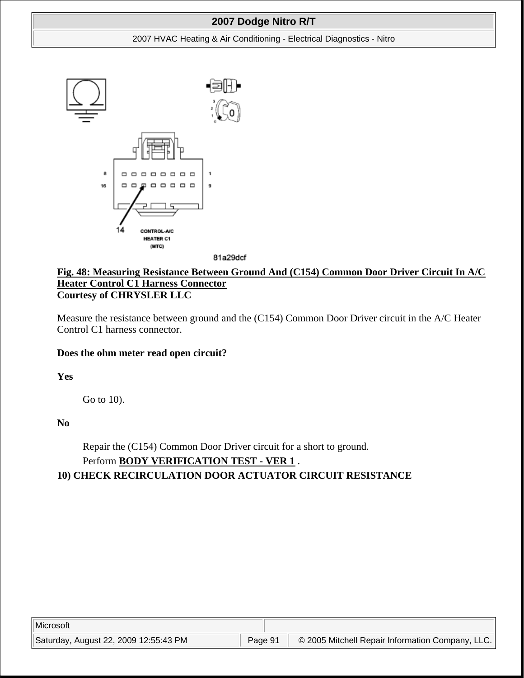#### 2007 HVAC Heating & Air Conditioning - Electrical Diagnostics - Nitro



81a29dcf

## **Fig. 48: Measuring Resistance Between Ground And (C154) Common Door Driver Circuit In A/C Heater Control C1 Harness Connector Courtesy of CHRYSLER LLC**

Measure the resistance between ground and the (C154) Common Door Driver circuit in the A/C Heater Control C1 harness connector.

### **Does the ohm meter read open circuit?**

**Yes**

Go to 10).

**No**

Repair the (C154) Common Door Driver circuit for a short to ground. Perform **BODY VERIFICATION TEST - VER 1** .

## **10) CHECK RECIRCULATION DOOR ACTUATOR CIRCUIT RESISTANCE**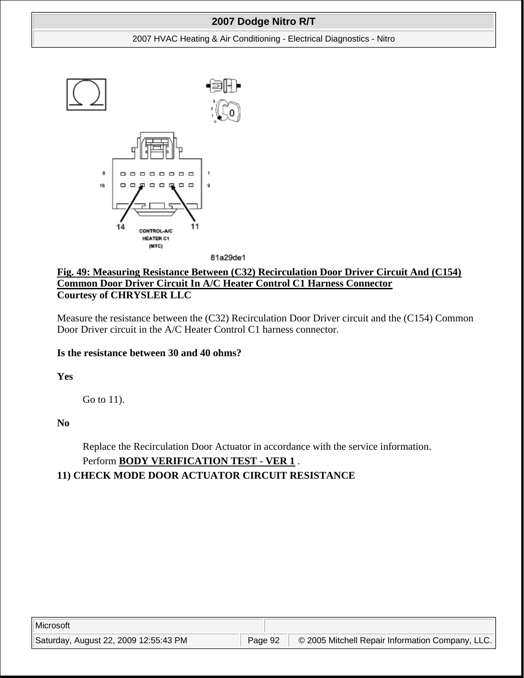#### 2007 HVAC Heating & Air Conditioning - Electrical Diagnostics - Nitro



81a29de1

## **Fig. 49: Measuring Resistance Between (C32) Recirculation Door Driver Circuit And (C154) Common Door Driver Circuit In A/C Heater Control C1 Harness Connector Courtesy of CHRYSLER LLC**

Measure the resistance between the (C32) Recirculation Door Driver circuit and the (C154) Common Door Driver circuit in the A/C Heater Control C1 harness connector.

## **Is the resistance between 30 and 40 ohms?**

**Yes**

Go to 11).

**No**

Replace the Recirculation Door Actuator in accordance with the service information. Perform **BODY VERIFICATION TEST - VER 1** .

# **11) CHECK MODE DOOR ACTUATOR CIRCUIT RESISTANCE**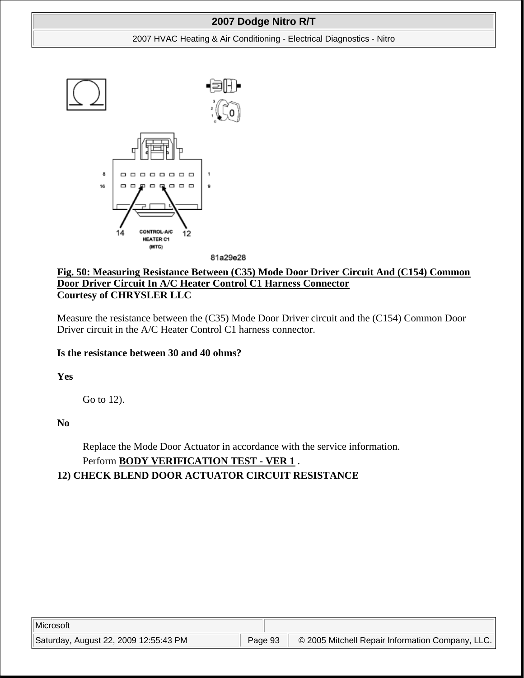#### 2007 HVAC Heating & Air Conditioning - Electrical Diagnostics - Nitro



81a29e28

## **Fig. 50: Measuring Resistance Between (C35) Mode Door Driver Circuit And (C154) Common Door Driver Circuit In A/C Heater Control C1 Harness Connector Courtesy of CHRYSLER LLC**

Measure the resistance between the (C35) Mode Door Driver circuit and the (C154) Common Door Driver circuit in the A/C Heater Control C1 harness connector.

## **Is the resistance between 30 and 40 ohms?**

**Yes**

Go to 12).

**No**

Replace the Mode Door Actuator in accordance with the service information. Perform **BODY VERIFICATION TEST - VER 1** .

# **12) CHECK BLEND DOOR ACTUATOR CIRCUIT RESISTANCE**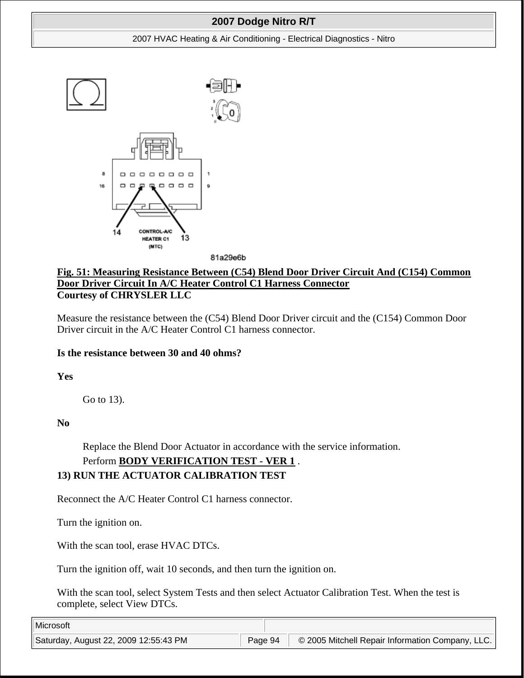#### 2007 HVAC Heating & Air Conditioning - Electrical Diagnostics - Nitro



81a29e6b

## **Fig. 51: Measuring Resistance Between (C54) Blend Door Driver Circuit And (C154) Common Door Driver Circuit In A/C Heater Control C1 Harness Connector Courtesy of CHRYSLER LLC**

Measure the resistance between the (C54) Blend Door Driver circuit and the (C154) Common Door Driver circuit in the A/C Heater Control C1 harness connector.

## **Is the resistance between 30 and 40 ohms?**

**Yes**

Go to 13).

**No**

Replace the Blend Door Actuator in accordance with the service information.

# Perform **BODY VERIFICATION TEST - VER 1** .

# **13) RUN THE ACTUATOR CALIBRATION TEST**

Reconnect the A/C Heater Control C1 harness connector.

Turn the ignition on.

With the scan tool, erase HVAC DTCs.

Turn the ignition off, wait 10 seconds, and then turn the ignition on.

With the scan tool, select System Tests and then select Actuator Calibration Test. When the test is complete, select View DTCs.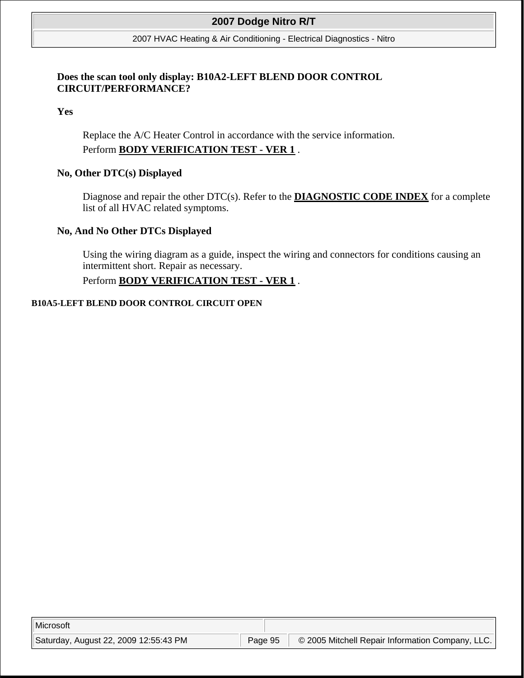2007 HVAC Heating & Air Conditioning - Electrical Diagnostics - Nitro

## **Does the scan tool only display: B10A2-LEFT BLEND DOOR CONTROL CIRCUIT/PERFORMANCE?**

**Yes**

Replace the A/C Heater Control in accordance with the service information. Perform **BODY VERIFICATION TEST - VER 1** .

### **No, Other DTC(s) Displayed**

Diagnose and repair the other DTC(s). Refer to the **DIAGNOSTIC CODE INDEX** for a complete list of all HVAC related symptoms.

### **No, And No Other DTCs Displayed**

Using the wiring diagram as a guide, inspect the wiring and connectors for conditions causing an intermittent short. Repair as necessary.

## Perform **BODY VERIFICATION TEST - VER 1** .

#### **B10A5-LEFT BLEND DOOR CONTROL CIRCUIT OPEN**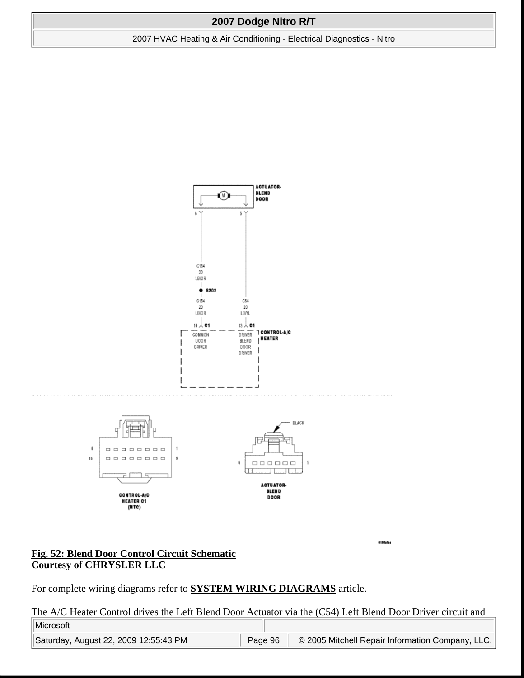2007 HVAC Heating & Air Conditioning - Electrical Diagnostics - Nitro



### **Fig. 52: Blend Door Control Circuit Schematic Courtesy of CHRYSLER LLC**

For complete wiring diagrams refer to **SYSTEM WIRING DIAGRAMS** article.

The A/C Heater Control drives the Left Blend Door Actuator via the (C54) Left Blend Door Driver circuit and

8199ates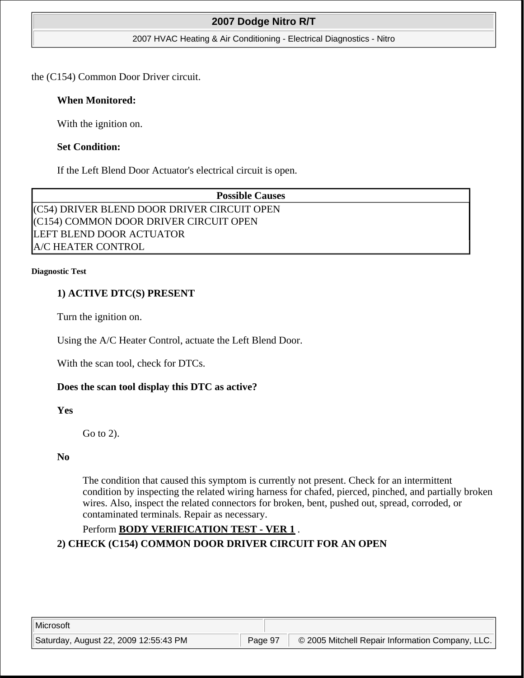#### 2007 HVAC Heating & Air Conditioning - Electrical Diagnostics - Nitro

the (C154) Common Door Driver circuit.

### **When Monitored:**

With the ignition on.

### **Set Condition:**

If the Left Blend Door Actuator's electrical circuit is open.

| <b>Possible Causes</b>                      |  |
|---------------------------------------------|--|
| (C54) DRIVER BLEND DOOR DRIVER CIRCUIT OPEN |  |
| (C154) COMMON DOOR DRIVER CIRCUIT OPEN      |  |
| LEFT BLEND DOOR ACTUATOR                    |  |
| <b>A/C HEATER CONTROL</b>                   |  |

#### **Diagnostic Test**

## **1) ACTIVE DTC(S) PRESENT**

Turn the ignition on.

Using the A/C Heater Control, actuate the Left Blend Door.

With the scan tool, check for DTCs.

## **Does the scan tool display this DTC as active?**

**Yes**

Go to 2).

### **No**

The condition that caused this symptom is currently not present. Check for an intermittent condition by inspecting the related wiring harness for chafed, pierced, pinched, and partially broken wires. Also, inspect the related connectors for broken, bent, pushed out, spread, corroded, or contaminated terminals. Repair as necessary.

## Perform **BODY VERIFICATION TEST - VER 1** .

**2) CHECK (C154) COMMON DOOR DRIVER CIRCUIT FOR AN OPEN**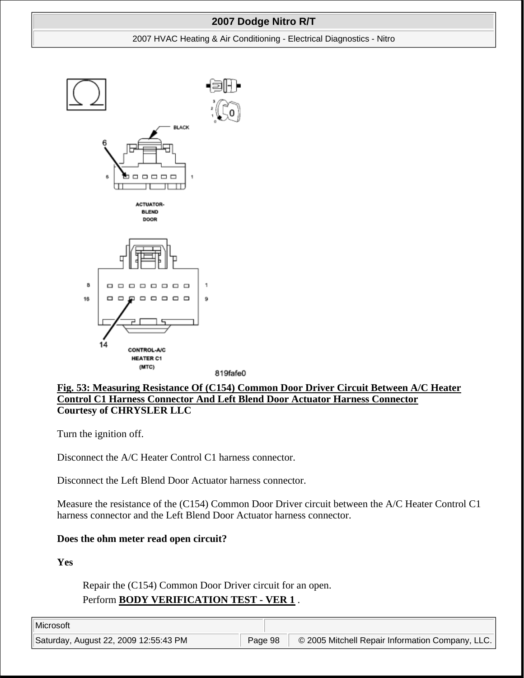#### 2007 HVAC Heating & Air Conditioning - Electrical Diagnostics - Nitro



819fafe0

## **Fig. 53: Measuring Resistance Of (C154) Common Door Driver Circuit Between A/C Heater Control C1 Harness Connector And Left Blend Door Actuator Harness Connector Courtesy of CHRYSLER LLC**

Turn the ignition off.

Disconnect the A/C Heater Control C1 harness connector.

Disconnect the Left Blend Door Actuator harness connector.

Measure the resistance of the (C154) Common Door Driver circuit between the A/C Heater Control C1 harness connector and the Left Blend Door Actuator harness connector.

### **Does the ohm meter read open circuit?**

**Yes**

Repair the (C154) Common Door Driver circuit for an open. Perform **BODY VERIFICATION TEST - VER 1** .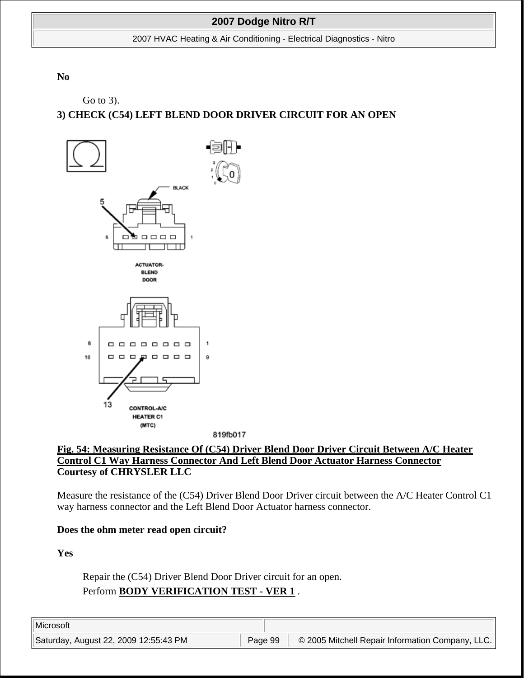2007 HVAC Heating & Air Conditioning - Electrical Diagnostics - Nitro

**No**

Go to 3).

# **3) CHECK (C54) LEFT BLEND DOOR DRIVER CIRCUIT FOR AN OPEN**





Measure the resistance of the (C54) Driver Blend Door Driver circuit between the A/C Heater Control C1 way harness connector and the Left Blend Door Actuator harness connector.

### **Does the ohm meter read open circuit?**

**Yes**

Repair the (C54) Driver Blend Door Driver circuit for an open. Perform **BODY VERIFICATION TEST - VER 1** .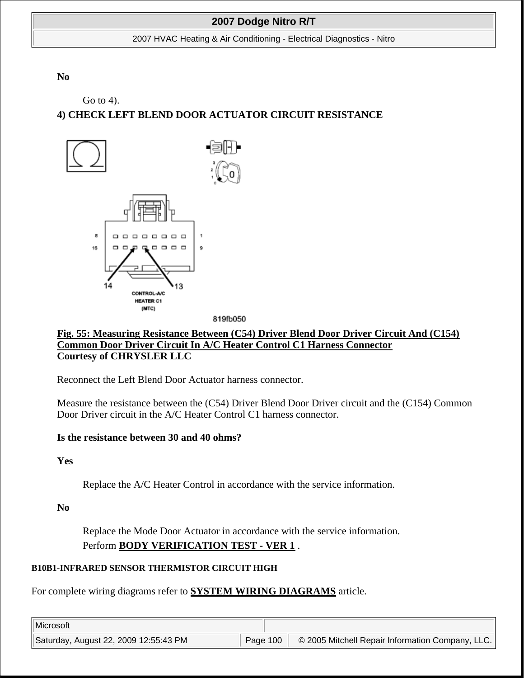2007 HVAC Heating & Air Conditioning - Electrical Diagnostics - Nitro

**No**

Go to 4).

# **4) CHECK LEFT BLEND DOOR ACTUATOR CIRCUIT RESISTANCE**



**Fig. 55: Measuring Resistance Between (C54) Driver Blend Door Driver Circuit And (C154) Common Door Driver Circuit In A/C Heater Control C1 Harness Connector Courtesy of CHRYSLER LLC**

Reconnect the Left Blend Door Actuator harness connector.

Measure the resistance between the (C54) Driver Blend Door Driver circuit and the (C154) Common Door Driver circuit in the A/C Heater Control C1 harness connector.

## **Is the resistance between 30 and 40 ohms?**

**Yes**

Replace the A/C Heater Control in accordance with the service information.

**No**

Replace the Mode Door Actuator in accordance with the service information. Perform **BODY VERIFICATION TEST - VER 1** .

## **B10B1-INFRARED SENSOR THERMISTOR CIRCUIT HIGH**

For complete wiring diagrams refer to **SYSTEM WIRING DIAGRAMS** article.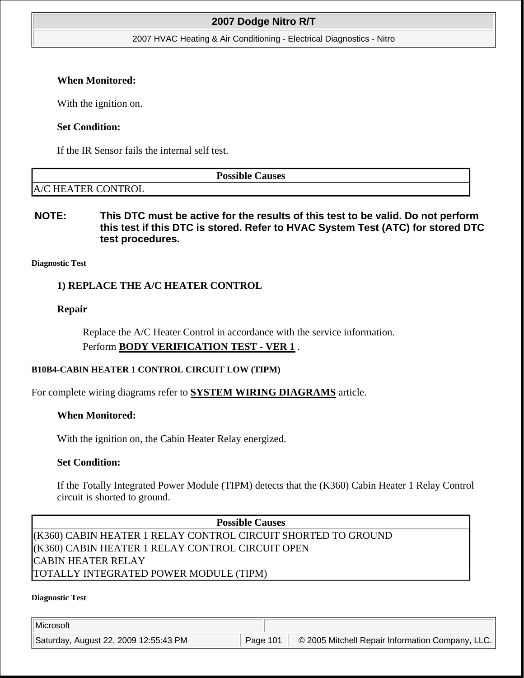2007 HVAC Heating & Air Conditioning - Electrical Diagnostics - Nitro

### **When Monitored:**

With the ignition on.

## **Set Condition:**

If the IR Sensor fails the internal self test.

**Possible Causes** 

# A/C HEATER CONTROL

## **NOTE: This DTC must be active for the results of this test to be valid. Do not perform this test if this DTC is stored. Refer to HVAC System Test (ATC) for stored DTC test procedures.**

### **Diagnostic Test**

## **1) REPLACE THE A/C HEATER CONTROL**

### **Repair**

Replace the A/C Heater Control in accordance with the service information. Perform **BODY VERIFICATION TEST - VER 1** .

### **B10B4-CABIN HEATER 1 CONTROL CIRCUIT LOW (TIPM)**

For complete wiring diagrams refer to **SYSTEM WIRING DIAGRAMS** article.

### **When Monitored:**

With the ignition on, the Cabin Heater Relay energized.

### **Set Condition:**

If the Totally Integrated Power Module (TIPM) detects that the (K360) Cabin Heater 1 Relay Control circuit is shorted to ground.

**Possible Causes**  (K360) CABIN HEATER 1 RELAY CONTROL CIRCUIT SHORTED TO GROUND (K360) CABIN HEATER 1 RELAY CONTROL CIRCUIT OPEN CABIN HEATER RELAY TOTALLY INTEGRATED POWER MODULE (TIPM)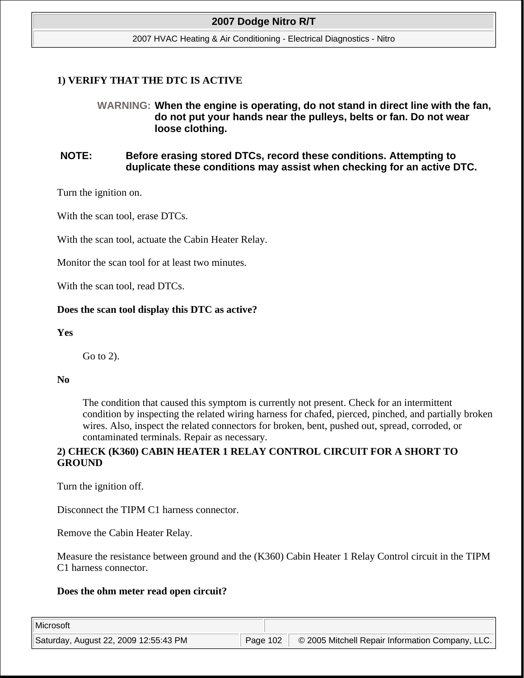2007 HVAC Heating & Air Conditioning - Electrical Diagnostics - Nitro

## **1) VERIFY THAT THE DTC IS ACTIVE**

## **WARNING: When the engine is operating, do not stand in direct line with the fan, do not put your hands near the pulleys, belts or fan. Do not wear loose clothing.**

## **NOTE: Before erasing stored DTCs, record these conditions. Attempting to duplicate these conditions may assist when checking for an active DTC.**

Turn the ignition on.

With the scan tool, erase DTCs.

With the scan tool, actuate the Cabin Heater Relay.

Monitor the scan tool for at least two minutes.

With the scan tool, read DTCs.

### **Does the scan tool display this DTC as active?**

### **Yes**

Go to 2).

### **No**

The condition that caused this symptom is currently not present. Check for an intermittent condition by inspecting the related wiring harness for chafed, pierced, pinched, and partially broken wires. Also, inspect the related connectors for broken, bent, pushed out, spread, corroded, or contaminated terminals. Repair as necessary.

## **2) CHECK (K360) CABIN HEATER 1 RELAY CONTROL CIRCUIT FOR A SHORT TO GROUND**

Turn the ignition off.

Disconnect the TIPM C1 harness connector.

Remove the Cabin Heater Relay.

Measure the resistance between ground and the (K360) Cabin Heater 1 Relay Control circuit in the TIPM C1 harness connector.

### **Does the ohm meter read open circuit?**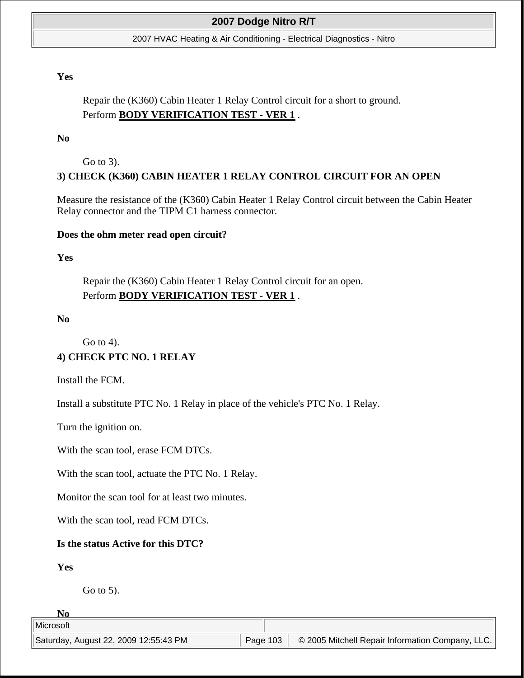#### 2007 HVAC Heating & Air Conditioning - Electrical Diagnostics - Nitro

### **Yes**

## Repair the (K360) Cabin Heater 1 Relay Control circuit for a short to ground. Perform **BODY VERIFICATION TEST - VER 1** .

#### **No**

Go to 3).

## **3) CHECK (K360) CABIN HEATER 1 RELAY CONTROL CIRCUIT FOR AN OPEN**

Measure the resistance of the (K360) Cabin Heater 1 Relay Control circuit between the Cabin Heater Relay connector and the TIPM C1 harness connector.

#### **Does the ohm meter read open circuit?**

#### **Yes**

Repair the (K360) Cabin Heater 1 Relay Control circuit for an open. Perform **BODY VERIFICATION TEST - VER 1** .

#### **No**

Go to 4). **4) CHECK PTC NO. 1 RELAY**

Install the FCM.

Install a substitute PTC No. 1 Relay in place of the vehicle's PTC No. 1 Relay.

Turn the ignition on.

With the scan tool, erase FCM DTCs.

With the scan tool, actuate the PTC No. 1 Relay.

Monitor the scan tool for at least two minutes.

With the scan tool, read FCM DTCs.

#### **Is the status Active for this DTC?**

#### **Yes**

Go to 5).

#### **No**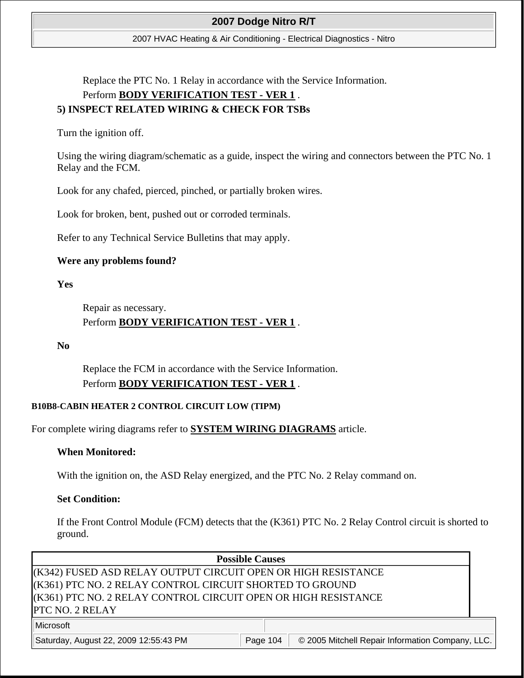2007 HVAC Heating & Air Conditioning - Electrical Diagnostics - Nitro

Replace the PTC No. 1 Relay in accordance with the Service Information. Perform **BODY VERIFICATION TEST - VER 1** . **5) INSPECT RELATED WIRING & CHECK FOR TSBs**

Turn the ignition off.

Using the wiring diagram/schematic as a guide, inspect the wiring and connectors between the PTC No. 1 Relay and the FCM.

Look for any chafed, pierced, pinched, or partially broken wires.

Look for broken, bent, pushed out or corroded terminals.

Refer to any Technical Service Bulletins that may apply.

## **Were any problems found?**

**Yes**

Repair as necessary. Perform **BODY VERIFICATION TEST - VER 1** .

**No**

Replace the FCM in accordance with the Service Information. Perform **BODY VERIFICATION TEST - VER 1** .

## **B10B8-CABIN HEATER 2 CONTROL CIRCUIT LOW (TIPM)**

For complete wiring diagrams refer to **SYSTEM WIRING DIAGRAMS** article.

## **When Monitored:**

With the ignition on, the ASD Relay energized, and the PTC No. 2 Relay command on.

## **Set Condition:**

If the Front Control Module (FCM) detects that the (K361) PTC No. 2 Relay Control circuit is shorted to ground.

## **Possible Causes**

(K342) FUSED ASD RELAY OUTPUT CIRCUIT OPEN OR HIGH RESISTANCE (K361) PTC NO. 2 RELAY CONTROL CIRCUIT SHORTED TO GROUND (K361) PTC NO. 2 RELAY CONTROL CIRCUIT OPEN OR HIGH RESISTANCE PTC NO. 2 RELAY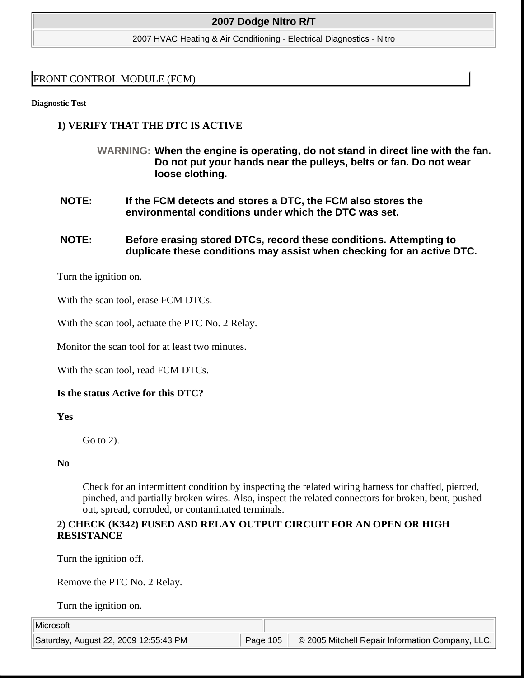2007 HVAC Heating & Air Conditioning - Electrical Diagnostics - Nitro

## FRONT CONTROL MODULE (FCM)

**Diagnostic Test** 

## **1) VERIFY THAT THE DTC IS ACTIVE**

- **WARNING: When the engine is operating, do not stand in direct line with the fan. Do not put your hands near the pulleys, belts or fan. Do not wear loose clothing.**
- **NOTE: If the FCM detects and stores a DTC, the FCM also stores the environmental conditions under which the DTC was set.**
- **NOTE: Before erasing stored DTCs, record these conditions. Attempting to duplicate these conditions may assist when checking for an active DTC.**

Turn the ignition on.

With the scan tool, erase FCM DTCs.

With the scan tool, actuate the PTC No. 2 Relay.

Monitor the scan tool for at least two minutes.

With the scan tool, read FCM DTCs.

## **Is the status Active for this DTC?**

**Yes**

Go to 2).

### **No**

Check for an intermittent condition by inspecting the related wiring harness for chaffed, pierced, pinched, and partially broken wires. Also, inspect the related connectors for broken, bent, pushed out, spread, corroded, or contaminated terminals.

## **2) CHECK (K342) FUSED ASD RELAY OUTPUT CIRCUIT FOR AN OPEN OR HIGH RESISTANCE**

Turn the ignition off.

Remove the PTC No. 2 Relay.

Turn the ignition on.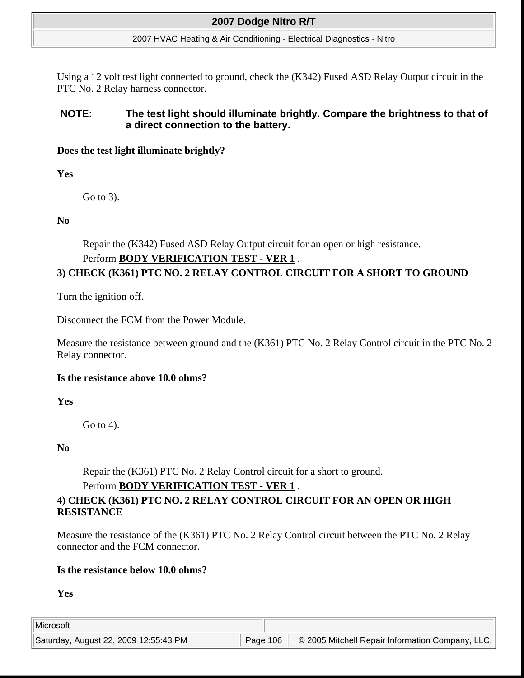#### 2007 HVAC Heating & Air Conditioning - Electrical Diagnostics - Nitro

Using a 12 volt test light connected to ground, check the (K342) Fused ASD Relay Output circuit in the PTC No. 2 Relay harness connector.

## **NOTE: The test light should illuminate brightly. Compare the brightness to that of a direct connection to the battery.**

## **Does the test light illuminate brightly?**

**Yes**

Go to 3).

## **No**

Repair the (K342) Fused ASD Relay Output circuit for an open or high resistance.

## Perform **BODY VERIFICATION TEST - VER 1** .

# **3) CHECK (K361) PTC NO. 2 RELAY CONTROL CIRCUIT FOR A SHORT TO GROUND**

Turn the ignition off.

Disconnect the FCM from the Power Module.

Measure the resistance between ground and the (K361) PTC No. 2 Relay Control circuit in the PTC No. 2 Relay connector.

## **Is the resistance above 10.0 ohms?**

**Yes**

Go to 4).

**No**

Repair the (K361) PTC No. 2 Relay Control circuit for a short to ground.

## Perform **BODY VERIFICATION TEST - VER 1** .

# **4) CHECK (K361) PTC NO. 2 RELAY CONTROL CIRCUIT FOR AN OPEN OR HIGH RESISTANCE**

Measure the resistance of the (K361) PTC No. 2 Relay Control circuit between the PTC No. 2 Relay connector and the FCM connector.

## **Is the resistance below 10.0 ohms?**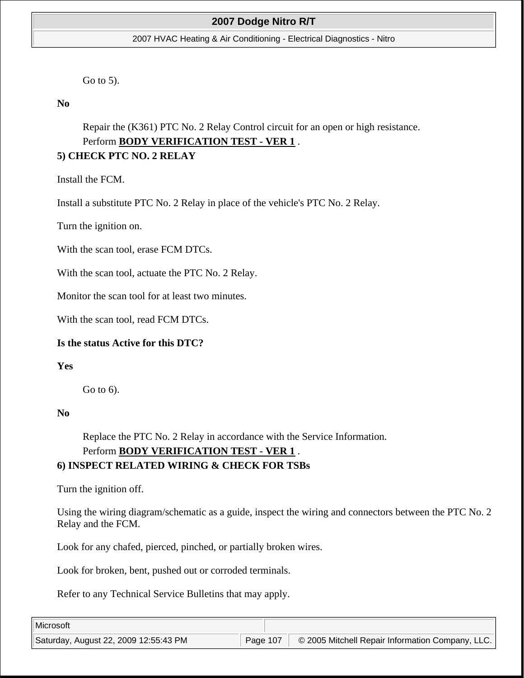#### 2007 HVAC Heating & Air Conditioning - Electrical Diagnostics - Nitro

Go to 5).

**No**

Repair the (K361) PTC No. 2 Relay Control circuit for an open or high resistance. Perform **BODY VERIFICATION TEST - VER 1** .

# **5) CHECK PTC NO. 2 RELAY**

Install the FCM.

Install a substitute PTC No. 2 Relay in place of the vehicle's PTC No. 2 Relay.

Turn the ignition on.

With the scan tool, erase FCM DTCs.

With the scan tool, actuate the PTC No. 2 Relay.

Monitor the scan tool for at least two minutes.

With the scan tool, read FCM DTCs.

## **Is the status Active for this DTC?**

**Yes**

Go to 6).

### **No**

Replace the PTC No. 2 Relay in accordance with the Service Information.

## Perform **BODY VERIFICATION TEST - VER 1** .

## **6) INSPECT RELATED WIRING & CHECK FOR TSBs**

Turn the ignition off.

Using the wiring diagram/schematic as a guide, inspect the wiring and connectors between the PTC No. 2 Relay and the FCM.

Look for any chafed, pierced, pinched, or partially broken wires.

Look for broken, bent, pushed out or corroded terminals.

Refer to any Technical Service Bulletins that may apply.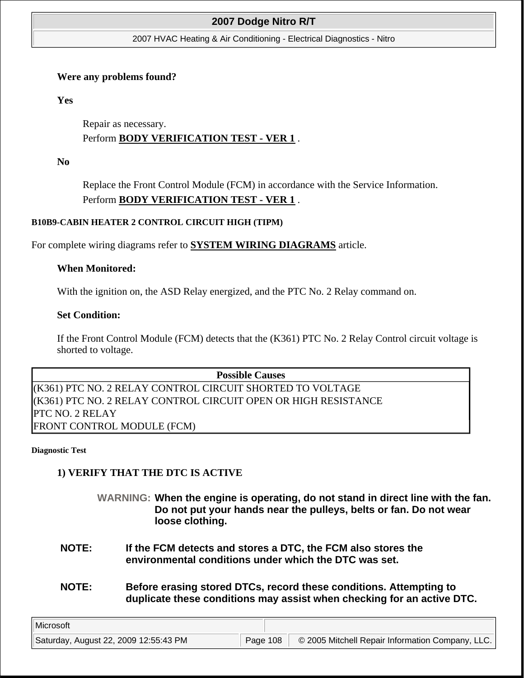#### 2007 HVAC Heating & Air Conditioning - Electrical Diagnostics - Nitro

### **Were any problems found?**

**Yes**

Repair as necessary. Perform **BODY VERIFICATION TEST - VER 1** .

**No**

Replace the Front Control Module (FCM) in accordance with the Service Information. Perform **BODY VERIFICATION TEST - VER 1** .

### **B10B9-CABIN HEATER 2 CONTROL CIRCUIT HIGH (TIPM)**

For complete wiring diagrams refer to **SYSTEM WIRING DIAGRAMS** article.

### **When Monitored:**

With the ignition on, the ASD Relay energized, and the PTC No. 2 Relay command on.

### **Set Condition:**

If the Front Control Module (FCM) detects that the (K361) PTC No. 2 Relay Control circuit voltage is shorted to voltage.

**Possible Causes**  (K361) PTC NO. 2 RELAY CONTROL CIRCUIT SHORTED TO VOLTAGE (K361) PTC NO. 2 RELAY CONTROL CIRCUIT OPEN OR HIGH RESISTANCE PTC NO. 2 RELAY FRONT CONTROL MODULE (FCM)

**Diagnostic Test** 

## **1) VERIFY THAT THE DTC IS ACTIVE**

- **WARNING: When the engine is operating, do not stand in direct line with the fan. Do not put your hands near the pulleys, belts or fan. Do not wear loose clothing.**
- **NOTE: If the FCM detects and stores a DTC, the FCM also stores the environmental conditions under which the DTC was set.**
- **NOTE: Before erasing stored DTCs, record these conditions. Attempting to duplicate these conditions may assist when checking for an active DTC.**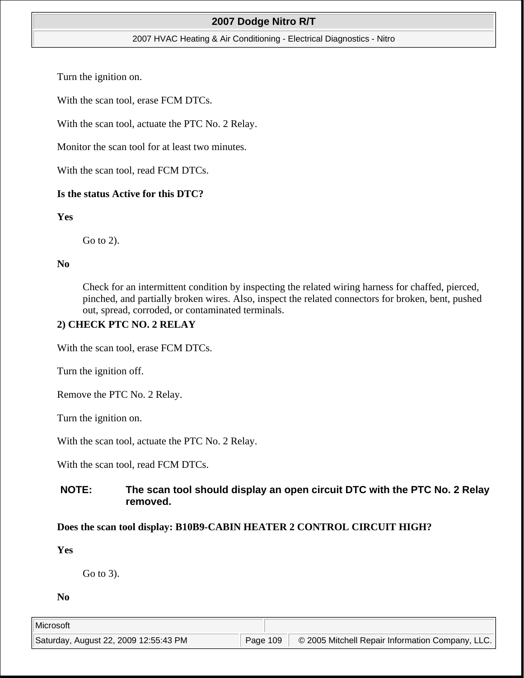### 2007 HVAC Heating & Air Conditioning - Electrical Diagnostics - Nitro

Turn the ignition on.

With the scan tool, erase FCM DTCs.

With the scan tool, actuate the PTC No. 2 Relay.

Monitor the scan tool for at least two minutes.

With the scan tool, read FCM DTCs.

#### **Is the status Active for this DTC?**

#### **Yes**

Go to 2).

### **No**

Check for an intermittent condition by inspecting the related wiring harness for chaffed, pierced, pinched, and partially broken wires. Also, inspect the related connectors for broken, bent, pushed out, spread, corroded, or contaminated terminals.

## **2) CHECK PTC NO. 2 RELAY**

With the scan tool, erase FCM DTCs.

Turn the ignition off.

Remove the PTC No. 2 Relay.

Turn the ignition on.

With the scan tool, actuate the PTC No. 2 Relay.

With the scan tool, read FCM DTCs.

## **NOTE: The scan tool should display an open circuit DTC with the PTC No. 2 Relay removed.**

### **Does the scan tool display: B10B9-CABIN HEATER 2 CONTROL CIRCUIT HIGH?**

**Yes**

Go to 3).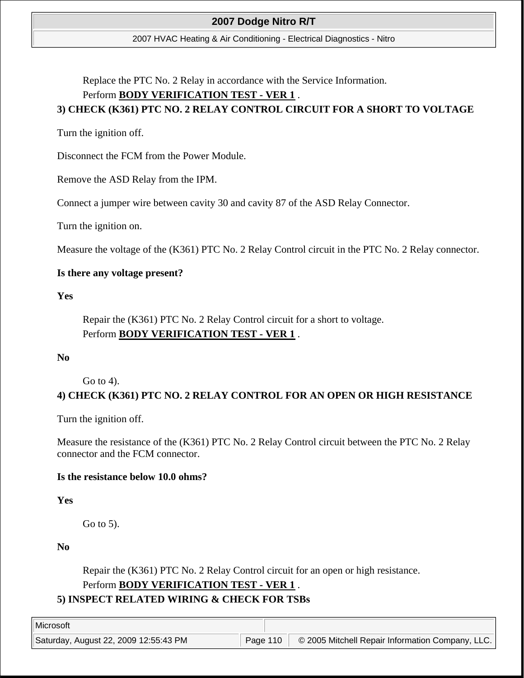2007 HVAC Heating & Air Conditioning - Electrical Diagnostics - Nitro

Replace the PTC No. 2 Relay in accordance with the Service Information.

## Perform **BODY VERIFICATION TEST - VER 1** .

# **3) CHECK (K361) PTC NO. 2 RELAY CONTROL CIRCUIT FOR A SHORT TO VOLTAGE**

Turn the ignition off.

Disconnect the FCM from the Power Module.

Remove the ASD Relay from the IPM.

Connect a jumper wire between cavity 30 and cavity 87 of the ASD Relay Connector.

Turn the ignition on.

Measure the voltage of the (K361) PTC No. 2 Relay Control circuit in the PTC No. 2 Relay connector.

## **Is there any voltage present?**

**Yes**

Repair the (K361) PTC No. 2 Relay Control circuit for a short to voltage. Perform **BODY VERIFICATION TEST - VER 1** .

**No**

Go to 4).

# **4) CHECK (K361) PTC NO. 2 RELAY CONTROL FOR AN OPEN OR HIGH RESISTANCE**

Turn the ignition off.

Measure the resistance of the (K361) PTC No. 2 Relay Control circuit between the PTC No. 2 Relay connector and the FCM connector.

## **Is the resistance below 10.0 ohms?**

**Yes**

Go to 5).

**No**

Repair the (K361) PTC No. 2 Relay Control circuit for an open or high resistance. Perform **BODY VERIFICATION TEST - VER 1** .

# **5) INSPECT RELATED WIRING & CHECK FOR TSBs**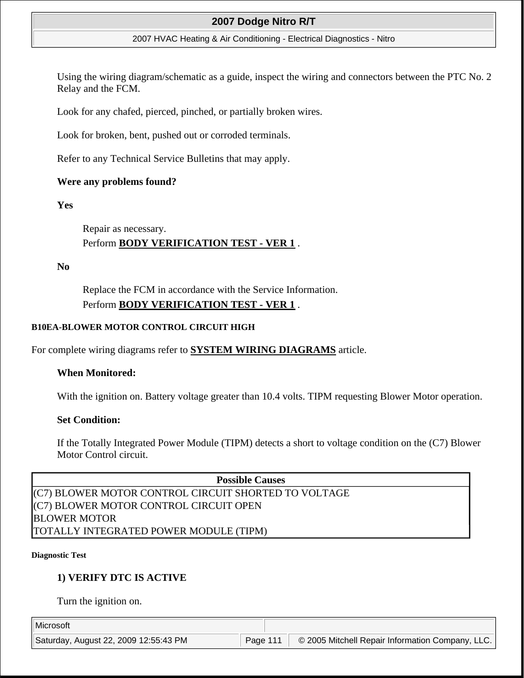#### 2007 HVAC Heating & Air Conditioning - Electrical Diagnostics - Nitro

Using the wiring diagram/schematic as a guide, inspect the wiring and connectors between the PTC No. 2 Relay and the FCM.

Look for any chafed, pierced, pinched, or partially broken wires.

Look for broken, bent, pushed out or corroded terminals.

Refer to any Technical Service Bulletins that may apply.

### **Were any problems found?**

**Yes**

Repair as necessary. Perform **BODY VERIFICATION TEST - VER 1** .

**No**

Replace the FCM in accordance with the Service Information. Perform **BODY VERIFICATION TEST - VER 1** .

### **B10EA-BLOWER MOTOR CONTROL CIRCUIT HIGH**

For complete wiring diagrams refer to **SYSTEM WIRING DIAGRAMS** article.

### **When Monitored:**

With the ignition on. Battery voltage greater than 10.4 volts. TIPM requesting Blower Motor operation.

### **Set Condition:**

If the Totally Integrated Power Module (TIPM) detects a short to voltage condition on the (C7) Blower Motor Control circuit.

**Possible Causes**  (C7) BLOWER MOTOR CONTROL CIRCUIT SHORTED TO VOLTAGE (C7) BLOWER MOTOR CONTROL CIRCUIT OPEN BLOWER MOTOR TOTALLY INTEGRATED POWER MODULE (TIPM)

#### **Diagnostic Test**

## **1) VERIFY DTC IS ACTIVE**

Turn the ignition on.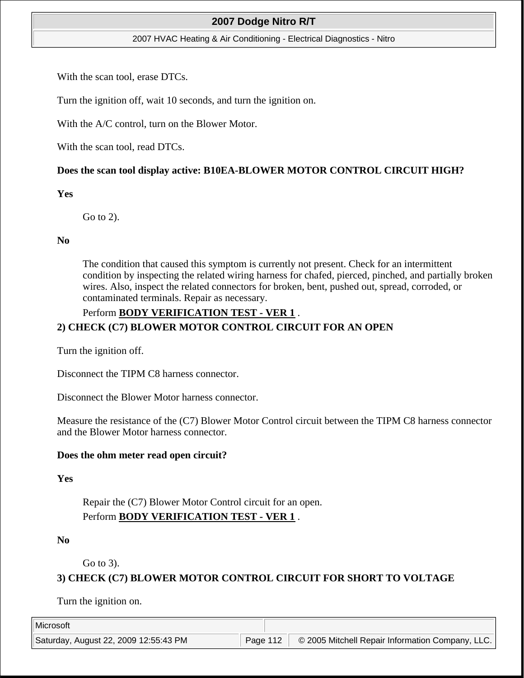#### 2007 HVAC Heating & Air Conditioning - Electrical Diagnostics - Nitro

With the scan tool, erase DTCs.

Turn the ignition off, wait 10 seconds, and turn the ignition on.

With the A/C control, turn on the Blower Motor.

With the scan tool, read DTCs.

### **Does the scan tool display active: B10EA-BLOWER MOTOR CONTROL CIRCUIT HIGH?**

#### **Yes**

Go to 2).

#### **No**

The condition that caused this symptom is currently not present. Check for an intermittent condition by inspecting the related wiring harness for chafed, pierced, pinched, and partially broken wires. Also, inspect the related connectors for broken, bent, pushed out, spread, corroded, or contaminated terminals. Repair as necessary.

### Perform **BODY VERIFICATION TEST - VER 1** .

## **2) CHECK (C7) BLOWER MOTOR CONTROL CIRCUIT FOR AN OPEN**

Turn the ignition off.

Disconnect the TIPM C8 harness connector.

Disconnect the Blower Motor harness connector.

Measure the resistance of the (C7) Blower Motor Control circuit between the TIPM C8 harness connector and the Blower Motor harness connector.

### **Does the ohm meter read open circuit?**

### **Yes**

Repair the (C7) Blower Motor Control circuit for an open. Perform **BODY VERIFICATION TEST - VER 1** .

**No**

Go to 3).

## **3) CHECK (C7) BLOWER MOTOR CONTROL CIRCUIT FOR SHORT TO VOLTAGE**

Turn the ignition on.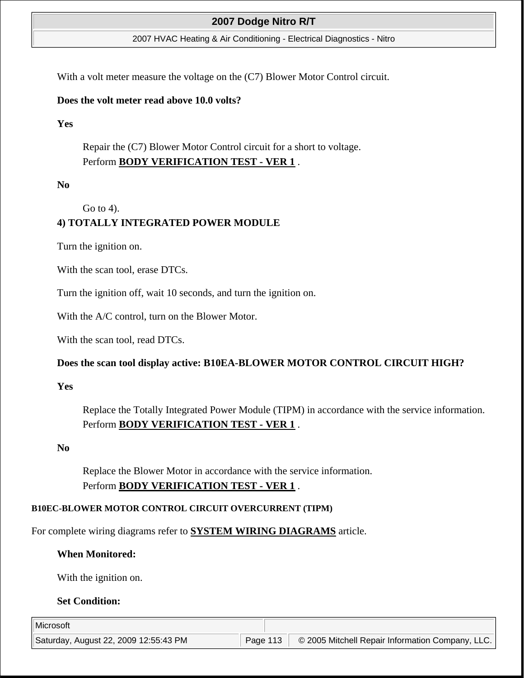2007 HVAC Heating & Air Conditioning - Electrical Diagnostics - Nitro

With a volt meter measure the voltage on the (C7) Blower Motor Control circuit.

### **Does the volt meter read above 10.0 volts?**

**Yes**

Repair the (C7) Blower Motor Control circuit for a short to voltage. Perform **BODY VERIFICATION TEST - VER 1** .

**No**

Go to 4).

# **4) TOTALLY INTEGRATED POWER MODULE**

Turn the ignition on.

With the scan tool, erase DTCs.

Turn the ignition off, wait 10 seconds, and turn the ignition on.

With the A/C control, turn on the Blower Motor.

With the scan tool, read DTCs.

### **Does the scan tool display active: B10EA-BLOWER MOTOR CONTROL CIRCUIT HIGH?**

**Yes**

Replace the Totally Integrated Power Module (TIPM) in accordance with the service information. Perform **BODY VERIFICATION TEST - VER 1** .

**No**

Replace the Blower Motor in accordance with the service information. Perform **BODY VERIFICATION TEST - VER 1** .

### **B10EC-BLOWER MOTOR CONTROL CIRCUIT OVERCURRENT (TIPM)**

For complete wiring diagrams refer to **SYSTEM WIRING DIAGRAMS** article.

## **When Monitored:**

With the ignition on.

### **Set Condition:**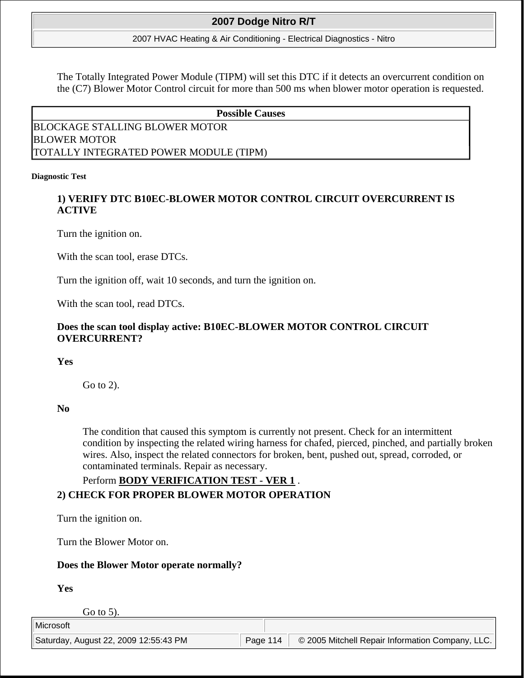2007 HVAC Heating & Air Conditioning - Electrical Diagnostics - Nitro

The Totally Integrated Power Module (TIPM) will set this DTC if it detects an overcurrent condition on the (C7) Blower Motor Control circuit for more than 500 ms when blower motor operation is requested.

#### **Possible Causes**

BLOCKAGE STALLING BLOWER MOTOR BLOWER MOTOR TOTALLY INTEGRATED POWER MODULE (TIPM)

#### **Diagnostic Test**

## **1) VERIFY DTC B10EC-BLOWER MOTOR CONTROL CIRCUIT OVERCURRENT IS ACTIVE**

Turn the ignition on.

With the scan tool, erase DTCs.

Turn the ignition off, wait 10 seconds, and turn the ignition on.

With the scan tool, read DTCs.

## **Does the scan tool display active: B10EC-BLOWER MOTOR CONTROL CIRCUIT OVERCURRENT?**

### **Yes**

Go to 2).

### **No**

The condition that caused this symptom is currently not present. Check for an intermittent condition by inspecting the related wiring harness for chafed, pierced, pinched, and partially broken wires. Also, inspect the related connectors for broken, bent, pushed out, spread, corroded, or contaminated terminals. Repair as necessary.

# Perform **BODY VERIFICATION TEST - VER 1** . **2) CHECK FOR PROPER BLOWER MOTOR OPERATION**

Turn the ignition on.

Turn the Blower Motor on.

## **Does the Blower Motor operate normally?**

**Yes**

Go to 5).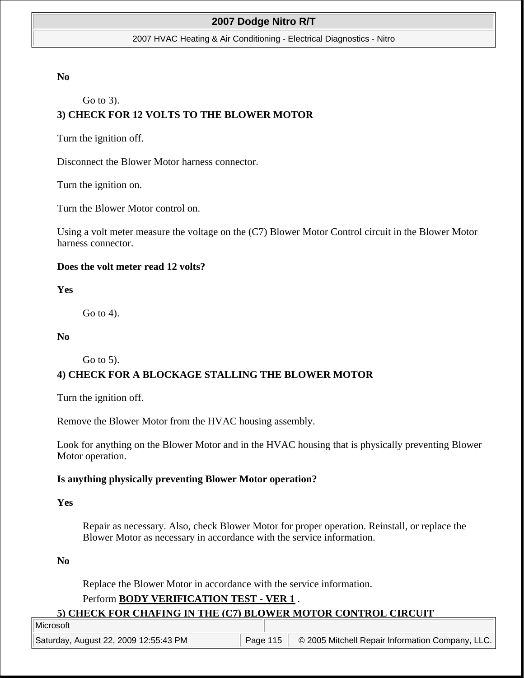#### 2007 HVAC Heating & Air Conditioning - Electrical Diagnostics - Nitro

### **No**

Go to 3).

# **3) CHECK FOR 12 VOLTS TO THE BLOWER MOTOR**

Turn the ignition off.

Disconnect the Blower Motor harness connector.

Turn the ignition on.

Turn the Blower Motor control on.

Using a volt meter measure the voltage on the (C7) Blower Motor Control circuit in the Blower Motor harness connector.

### **Does the volt meter read 12 volts?**

**Yes**

Go to 4).

### **No**

Go to 5).

## **4) CHECK FOR A BLOCKAGE STALLING THE BLOWER MOTOR**

Turn the ignition off.

Remove the Blower Motor from the HVAC housing assembly.

Look for anything on the Blower Motor and in the HVAC housing that is physically preventing Blower Motor operation.

### **Is anything physically preventing Blower Motor operation?**

#### **Yes**

Repair as necessary. Also, check Blower Motor for proper operation. Reinstall, or replace the Blower Motor as necessary in accordance with the service information.

**No**

Replace the Blower Motor in accordance with the service information.

## Perform **BODY VERIFICATION TEST - VER 1** .

#### **5) CHECK FOR CHAFING IN THE (C7) BLOWER MOTOR CONTROL CIRCUIT**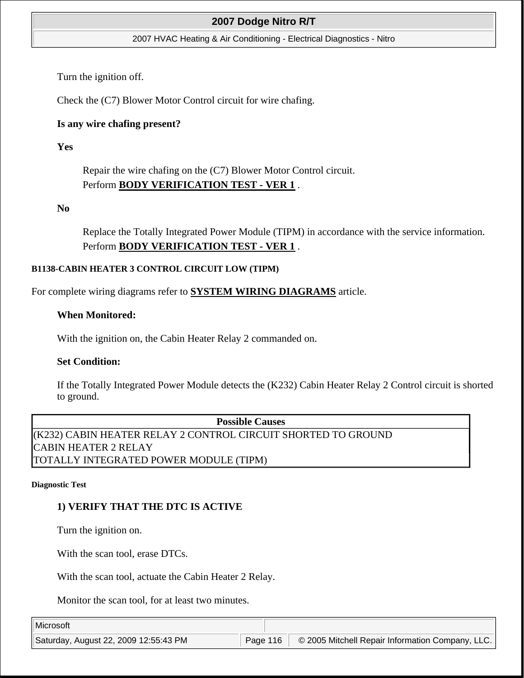#### 2007 HVAC Heating & Air Conditioning - Electrical Diagnostics - Nitro

Turn the ignition off.

Check the (C7) Blower Motor Control circuit for wire chafing.

## **Is any wire chafing present?**

**Yes**

Repair the wire chafing on the (C7) Blower Motor Control circuit. Perform **BODY VERIFICATION TEST - VER 1** .

## **No**

Replace the Totally Integrated Power Module (TIPM) in accordance with the service information. Perform **BODY VERIFICATION TEST - VER 1** .

### **B1138-CABIN HEATER 3 CONTROL CIRCUIT LOW (TIPM)**

For complete wiring diagrams refer to **SYSTEM WIRING DIAGRAMS** article.

## **When Monitored:**

With the ignition on, the Cabin Heater Relay 2 commanded on.

### **Set Condition:**

If the Totally Integrated Power Module detects the (K232) Cabin Heater Relay 2 Control circuit is shorted to ground.

**Possible Causes**  (K232) CABIN HEATER RELAY 2 CONTROL CIRCUIT SHORTED TO GROUND CABIN HEATER 2 RELAY TOTALLY INTEGRATED POWER MODULE (TIPM)

#### **Diagnostic Test**

## **1) VERIFY THAT THE DTC IS ACTIVE**

Turn the ignition on.

With the scan tool, erase DTCs.

With the scan tool, actuate the Cabin Heater 2 Relay.

Monitor the scan tool, for at least two minutes.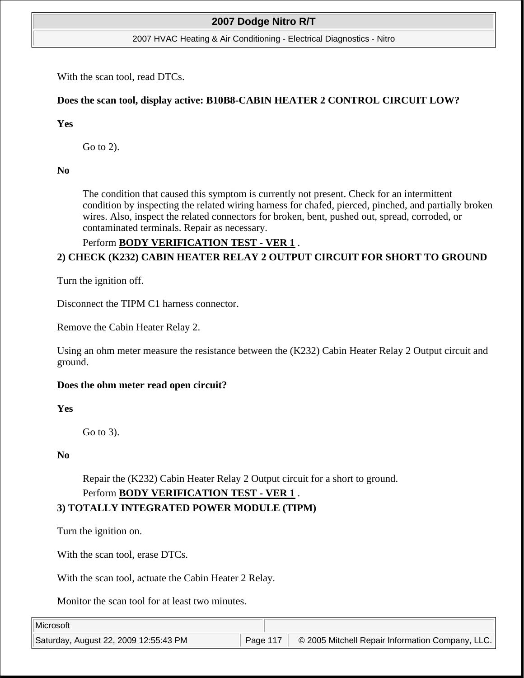2007 HVAC Heating & Air Conditioning - Electrical Diagnostics - Nitro

With the scan tool, read DTCs.

## **Does the scan tool, display active: B10B8-CABIN HEATER 2 CONTROL CIRCUIT LOW?**

## **Yes**

Go to 2).

**No**

The condition that caused this symptom is currently not present. Check for an intermittent condition by inspecting the related wiring harness for chafed, pierced, pinched, and partially broken wires. Also, inspect the related connectors for broken, bent, pushed out, spread, corroded, or contaminated terminals. Repair as necessary.

## Perform **BODY VERIFICATION TEST - VER 1** .

# **2) CHECK (K232) CABIN HEATER RELAY 2 OUTPUT CIRCUIT FOR SHORT TO GROUND**

Turn the ignition off.

Disconnect the TIPM C1 harness connector.

Remove the Cabin Heater Relay 2.

Using an ohm meter measure the resistance between the (K232) Cabin Heater Relay 2 Output circuit and ground.

## **Does the ohm meter read open circuit?**

**Yes**

Go to 3).

**No**

Repair the (K232) Cabin Heater Relay 2 Output circuit for a short to ground. Perform **BODY VERIFICATION TEST - VER 1** . **3) TOTALLY INTEGRATED POWER MODULE (TIPM)**

Turn the ignition on.

With the scan tool, erase DTCs.

With the scan tool, actuate the Cabin Heater 2 Relay.

Monitor the scan tool for at least two minutes.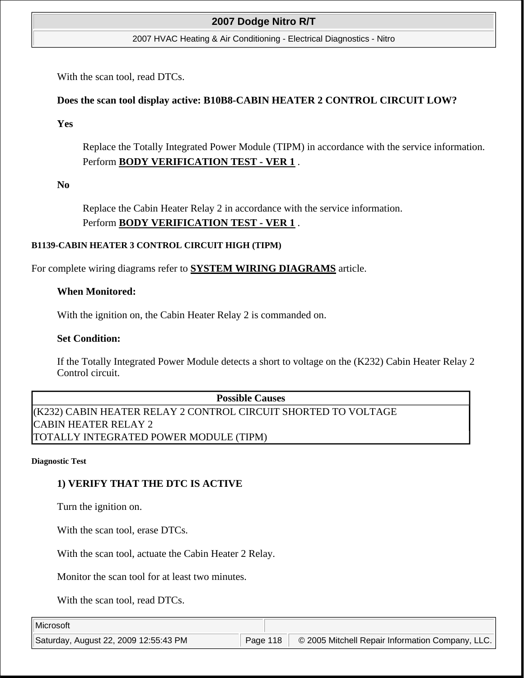2007 HVAC Heating & Air Conditioning - Electrical Diagnostics - Nitro

With the scan tool, read DTCs.

## **Does the scan tool display active: B10B8-CABIN HEATER 2 CONTROL CIRCUIT LOW?**

**Yes**

Replace the Totally Integrated Power Module (TIPM) in accordance with the service information. Perform **BODY VERIFICATION TEST - VER 1** .

**No**

Replace the Cabin Heater Relay 2 in accordance with the service information. Perform **BODY VERIFICATION TEST - VER 1** .

### **B1139-CABIN HEATER 3 CONTROL CIRCUIT HIGH (TIPM)**

For complete wiring diagrams refer to **SYSTEM WIRING DIAGRAMS** article.

### **When Monitored:**

With the ignition on, the Cabin Heater Relay 2 is commanded on.

### **Set Condition:**

If the Totally Integrated Power Module detects a short to voltage on the (K232) Cabin Heater Relay 2 Control circuit.

**Possible Causes**  (K232) CABIN HEATER RELAY 2 CONTROL CIRCUIT SHORTED TO VOLTAGE CABIN HEATER RELAY 2 TOTALLY INTEGRATED POWER MODULE (TIPM)

#### **Diagnostic Test**

## **1) VERIFY THAT THE DTC IS ACTIVE**

Turn the ignition on.

With the scan tool, erase DTCs.

With the scan tool, actuate the Cabin Heater 2 Relay.

Monitor the scan tool for at least two minutes.

With the scan tool, read DTCs.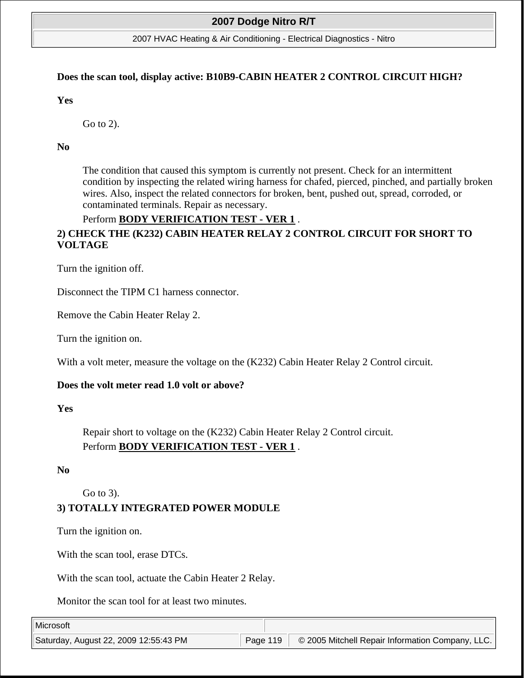#### 2007 HVAC Heating & Air Conditioning - Electrical Diagnostics - Nitro

#### **Does the scan tool, display active: B10B9-CABIN HEATER 2 CONTROL CIRCUIT HIGH?**

**Yes**

Go to 2).

**No**

The condition that caused this symptom is currently not present. Check for an intermittent condition by inspecting the related wiring harness for chafed, pierced, pinched, and partially broken wires. Also, inspect the related connectors for broken, bent, pushed out, spread, corroded, or contaminated terminals. Repair as necessary.

## Perform **BODY VERIFICATION TEST - VER 1** .

# **2) CHECK THE (K232) CABIN HEATER RELAY 2 CONTROL CIRCUIT FOR SHORT TO VOLTAGE**

Turn the ignition off.

Disconnect the TIPM C1 harness connector.

Remove the Cabin Heater Relay 2.

Turn the ignition on.

With a volt meter, measure the voltage on the (K232) Cabin Heater Relay 2 Control circuit.

#### **Does the volt meter read 1.0 volt or above?**

**Yes**

Repair short to voltage on the (K232) Cabin Heater Relay 2 Control circuit. Perform **BODY VERIFICATION TEST - VER 1** .

#### **No**

Go to 3).

## **3) TOTALLY INTEGRATED POWER MODULE**

Turn the ignition on.

With the scan tool, erase DTCs.

With the scan tool, actuate the Cabin Heater 2 Relay.

Monitor the scan tool for at least two minutes.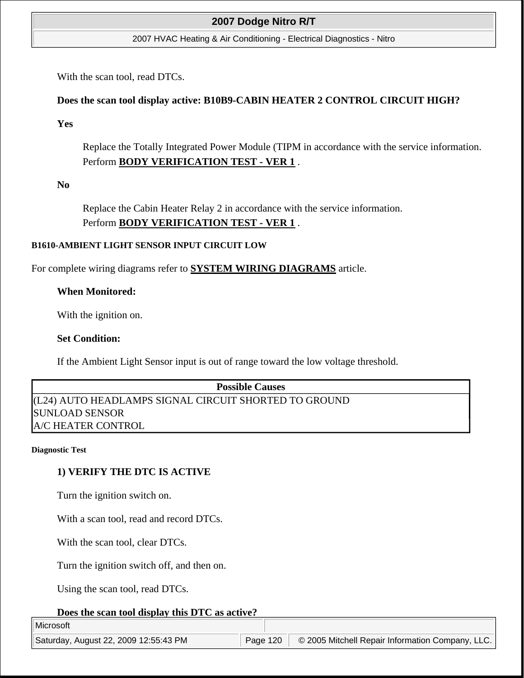2007 HVAC Heating & Air Conditioning - Electrical Diagnostics - Nitro

With the scan tool, read DTCs.

## **Does the scan tool display active: B10B9-CABIN HEATER 2 CONTROL CIRCUIT HIGH?**

**Yes**

Replace the Totally Integrated Power Module (TIPM in accordance with the service information. Perform **BODY VERIFICATION TEST - VER 1** .

**No**

Replace the Cabin Heater Relay 2 in accordance with the service information. Perform **BODY VERIFICATION TEST - VER 1** .

### **B1610-AMBIENT LIGHT SENSOR INPUT CIRCUIT LOW**

For complete wiring diagrams refer to **SYSTEM WIRING DIAGRAMS** article.

### **When Monitored:**

With the ignition on.

### **Set Condition:**

If the Ambient Light Sensor input is out of range toward the low voltage threshold.

**Possible Causes**  (L24) AUTO HEADLAMPS SIGNAL CIRCUIT SHORTED TO GROUND SUNLOAD SENSOR A/C HEATER CONTROL

#### **Diagnostic Test**

## **1) VERIFY THE DTC IS ACTIVE**

Turn the ignition switch on.

With a scan tool, read and record DTCs.

With the scan tool, clear DTCs.

Turn the ignition switch off, and then on.

Using the scan tool, read DTCs.

#### **Does the scan tool display this DTC as active?**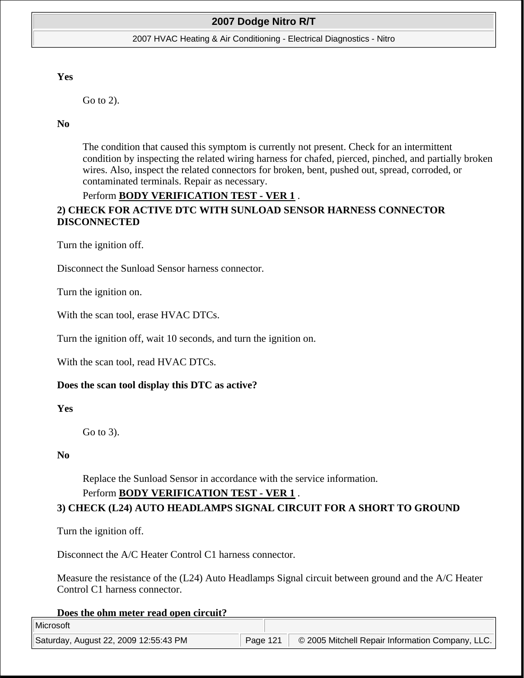#### 2007 HVAC Heating & Air Conditioning - Electrical Diagnostics - Nitro

#### **Yes**

Go to 2).

#### **No**

The condition that caused this symptom is currently not present. Check for an intermittent condition by inspecting the related wiring harness for chafed, pierced, pinched, and partially broken wires. Also, inspect the related connectors for broken, bent, pushed out, spread, corroded, or contaminated terminals. Repair as necessary.

### Perform **BODY VERIFICATION TEST - VER 1** .

## **2) CHECK FOR ACTIVE DTC WITH SUNLOAD SENSOR HARNESS CONNECTOR DISCONNECTED**

Turn the ignition off.

Disconnect the Sunload Sensor harness connector.

Turn the ignition on.

With the scan tool, erase HVAC DTCs.

Turn the ignition off, wait 10 seconds, and turn the ignition on.

With the scan tool, read HVAC DTCs.

#### **Does the scan tool display this DTC as active?**

**Yes**

Go to 3).

#### **No**

Replace the Sunload Sensor in accordance with the service information.

#### Perform **BODY VERIFICATION TEST - VER 1** .

### **3) CHECK (L24) AUTO HEADLAMPS SIGNAL CIRCUIT FOR A SHORT TO GROUND**

Turn the ignition off.

Disconnect the A/C Heater Control C1 harness connector.

Measure the resistance of the (L24) Auto Headlamps Signal circuit between ground and the A/C Heater Control C1 harness connector.

#### **Does the ohm meter read open circuit?**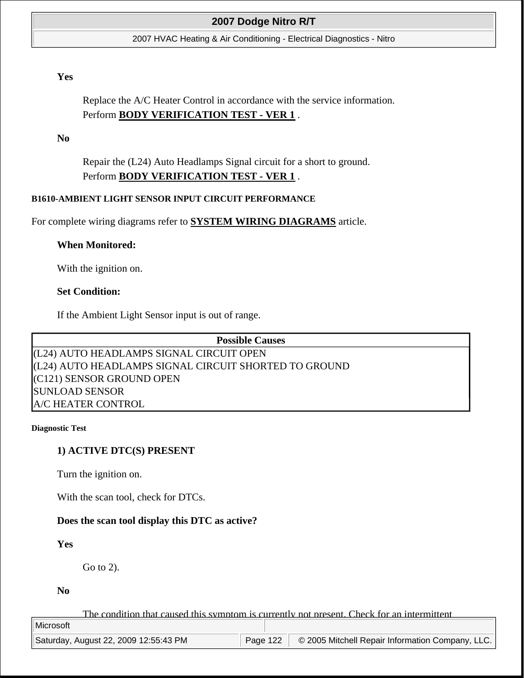2007 HVAC Heating & Air Conditioning - Electrical Diagnostics - Nitro

### **Yes**

Replace the A/C Heater Control in accordance with the service information. Perform **BODY VERIFICATION TEST - VER 1** .

**No**

Repair the (L24) Auto Headlamps Signal circuit for a short to ground. Perform **BODY VERIFICATION TEST - VER 1** .

#### **B1610-AMBIENT LIGHT SENSOR INPUT CIRCUIT PERFORMANCE**

For complete wiring diagrams refer to **SYSTEM WIRING DIAGRAMS** article.

#### **When Monitored:**

With the ignition on.

#### **Set Condition:**

If the Ambient Light Sensor input is out of range.

**Possible Causes** 

(L24) AUTO HEADLAMPS SIGNAL CIRCUIT OPEN (L24) AUTO HEADLAMPS SIGNAL CIRCUIT SHORTED TO GROUND (C121) SENSOR GROUND OPEN SUNLOAD SENSOR A/C HEATER CONTROL

#### **Diagnostic Test**

### **1) ACTIVE DTC(S) PRESENT**

Turn the ignition on.

With the scan tool, check for DTCs.

### **Does the scan tool display this DTC as active?**

### **Yes**

Go to 2).

**No**

The condition that caused this symptom is currently not present. Check for an intermittent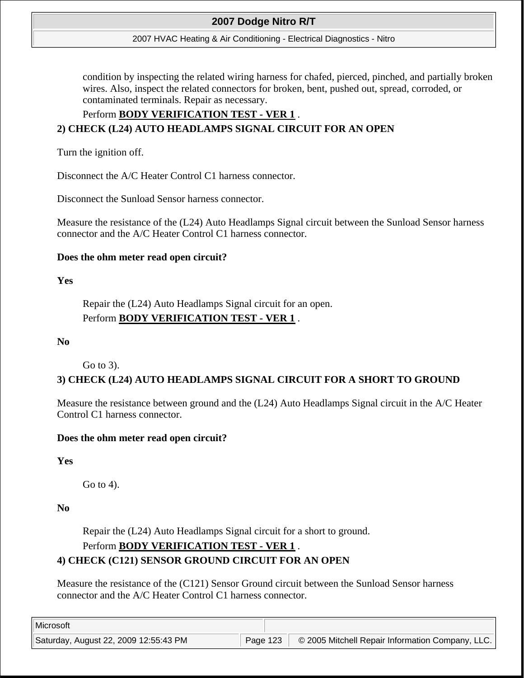#### 2007 HVAC Heating & Air Conditioning - Electrical Diagnostics - Nitro

condition by inspecting the related wiring harness for chafed, pierced, pinched, and partially broken wires. Also, inspect the related connectors for broken, bent, pushed out, spread, corroded, or contaminated terminals. Repair as necessary.

## Perform **BODY VERIFICATION TEST - VER 1** .

## **2) CHECK (L24) AUTO HEADLAMPS SIGNAL CIRCUIT FOR AN OPEN**

Turn the ignition off.

Disconnect the A/C Heater Control C1 harness connector.

Disconnect the Sunload Sensor harness connector.

Measure the resistance of the (L24) Auto Headlamps Signal circuit between the Sunload Sensor harness connector and the A/C Heater Control C1 harness connector.

### **Does the ohm meter read open circuit?**

### **Yes**

Repair the (L24) Auto Headlamps Signal circuit for an open. Perform **BODY VERIFICATION TEST - VER 1** .

## **No**

Go to 3).

## **3) CHECK (L24) AUTO HEADLAMPS SIGNAL CIRCUIT FOR A SHORT TO GROUND**

Measure the resistance between ground and the (L24) Auto Headlamps Signal circuit in the A/C Heater Control C1 harness connector.

## **Does the ohm meter read open circuit?**

## **Yes**

Go to 4).

## **No**

Repair the (L24) Auto Headlamps Signal circuit for a short to ground.

## Perform **BODY VERIFICATION TEST - VER 1** .

## **4) CHECK (C121) SENSOR GROUND CIRCUIT FOR AN OPEN**

Measure the resistance of the (C121) Sensor Ground circuit between the Sunload Sensor harness connector and the A/C Heater Control C1 harness connector.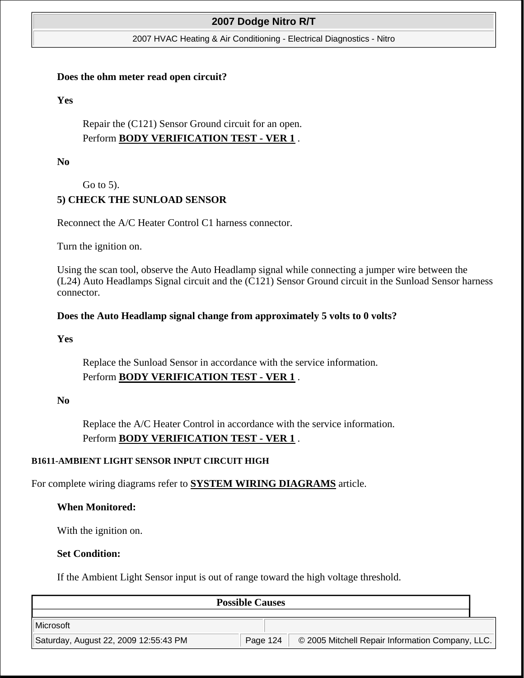#### 2007 HVAC Heating & Air Conditioning - Electrical Diagnostics - Nitro

#### **Does the ohm meter read open circuit?**

**Yes**

Repair the (C121) Sensor Ground circuit for an open. Perform **BODY VERIFICATION TEST - VER 1** .

**No**

Go to 5).

## **5) CHECK THE SUNLOAD SENSOR**

Reconnect the A/C Heater Control C1 harness connector.

Turn the ignition on.

Using the scan tool, observe the Auto Headlamp signal while connecting a jumper wire between the (L24) Auto Headlamps Signal circuit and the (C121) Sensor Ground circuit in the Sunload Sensor harness connector.

### **Does the Auto Headlamp signal change from approximately 5 volts to 0 volts?**

**Yes**

Replace the Sunload Sensor in accordance with the service information. Perform **BODY VERIFICATION TEST - VER 1** .

**No**

Replace the A/C Heater Control in accordance with the service information. Perform **BODY VERIFICATION TEST - VER 1** .

### **B1611-AMBIENT LIGHT SENSOR INPUT CIRCUIT HIGH**

For complete wiring diagrams refer to **SYSTEM WIRING DIAGRAMS** article.

**When Monitored:**

With the ignition on.

#### **Set Condition:**

If the Ambient Light Sensor input is out of range toward the high voltage threshold.

**Possible Causes**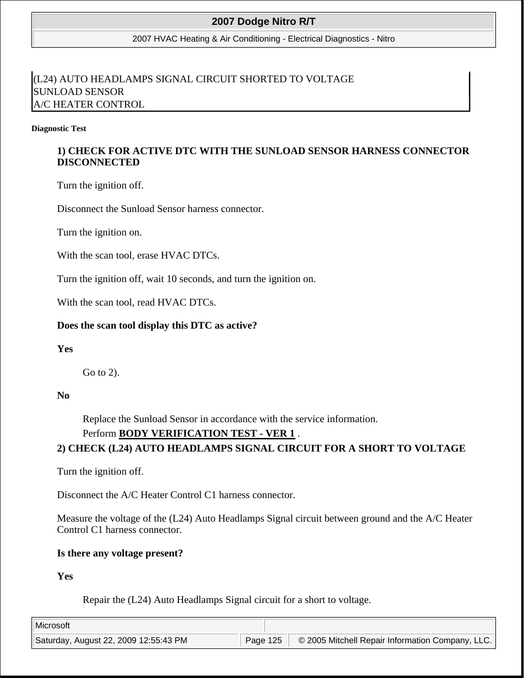2007 HVAC Heating & Air Conditioning - Electrical Diagnostics - Nitro

# (L24) AUTO HEADLAMPS SIGNAL CIRCUIT SHORTED TO VOLTAGE SUNLOAD SENSOR A/C HEATER CONTROL

#### **Diagnostic Test**

## **1) CHECK FOR ACTIVE DTC WITH THE SUNLOAD SENSOR HARNESS CONNECTOR DISCONNECTED**

Turn the ignition off.

Disconnect the Sunload Sensor harness connector.

Turn the ignition on.

With the scan tool, erase HVAC DTCs.

Turn the ignition off, wait 10 seconds, and turn the ignition on.

With the scan tool, read HVAC DTCs.

### **Does the scan tool display this DTC as active?**

### **Yes**

Go to 2).

### **No**

Replace the Sunload Sensor in accordance with the service information.

## Perform **BODY VERIFICATION TEST - VER 1** .

## **2) CHECK (L24) AUTO HEADLAMPS SIGNAL CIRCUIT FOR A SHORT TO VOLTAGE**

Turn the ignition off.

Disconnect the A/C Heater Control C1 harness connector.

Measure the voltage of the (L24) Auto Headlamps Signal circuit between ground and the A/C Heater Control C1 harness connector.

### **Is there any voltage present?**

### **Yes**

Repair the (L24) Auto Headlamps Signal circuit for a short to voltage.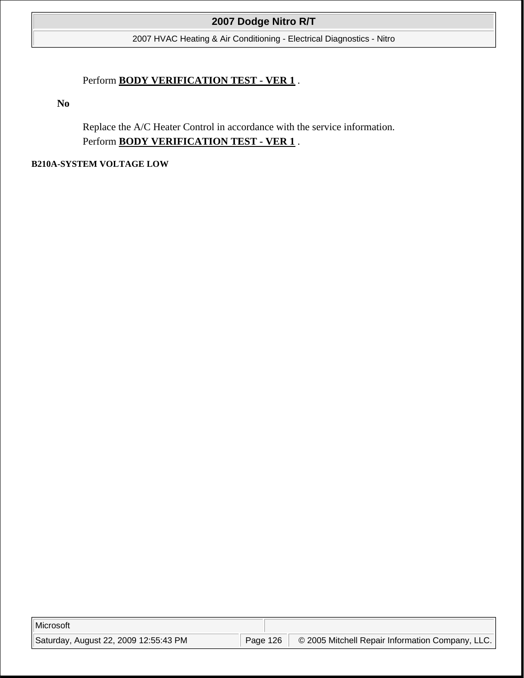2007 HVAC Heating & Air Conditioning - Electrical Diagnostics - Nitro

## Perform **BODY VERIFICATION TEST - VER 1** .

**No**

Replace the A/C Heater Control in accordance with the service information. Perform **BODY VERIFICATION TEST - VER 1** .

### **B210A-SYSTEM VOLTAGE LOW**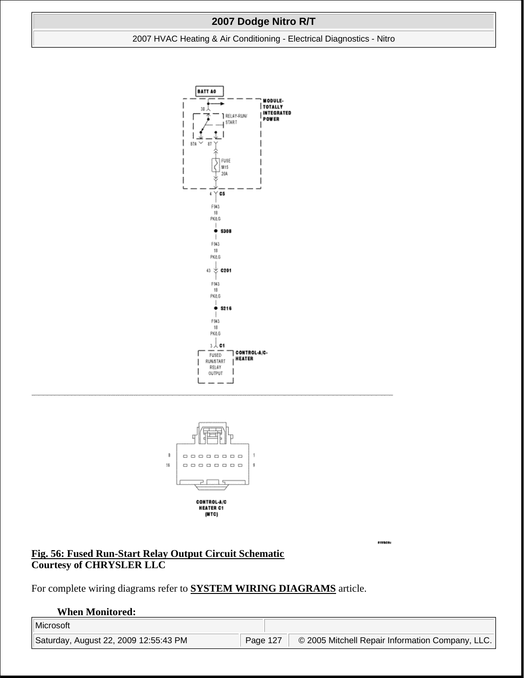### 2007 HVAC Heating & Air Conditioning - Electrical Diagnostics - Nitro





sunase

**Fig. 56: Fused Run-Start Relay Output Circuit Schematic Courtesy of CHRYSLER LLC**

For complete wiring diagrams refer to **SYSTEM WIRING DIAGRAMS** article.

#### **When Monitored:**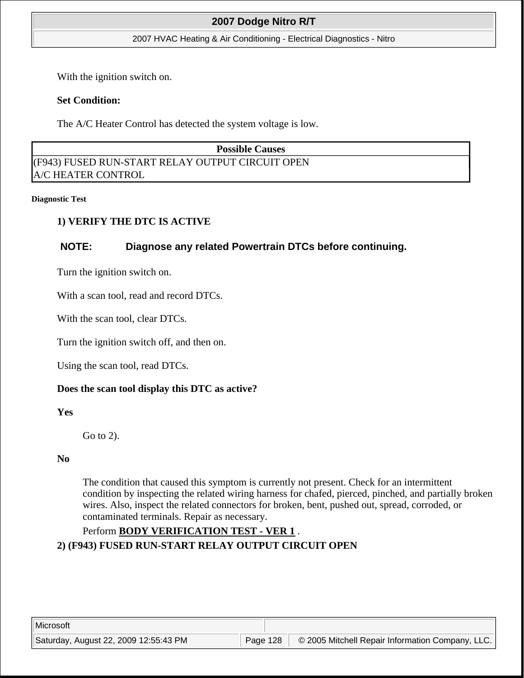#### 2007 HVAC Heating & Air Conditioning - Electrical Diagnostics - Nitro

With the ignition switch on.

## **Set Condition:**

The A/C Heater Control has detected the system voltage is low.

**Possible Causes**  (F943) FUSED RUN-START RELAY OUTPUT CIRCUIT OPEN A/C HEATER CONTROL

#### **Diagnostic Test**

## **1) VERIFY THE DTC IS ACTIVE**

## **NOTE: Diagnose any related Powertrain DTCs before continuing.**

Turn the ignition switch on.

With a scan tool, read and record DTCs.

With the scan tool, clear DTCs.

Turn the ignition switch off, and then on.

Using the scan tool, read DTCs.

## **Does the scan tool display this DTC as active?**

**Yes**

Go to 2).

### **No**

The condition that caused this symptom is currently not present. Check for an intermittent condition by inspecting the related wiring harness for chafed, pierced, pinched, and partially broken wires. Also, inspect the related connectors for broken, bent, pushed out, spread, corroded, or contaminated terminals. Repair as necessary.

## Perform **BODY VERIFICATION TEST - VER 1** .

**2) (F943) FUSED RUN-START RELAY OUTPUT CIRCUIT OPEN**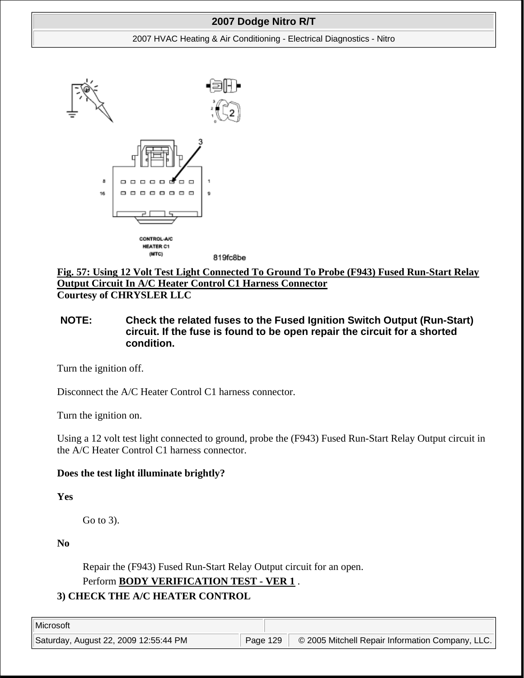#### 2007 HVAC Heating & Air Conditioning - Electrical Diagnostics - Nitro



**Fig. 57: Using 12 Volt Test Light Connected To Ground To Probe (F943) Fused Run-Start Relay Output Circuit In A/C Heater Control C1 Harness Connector Courtesy of CHRYSLER LLC**

## **NOTE: Check the related fuses to the Fused Ignition Switch Output (Run-Start) circuit. If the fuse is found to be open repair the circuit for a shorted condition.**

Turn the ignition off.

Disconnect the A/C Heater Control C1 harness connector.

Turn the ignition on.

Using a 12 volt test light connected to ground, probe the (F943) Fused Run-Start Relay Output circuit in the A/C Heater Control C1 harness connector.

## **Does the test light illuminate brightly?**

**Yes**

Go to 3).

**No**

Repair the (F943) Fused Run-Start Relay Output circuit for an open.

Perform **BODY VERIFICATION TEST - VER 1** .

# **3) CHECK THE A/C HEATER CONTROL**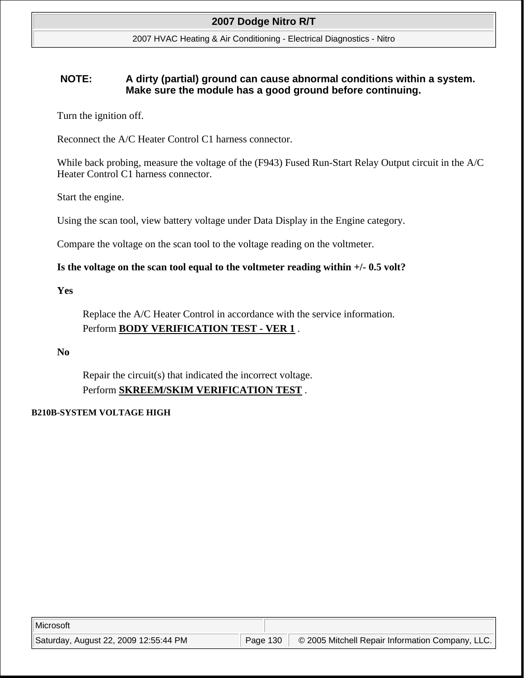2007 HVAC Heating & Air Conditioning - Electrical Diagnostics - Nitro

## **NOTE: A dirty (partial) ground can cause abnormal conditions within a system. Make sure the module has a good ground before continuing.**

Turn the ignition off.

Reconnect the A/C Heater Control C1 harness connector.

While back probing, measure the voltage of the (F943) Fused Run-Start Relay Output circuit in the A/C Heater Control C1 harness connector.

Start the engine.

Using the scan tool, view battery voltage under Data Display in the Engine category.

Compare the voltage on the scan tool to the voltage reading on the voltmeter.

## **Is the voltage on the scan tool equal to the voltmeter reading within +/- 0.5 volt?**

### **Yes**

Replace the A/C Heater Control in accordance with the service information. Perform **BODY VERIFICATION TEST - VER 1** .

## **No**

Repair the circuit(s) that indicated the incorrect voltage. Perform **SKREEM/SKIM VERIFICATION TEST** .

## **B210B-SYSTEM VOLTAGE HIGH**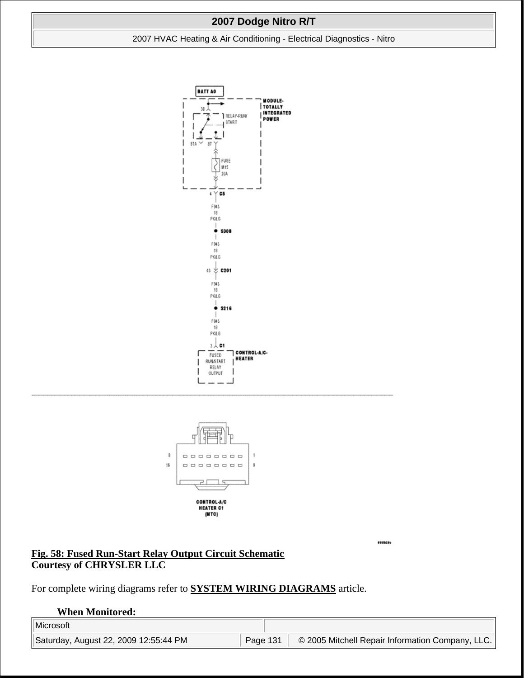### 2007 HVAC Heating & Air Conditioning - Electrical Diagnostics - Nitro





**Fig. 58: Fused Run-Start Relay Output Circuit Schematic Courtesy of CHRYSLER LLC**

For complete wiring diagrams refer to **SYSTEM WIRING DIAGRAMS** article.

#### **When Monitored:**

sunase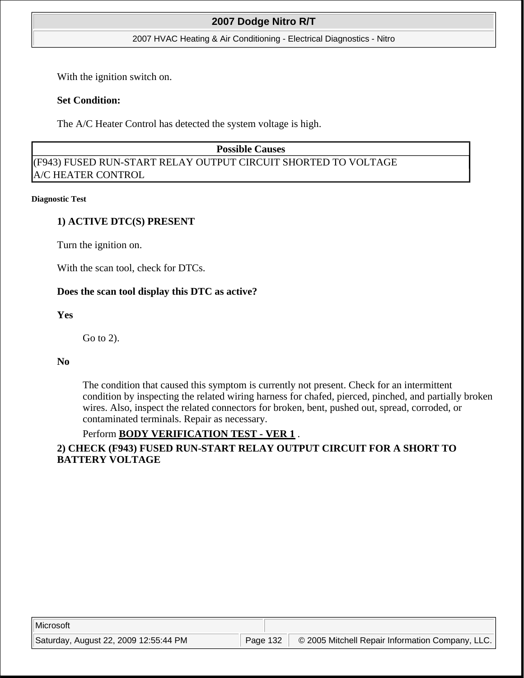#### 2007 HVAC Heating & Air Conditioning - Electrical Diagnostics - Nitro

With the ignition switch on.

### **Set Condition:**

The A/C Heater Control has detected the system voltage is high.

### **Possible Causes**

(F943) FUSED RUN-START RELAY OUTPUT CIRCUIT SHORTED TO VOLTAGE A/C HEATER CONTROL

#### **Diagnostic Test**

## **1) ACTIVE DTC(S) PRESENT**

Turn the ignition on.

With the scan tool, check for DTCs.

## **Does the scan tool display this DTC as active?**

## **Yes**

Go to 2).

### **No**

The condition that caused this symptom is currently not present. Check for an intermittent condition by inspecting the related wiring harness for chafed, pierced, pinched, and partially broken wires. Also, inspect the related connectors for broken, bent, pushed out, spread, corroded, or contaminated terminals. Repair as necessary.

## Perform **BODY VERIFICATION TEST - VER 1** .

## **2) CHECK (F943) FUSED RUN-START RELAY OUTPUT CIRCUIT FOR A SHORT TO BATTERY VOLTAGE**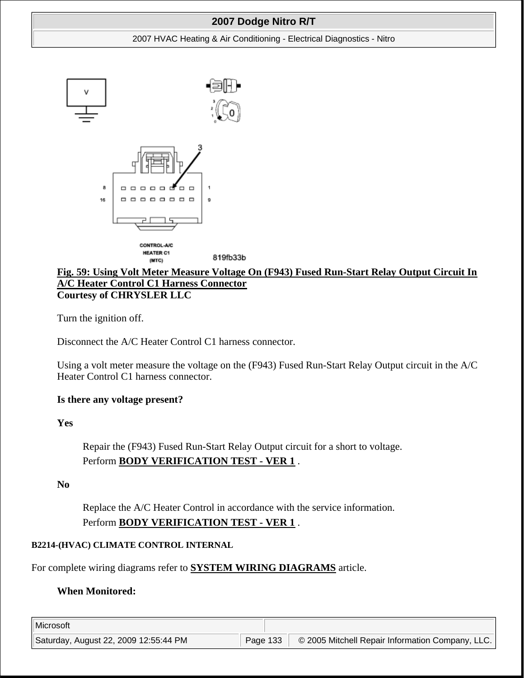#### 2007 HVAC Heating & Air Conditioning - Electrical Diagnostics - Nitro



## **Fig. 59: Using Volt Meter Measure Voltage On (F943) Fused Run-Start Relay Output Circuit In A/C Heater Control C1 Harness Connector Courtesy of CHRYSLER LLC**

Turn the ignition off.

Disconnect the A/C Heater Control C1 harness connector.

Using a volt meter measure the voltage on the (F943) Fused Run-Start Relay Output circuit in the A/C Heater Control C1 harness connector.

## **Is there any voltage present?**

**Yes**

Repair the (F943) Fused Run-Start Relay Output circuit for a short to voltage. Perform **BODY VERIFICATION TEST - VER 1** .

### **No**

Replace the A/C Heater Control in accordance with the service information. Perform **BODY VERIFICATION TEST - VER 1** .

### **B2214-(HVAC) CLIMATE CONTROL INTERNAL**

For complete wiring diagrams refer to **SYSTEM WIRING DIAGRAMS** article.

## **When Monitored:**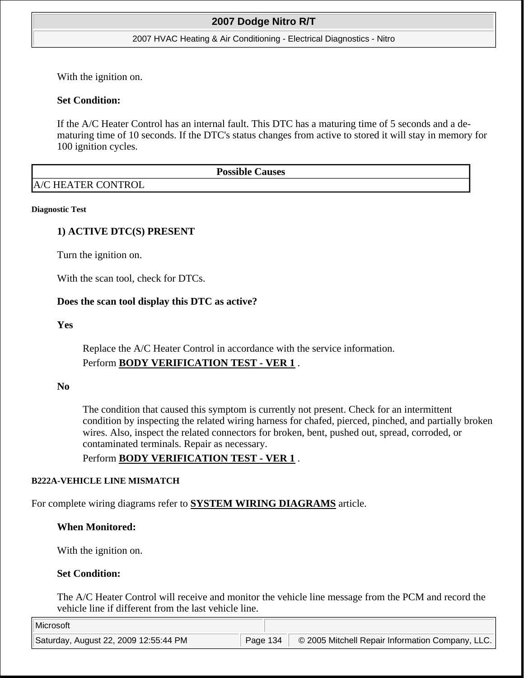#### 2007 HVAC Heating & Air Conditioning - Electrical Diagnostics - Nitro

With the ignition on.

### **Set Condition:**

If the A/C Heater Control has an internal fault. This DTC has a maturing time of 5 seconds and a dematuring time of 10 seconds. If the DTC's status changes from active to stored it will stay in memory for 100 ignition cycles.

**Possible Causes**  A/C HEATER CONTROL

#### **Diagnostic Test**

### **1) ACTIVE DTC(S) PRESENT**

Turn the ignition on.

With the scan tool, check for DTCs.

#### **Does the scan tool display this DTC as active?**

### **Yes**

Replace the A/C Heater Control in accordance with the service information. Perform **BODY VERIFICATION TEST - VER 1** .

#### **No**

The condition that caused this symptom is currently not present. Check for an intermittent condition by inspecting the related wiring harness for chafed, pierced, pinched, and partially broken wires. Also, inspect the related connectors for broken, bent, pushed out, spread, corroded, or contaminated terminals. Repair as necessary.

## Perform **BODY VERIFICATION TEST - VER 1** .

#### **B222A-VEHICLE LINE MISMATCH**

For complete wiring diagrams refer to **SYSTEM WIRING DIAGRAMS** article.

### **When Monitored:**

With the ignition on.

### **Set Condition:**

The A/C Heater Control will receive and monitor the vehicle line message from the PCM and record the vehicle line if different from the last vehicle line.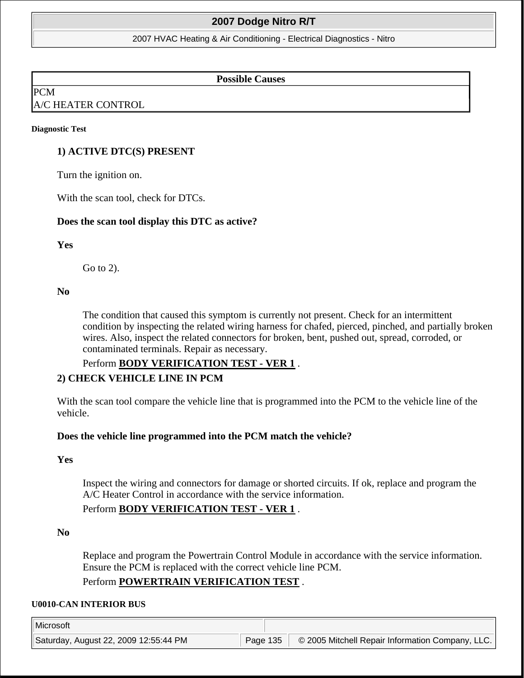2007 HVAC Heating & Air Conditioning - Electrical Diagnostics - Nitro

#### **Possible Causes**

PCM

## A/C HEATER CONTROL

#### **Diagnostic Test**

### **1) ACTIVE DTC(S) PRESENT**

Turn the ignition on.

With the scan tool, check for DTCs.

#### **Does the scan tool display this DTC as active?**

#### **Yes**

Go to 2).

#### **No**

The condition that caused this symptom is currently not present. Check for an intermittent condition by inspecting the related wiring harness for chafed, pierced, pinched, and partially broken wires. Also, inspect the related connectors for broken, bent, pushed out, spread, corroded, or contaminated terminals. Repair as necessary.

## Perform **BODY VERIFICATION TEST - VER 1** . **2) CHECK VEHICLE LINE IN PCM**

With the scan tool compare the vehicle line that is programmed into the PCM to the vehicle line of the vehicle.

### **Does the vehicle line programmed into the PCM match the vehicle?**

#### **Yes**

Inspect the wiring and connectors for damage or shorted circuits. If ok, replace and program the A/C Heater Control in accordance with the service information.

## Perform **BODY VERIFICATION TEST - VER 1** .

#### **No**

Replace and program the Powertrain Control Module in accordance with the service information. Ensure the PCM is replaced with the correct vehicle line PCM.

## Perform **POWERTRAIN VERIFICATION TEST** .

#### **U0010-CAN INTERIOR BUS**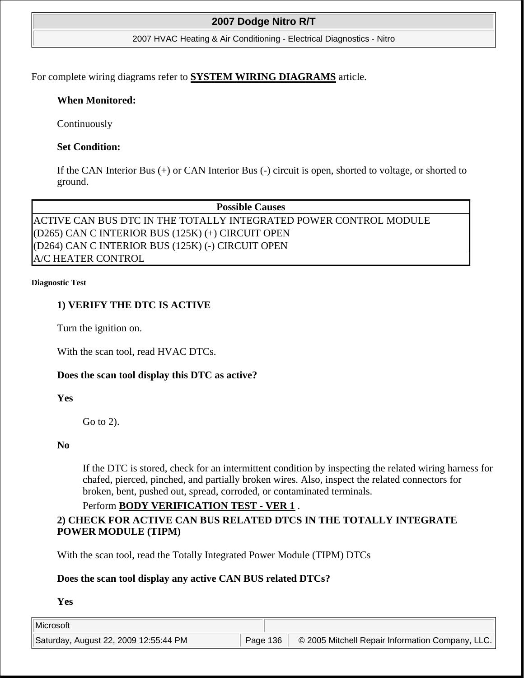2007 HVAC Heating & Air Conditioning - Electrical Diagnostics - Nitro

For complete wiring diagrams refer to **SYSTEM WIRING DIAGRAMS** article.

## **When Monitored:**

Continuously

## **Set Condition:**

If the CAN Interior Bus (+) or CAN Interior Bus (-) circuit is open, shorted to voltage, or shorted to ground.

**Possible Causes**  ACTIVE CAN BUS DTC IN THE TOTALLY INTEGRATED POWER CONTROL MODULE (D265) CAN C INTERIOR BUS (125K) (+) CIRCUIT OPEN (D264) CAN C INTERIOR BUS (125K) (-) CIRCUIT OPEN A/C HEATER CONTROL

#### **Diagnostic Test**

## **1) VERIFY THE DTC IS ACTIVE**

Turn the ignition on.

With the scan tool, read HVAC DTCs.

## **Does the scan tool display this DTC as active?**

**Yes**

Go to 2).

## **No**

If the DTC is stored, check for an intermittent condition by inspecting the related wiring harness for chafed, pierced, pinched, and partially broken wires. Also, inspect the related connectors for broken, bent, pushed out, spread, corroded, or contaminated terminals.

## Perform **BODY VERIFICATION TEST - VER 1** .

## **2) CHECK FOR ACTIVE CAN BUS RELATED DTCS IN THE TOTALLY INTEGRATE POWER MODULE (TIPM)**

With the scan tool, read the Totally Integrated Power Module (TIPM) DTCs

## **Does the scan tool display any active CAN BUS related DTCs?**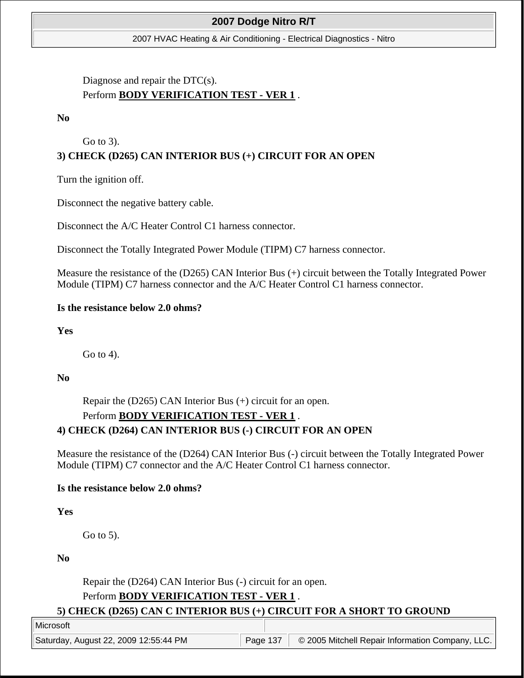2007 HVAC Heating & Air Conditioning - Electrical Diagnostics - Nitro

# Diagnose and repair the DTC(s). Perform **BODY VERIFICATION TEST - VER 1** .

**No**

# Go to 3). **3) CHECK (D265) CAN INTERIOR BUS (+) CIRCUIT FOR AN OPEN**

Turn the ignition off.

Disconnect the negative battery cable.

Disconnect the A/C Heater Control C1 harness connector.

Disconnect the Totally Integrated Power Module (TIPM) C7 harness connector.

Measure the resistance of the (D265) CAN Interior Bus (+) circuit between the Totally Integrated Power Module (TIPM) C7 harness connector and the A/C Heater Control C1 harness connector.

## **Is the resistance below 2.0 ohms?**

**Yes**

Go to 4).

**No**

Repair the (D265) CAN Interior Bus (+) circuit for an open. Perform **BODY VERIFICATION TEST - VER 1** . **4) CHECK (D264) CAN INTERIOR BUS (-) CIRCUIT FOR AN OPEN**

Measure the resistance of the (D264) CAN Interior Bus (-) circuit between the Totally Integrated Power Module (TIPM) C7 connector and the A/C Heater Control C1 harness connector.

## **Is the resistance below 2.0 ohms?**

**Yes**

Go to 5).

**No**

Repair the (D264) CAN Interior Bus (-) circuit for an open.

# Perform **BODY VERIFICATION TEST - VER 1** .

### **5) CHECK (D265) CAN C INTERIOR BUS (+) CIRCUIT FOR A SHORT TO GROUND**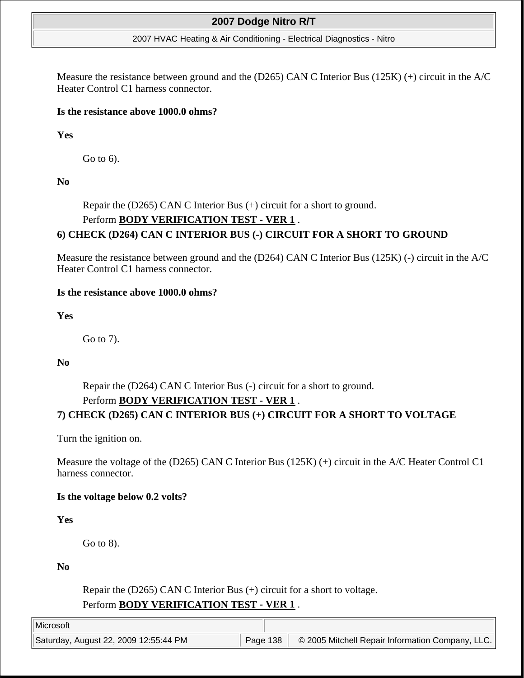#### 2007 HVAC Heating & Air Conditioning - Electrical Diagnostics - Nitro

Measure the resistance between ground and the (D265) CAN C Interior Bus (125K) (+) circuit in the A/C Heater Control C1 harness connector.

### **Is the resistance above 1000.0 ohms?**

**Yes**

Go to 6).

**No**

Repair the (D265) CAN C Interior Bus (+) circuit for a short to ground. Perform **BODY VERIFICATION TEST - VER 1** . **6) CHECK (D264) CAN C INTERIOR BUS (-) CIRCUIT FOR A SHORT TO GROUND**

Measure the resistance between ground and the (D264) CAN C Interior Bus (125K) (-) circuit in the A/C Heater Control C1 harness connector.

### **Is the resistance above 1000.0 ohms?**

## **Yes**

Go to 7).

## **No**

Repair the (D264) CAN C Interior Bus (-) circuit for a short to ground.

# Perform **BODY VERIFICATION TEST - VER 1** .

# **7) CHECK (D265) CAN C INTERIOR BUS (+) CIRCUIT FOR A SHORT TO VOLTAGE**

Turn the ignition on.

Measure the voltage of the (D265) CAN C Interior Bus (125K) (+) circuit in the A/C Heater Control C1 harness connector.

## **Is the voltage below 0.2 volts?**

## **Yes**

Go to 8).

**No**

Repair the (D265) CAN C Interior Bus (+) circuit for a short to voltage. Perform **BODY VERIFICATION TEST - VER 1** .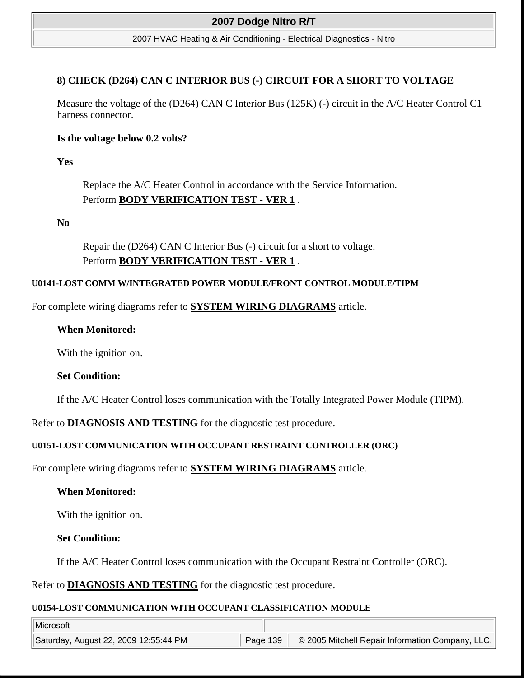#### 2007 HVAC Heating & Air Conditioning - Electrical Diagnostics - Nitro

### **8) CHECK (D264) CAN C INTERIOR BUS (-) CIRCUIT FOR A SHORT TO VOLTAGE**

Measure the voltage of the (D264) CAN C Interior Bus (125K) (-) circuit in the A/C Heater Control C1 harness connector.

### **Is the voltage below 0.2 volts?**

**Yes**

Replace the A/C Heater Control in accordance with the Service Information. Perform **BODY VERIFICATION TEST - VER 1** .

**No**

Repair the (D264) CAN C Interior Bus (-) circuit for a short to voltage. Perform **BODY VERIFICATION TEST - VER 1** .

### **U0141-LOST COMM W/INTEGRATED POWER MODULE/FRONT CONTROL MODULE/TIPM**

For complete wiring diagrams refer to **SYSTEM WIRING DIAGRAMS** article.

## **When Monitored:**

With the ignition on.

### **Set Condition:**

If the A/C Heater Control loses communication with the Totally Integrated Power Module (TIPM).

Refer to **DIAGNOSIS AND TESTING** for the diagnostic test procedure.

## **U0151-LOST COMMUNICATION WITH OCCUPANT RESTRAINT CONTROLLER (ORC)**

For complete wiring diagrams refer to **SYSTEM WIRING DIAGRAMS** article.

## **When Monitored:**

With the ignition on.

## **Set Condition:**

If the A/C Heater Control loses communication with the Occupant Restraint Controller (ORC).

Refer to **DIAGNOSIS AND TESTING** for the diagnostic test procedure.

## **U0154-LOST COMMUNICATION WITH OCCUPANT CLASSIFICATION MODULE**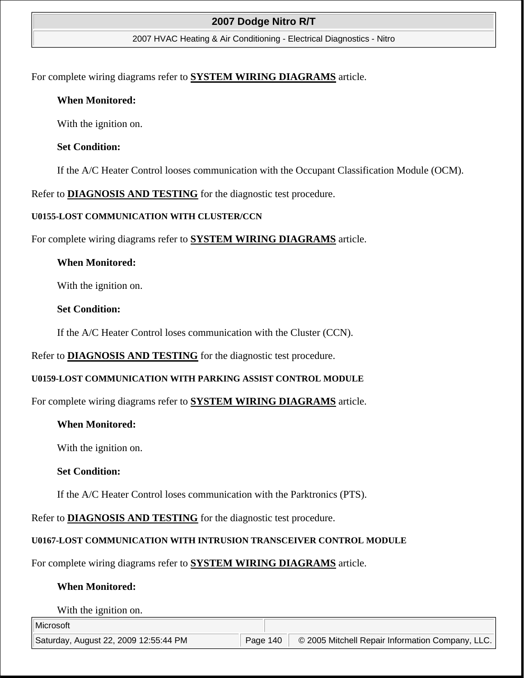#### 2007 HVAC Heating & Air Conditioning - Electrical Diagnostics - Nitro

For complete wiring diagrams refer to **SYSTEM WIRING DIAGRAMS** article.

### **When Monitored:**

With the ignition on.

### **Set Condition:**

If the A/C Heater Control looses communication with the Occupant Classification Module (OCM).

Refer to **DIAGNOSIS AND TESTING** for the diagnostic test procedure.

### **U0155-LOST COMMUNICATION WITH CLUSTER/CCN**

For complete wiring diagrams refer to **SYSTEM WIRING DIAGRAMS** article.

### **When Monitored:**

With the ignition on.

### **Set Condition:**

If the A/C Heater Control loses communication with the Cluster (CCN).

Refer to **DIAGNOSIS AND TESTING** for the diagnostic test procedure.

## **U0159-LOST COMMUNICATION WITH PARKING ASSIST CONTROL MODULE**

For complete wiring diagrams refer to **SYSTEM WIRING DIAGRAMS** article.

## **When Monitored:**

With the ignition on.

## **Set Condition:**

If the A/C Heater Control loses communication with the Parktronics (PTS).

## Refer to **DIAGNOSIS AND TESTING** for the diagnostic test procedure.

## **U0167-LOST COMMUNICATION WITH INTRUSION TRANSCEIVER CONTROL MODULE**

For complete wiring diagrams refer to **SYSTEM WIRING DIAGRAMS** article.

## **When Monitored:**

With the ignition on.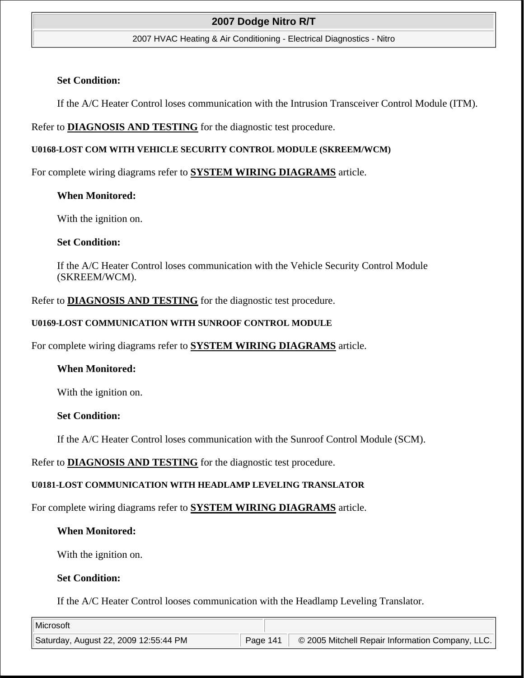#### 2007 HVAC Heating & Air Conditioning - Electrical Diagnostics - Nitro

#### **Set Condition:**

If the A/C Heater Control loses communication with the Intrusion Transceiver Control Module (ITM).

### Refer to **DIAGNOSIS AND TESTING** for the diagnostic test procedure.

### **U0168-LOST COM WITH VEHICLE SECURITY CONTROL MODULE (SKREEM/WCM)**

For complete wiring diagrams refer to **SYSTEM WIRING DIAGRAMS** article.

### **When Monitored:**

With the ignition on.

### **Set Condition:**

If the A/C Heater Control loses communication with the Vehicle Security Control Module (SKREEM/WCM).

### Refer to **DIAGNOSIS AND TESTING** for the diagnostic test procedure.

### **U0169-LOST COMMUNICATION WITH SUNROOF CONTROL MODULE**

For complete wiring diagrams refer to **SYSTEM WIRING DIAGRAMS** article.

### **When Monitored:**

With the ignition on.

### **Set Condition:**

If the A/C Heater Control loses communication with the Sunroof Control Module (SCM).

Refer to **DIAGNOSIS AND TESTING** for the diagnostic test procedure.

### **U0181-LOST COMMUNICATION WITH HEADLAMP LEVELING TRANSLATOR**

For complete wiring diagrams refer to **SYSTEM WIRING DIAGRAMS** article.

## **When Monitored:**

With the ignition on.

### **Set Condition:**

If the A/C Heater Control looses communication with the Headlamp Leveling Translator.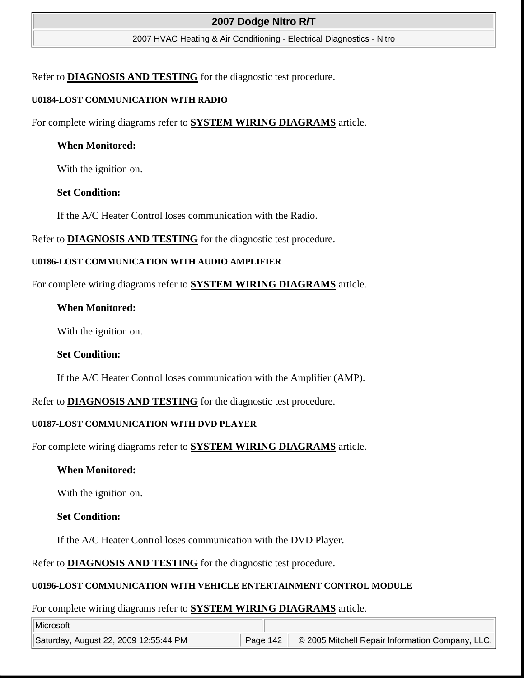2007 HVAC Heating & Air Conditioning - Electrical Diagnostics - Nitro

Refer to **DIAGNOSIS AND TESTING** for the diagnostic test procedure.

### **U0184-LOST COMMUNICATION WITH RADIO**

For complete wiring diagrams refer to **SYSTEM WIRING DIAGRAMS** article.

### **When Monitored:**

With the ignition on.

### **Set Condition:**

If the A/C Heater Control loses communication with the Radio.

Refer to **DIAGNOSIS AND TESTING** for the diagnostic test procedure.

### **U0186-LOST COMMUNICATION WITH AUDIO AMPLIFIER**

For complete wiring diagrams refer to **SYSTEM WIRING DIAGRAMS** article.

## **When Monitored:**

With the ignition on.

## **Set Condition:**

If the A/C Heater Control loses communication with the Amplifier (AMP).

Refer to **DIAGNOSIS AND TESTING** for the diagnostic test procedure.

## **U0187-LOST COMMUNICATION WITH DVD PLAYER**

For complete wiring diagrams refer to **SYSTEM WIRING DIAGRAMS** article.

## **When Monitored:**

With the ignition on.

## **Set Condition:**

If the A/C Heater Control loses communication with the DVD Player.

Refer to **DIAGNOSIS AND TESTING** for the diagnostic test procedure.

## **U0196-LOST COMMUNICATION WITH VEHICLE ENTERTAINMENT CONTROL MODULE**

For complete wiring diagrams refer to **SYSTEM WIRING DIAGRAMS** article.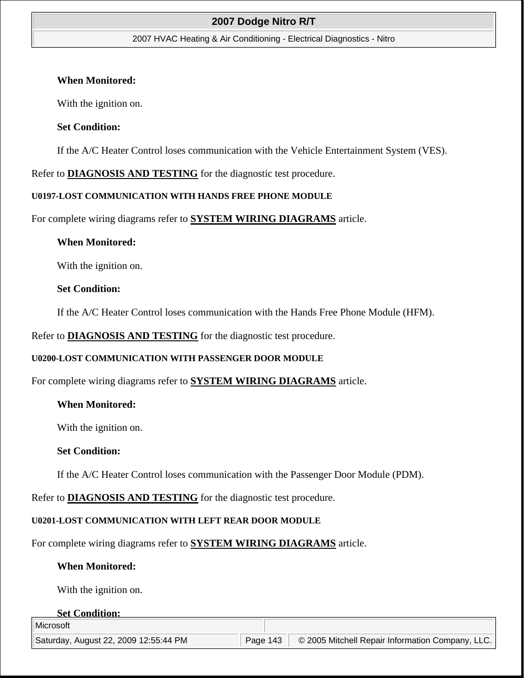#### 2007 HVAC Heating & Air Conditioning - Electrical Diagnostics - Nitro

#### **When Monitored:**

With the ignition on.

### **Set Condition:**

If the A/C Heater Control loses communication with the Vehicle Entertainment System (VES).

Refer to **DIAGNOSIS AND TESTING** for the diagnostic test procedure.

### **U0197-LOST COMMUNICATION WITH HANDS FREE PHONE MODULE**

For complete wiring diagrams refer to **SYSTEM WIRING DIAGRAMS** article.

### **When Monitored:**

With the ignition on.

### **Set Condition:**

If the A/C Heater Control loses communication with the Hands Free Phone Module (HFM).

Refer to **DIAGNOSIS AND TESTING** for the diagnostic test procedure.

### **U0200-LOST COMMUNICATION WITH PASSENGER DOOR MODULE**

For complete wiring diagrams refer to **SYSTEM WIRING DIAGRAMS** article.

### **When Monitored:**

With the ignition on.

### **Set Condition:**

If the A/C Heater Control loses communication with the Passenger Door Module (PDM).

Refer to **DIAGNOSIS AND TESTING** for the diagnostic test procedure.

### **U0201-LOST COMMUNICATION WITH LEFT REAR DOOR MODULE**

For complete wiring diagrams refer to **SYSTEM WIRING DIAGRAMS** article.

## **When Monitored:**

With the ignition on.

#### **Set Condition:**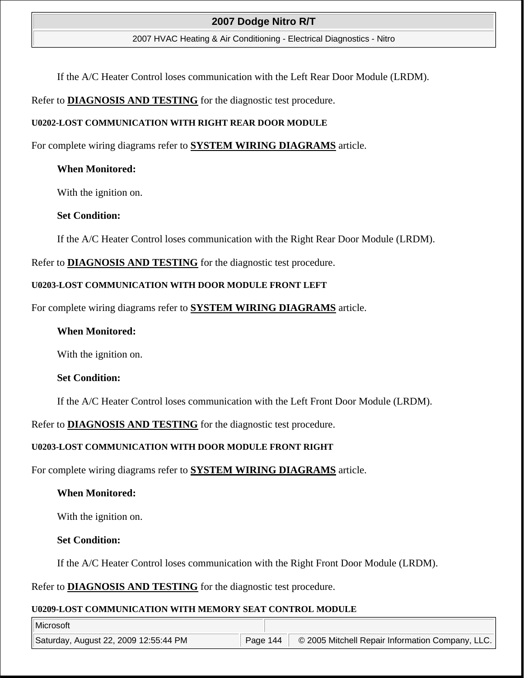#### 2007 HVAC Heating & Air Conditioning - Electrical Diagnostics - Nitro

If the A/C Heater Control loses communication with the Left Rear Door Module (LRDM).

### Refer to **DIAGNOSIS AND TESTING** for the diagnostic test procedure.

#### **U0202-LOST COMMUNICATION WITH RIGHT REAR DOOR MODULE**

For complete wiring diagrams refer to **SYSTEM WIRING DIAGRAMS** article.

### **When Monitored:**

With the ignition on.

### **Set Condition:**

If the A/C Heater Control loses communication with the Right Rear Door Module (LRDM).

Refer to **DIAGNOSIS AND TESTING** for the diagnostic test procedure.

#### **U0203-LOST COMMUNICATION WITH DOOR MODULE FRONT LEFT**

For complete wiring diagrams refer to **SYSTEM WIRING DIAGRAMS** article.

### **When Monitored:**

With the ignition on.

### **Set Condition:**

If the A/C Heater Control loses communication with the Left Front Door Module (LRDM).

Refer to **DIAGNOSIS AND TESTING** for the diagnostic test procedure.

### **U0203-LOST COMMUNICATION WITH DOOR MODULE FRONT RIGHT**

For complete wiring diagrams refer to **SYSTEM WIRING DIAGRAMS** article.

### **When Monitored:**

With the ignition on.

### **Set Condition:**

If the A/C Heater Control loses communication with the Right Front Door Module (LRDM).

Refer to **DIAGNOSIS AND TESTING** for the diagnostic test procedure.

### **U0209-LOST COMMUNICATION WITH MEMORY SEAT CONTROL MODULE**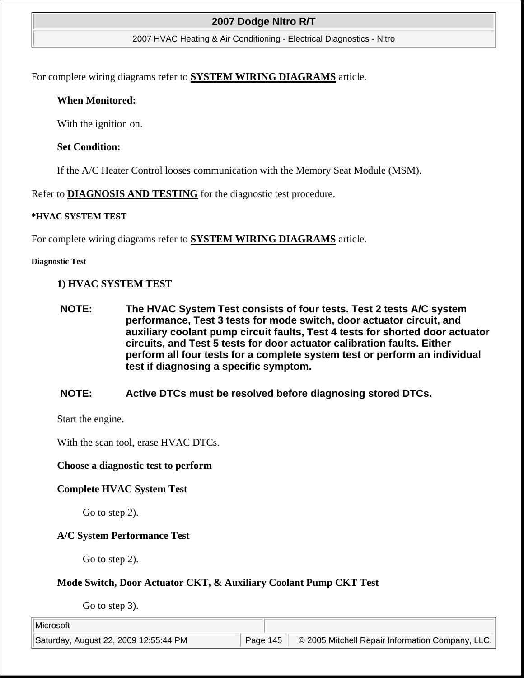#### 2007 HVAC Heating & Air Conditioning - Electrical Diagnostics - Nitro

For complete wiring diagrams refer to **SYSTEM WIRING DIAGRAMS** article.

#### **When Monitored:**

With the ignition on.

#### **Set Condition:**

If the A/C Heater Control looses communication with the Memory Seat Module (MSM).

Refer to **DIAGNOSIS AND TESTING** for the diagnostic test procedure.

#### **\*HVAC SYSTEM TEST**

For complete wiring diagrams refer to **SYSTEM WIRING DIAGRAMS** article.

#### **Diagnostic Test**

#### **1) HVAC SYSTEM TEST**

- **NOTE: The HVAC System Test consists of four tests. Test 2 tests A/C system performance, Test 3 tests for mode switch, door actuator circuit, and auxiliary coolant pump circuit faults, Test 4 tests for shorted door actuator circuits, and Test 5 tests for door actuator calibration faults. Either perform all four tests for a complete system test or perform an individual test if diagnosing a specific symptom.**
- **NOTE: Active DTCs must be resolved before diagnosing stored DTCs.**

Start the engine.

With the scan tool, erase HVAC DTCs.

#### **Choose a diagnostic test to perform**

#### **Complete HVAC System Test**

Go to step 2).

## **A/C System Performance Test**

Go to step 2).

## **Mode Switch, Door Actuator CKT, & Auxiliary Coolant Pump CKT Test**

Go to step 3).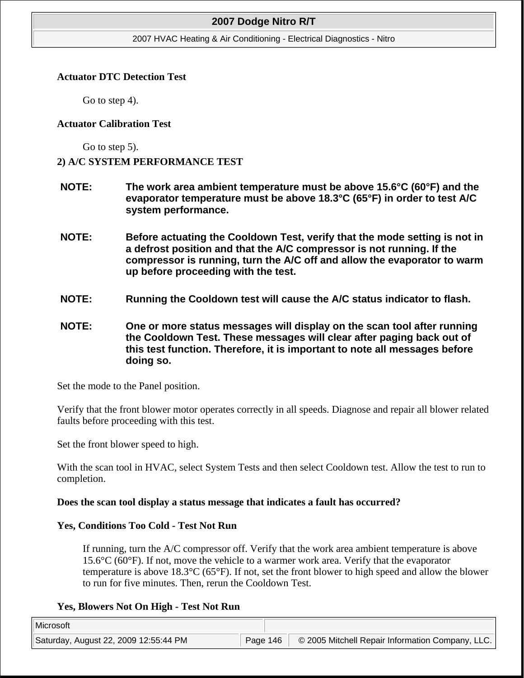#### 2007 HVAC Heating & Air Conditioning - Electrical Diagnostics - Nitro

#### **Actuator DTC Detection Test**

Go to step 4).

#### **Actuator Calibration Test**

Go to step 5).

## **2) A/C SYSTEM PERFORMANCE TEST**

- **NOTE: The work area ambient temperature must be above 15.6°C (60°F) and the evaporator temperature must be above 18.3°C (65°F) in order to test A/C system performance.**
- **NOTE: Before actuating the Cooldown Test, verify that the mode setting is not in a defrost position and that the A/C compressor is not running. If the compressor is running, turn the A/C off and allow the evaporator to warm up before proceeding with the test.**
- **NOTE: Running the Cooldown test will cause the A/C status indicator to flash.**
- **NOTE: One or more status messages will display on the scan tool after running the Cooldown Test. These messages will clear after paging back out of this test function. Therefore, it is important to note all messages before doing so.**

Set the mode to the Panel position.

Verify that the front blower motor operates correctly in all speeds. Diagnose and repair all blower related faults before proceeding with this test.

Set the front blower speed to high.

With the scan tool in HVAC, select System Tests and then select Cooldown test. Allow the test to run to completion.

## **Does the scan tool display a status message that indicates a fault has occurred?**

## **Yes, Conditions Too Cold - Test Not Run**

If running, turn the A/C compressor off. Verify that the work area ambient temperature is above 15.6°C (60°F). If not, move the vehicle to a warmer work area. Verify that the evaporator temperature is above 18.3°C (65°F). If not, set the front blower to high speed and allow the blower to run for five minutes. Then, rerun the Cooldown Test.

## **Yes, Blowers Not On High - Test Not Run**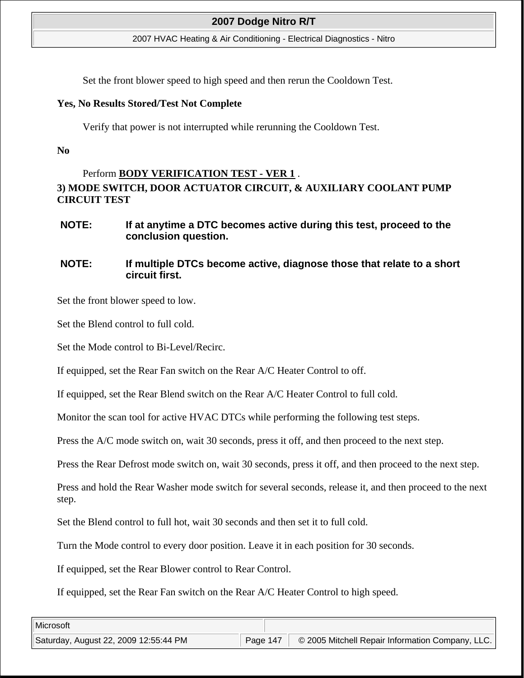2007 HVAC Heating & Air Conditioning - Electrical Diagnostics - Nitro

Set the front blower speed to high speed and then rerun the Cooldown Test.

#### **Yes, No Results Stored/Test Not Complete**

Verify that power is not interrupted while rerunning the Cooldown Test.

**No**

# Perform **BODY VERIFICATION TEST - VER 1** . **3) MODE SWITCH, DOOR ACTUATOR CIRCUIT, & AUXILIARY COOLANT PUMP CIRCUIT TEST**

**NOTE: If at anytime a DTC becomes active during this test, proceed to the conclusion question.**

# **NOTE: If multiple DTCs become active, diagnose those that relate to a short circuit first.**

Set the front blower speed to low.

Set the Blend control to full cold.

Set the Mode control to Bi-Level/Recirc.

If equipped, set the Rear Fan switch on the Rear A/C Heater Control to off.

If equipped, set the Rear Blend switch on the Rear A/C Heater Control to full cold.

Monitor the scan tool for active HVAC DTCs while performing the following test steps.

Press the A/C mode switch on, wait 30 seconds, press it off, and then proceed to the next step.

Press the Rear Defrost mode switch on, wait 30 seconds, press it off, and then proceed to the next step.

Press and hold the Rear Washer mode switch for several seconds, release it, and then proceed to the next step.

Set the Blend control to full hot, wait 30 seconds and then set it to full cold.

Turn the Mode control to every door position. Leave it in each position for 30 seconds.

If equipped, set the Rear Blower control to Rear Control.

If equipped, set the Rear Fan switch on the Rear A/C Heater Control to high speed.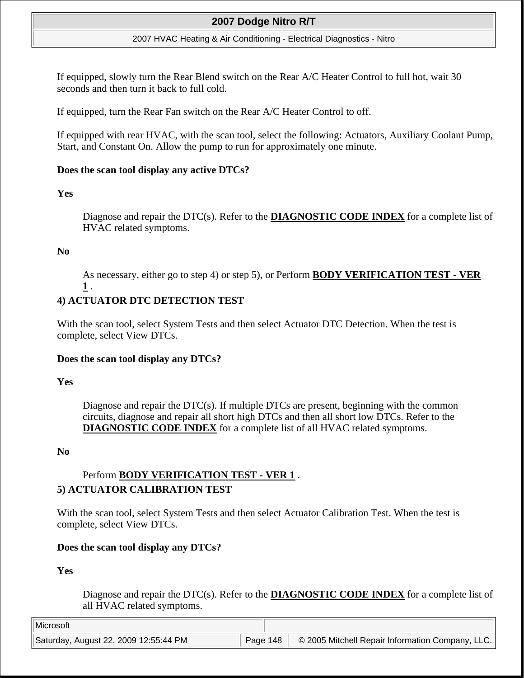#### 2007 HVAC Heating & Air Conditioning - Electrical Diagnostics - Nitro

If equipped, slowly turn the Rear Blend switch on the Rear A/C Heater Control to full hot, wait 30 seconds and then turn it back to full cold.

If equipped, turn the Rear Fan switch on the Rear A/C Heater Control to off.

If equipped with rear HVAC, with the scan tool, select the following: Actuators, Auxiliary Coolant Pump, Start, and Constant On. Allow the pump to run for approximately one minute.

#### **Does the scan tool display any active DTCs?**

## **Yes**

Diagnose and repair the DTC(s). Refer to the **DIAGNOSTIC CODE INDEX** for a complete list of HVAC related symptoms.

## **No**

As necessary, either go to step 4) or step 5), or Perform **BODY VERIFICATION TEST - VER 1** .

# **4) ACTUATOR DTC DETECTION TEST**

With the scan tool, select System Tests and then select Actuator DTC Detection. When the test is complete, select View DTCs.

## **Does the scan tool display any DTCs?**

#### **Yes**

Diagnose and repair the DTC(s). If multiple DTCs are present, beginning with the common circuits, diagnose and repair all short high DTCs and then all short low DTCs. Refer to the **DIAGNOSTIC CODE INDEX** for a complete list of all HVAC related symptoms.

## **No**

# Perform **BODY VERIFICATION TEST - VER 1** . **5) ACTUATOR CALIBRATION TEST**

With the scan tool, select System Tests and then select Actuator Calibration Test. When the test is complete, select View DTCs.

## **Does the scan tool display any DTCs?**

## **Yes**

Diagnose and repair the DTC(s). Refer to the **DIAGNOSTIC CODE INDEX** for a complete list of all HVAC related symptoms.